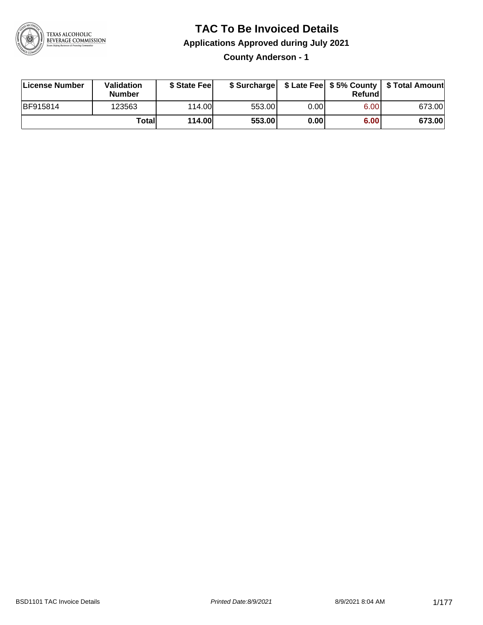

## **TAC To Be Invoiced Details**

**Applications Approved during July 2021**

**County Anderson - 1**

| License Number | <b>Validation</b><br><b>Number</b> | \$ State Fee  |        |      | Refundl | \$ Surcharge   \$ Late Fee   \$5% County   \$ Total Amount |
|----------------|------------------------------------|---------------|--------|------|---------|------------------------------------------------------------|
| BF915814       | 123563                             | 114.00        | 553.00 | 0.00 | 6.00    | 673.00                                                     |
|                | Totall                             | <b>114.00</b> | 553.00 | 0.00 | 6.00    | 673.00                                                     |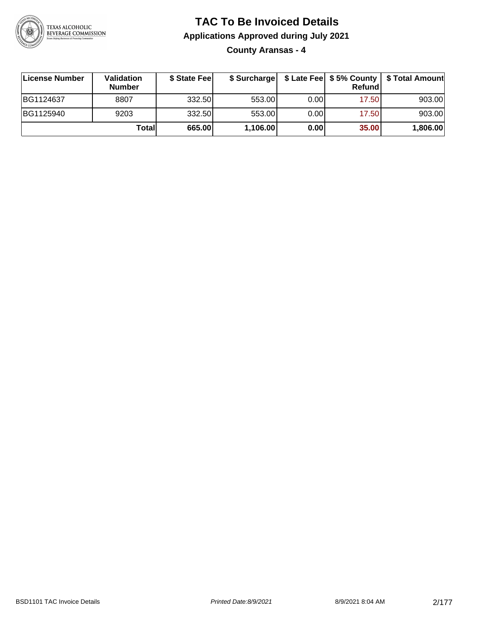

**County Aransas - 4**

| ∣License Number | Validation<br><b>Number</b> | \$ State Fee |          |       | Refundl | \$ Surcharge   \$ Late Fee   \$5% County   \$ Total Amount |
|-----------------|-----------------------------|--------------|----------|-------|---------|------------------------------------------------------------|
| BG1124637       | 8807                        | 332.50       | 553.00   | 0.001 | 17.50   | 903.00                                                     |
| BG1125940       | 9203                        | 332.50       | 553.00   | 0.00  | 17.50   | 903.00                                                     |
|                 | Totall                      | 665.00       | 1,106.00 | 0.00  | 35.00   | 1,806.00                                                   |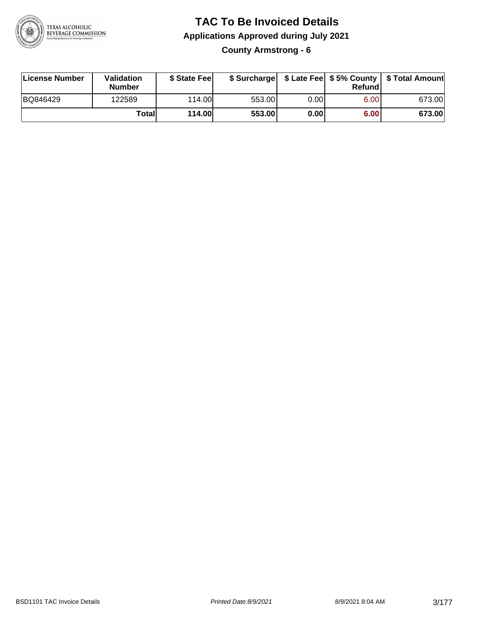

**County Armstrong - 6**

| License Number | Validation<br><b>Number</b> | \$ State Fee  | \$ Surcharge |      | Refundl | \$ Late Fee   \$5% County   \$ Total Amount |
|----------------|-----------------------------|---------------|--------------|------|---------|---------------------------------------------|
| BQ846429       | 122589                      | 114.00        | 553.00       | 0.00 | 6.00    | 673.00                                      |
|                | Totall                      | <b>114.00</b> | 553.00       | 0.00 | 6.00    | 673.00                                      |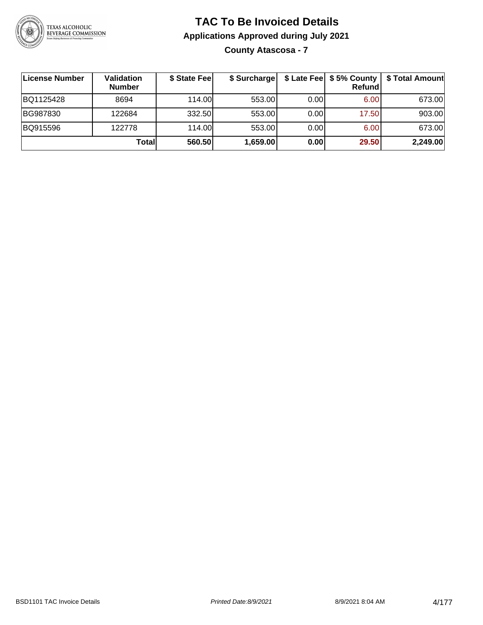

#### **TAC To Be Invoiced Details Applications Approved during July 2021 County Atascosa - 7**

**License Number Validation Number \$ State Fee \$ Surcharge \$ Late Fee \$ 5% County Refund \$ Total Amount** BQ1125428 8694 114.00 553.00 0.00 6.00 673.00 BG987830 | 122684 | 332.50| 553.00| 0.00| 17.50| 903.00 BQ915596 122778 114.00 553.00 0.00 6.00 673.00 **Total 560.50 1,659.00 0.00 29.50 2,249.00**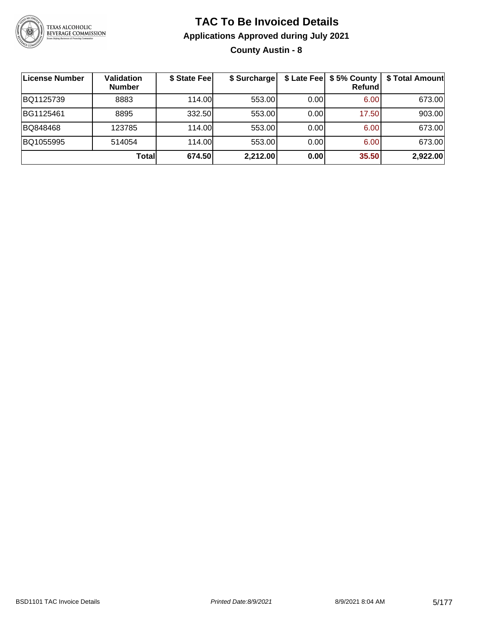

**County Austin - 8**

| ∣License Number | <b>Validation</b><br><b>Number</b> | \$ State Fee | \$ Surcharge | \$ Late Fee | \$5% County<br>Refundl | \$ Total Amount |
|-----------------|------------------------------------|--------------|--------------|-------------|------------------------|-----------------|
| BQ1125739       | 8883                               | 114.00       | 553.00       | 0.00        | 6.00                   | 673.00          |
| BG1125461       | 8895                               | 332.50       | 553.00       | 0.00        | 17.50                  | 903.00          |
| BQ848468        | 123785                             | 114.00L      | 553.00       | 0.00        | 6.00                   | 673.00          |
| BQ1055995       | 514054                             | 114.00       | 553.00       | 0.00        | 6.00                   | 673.00          |
|                 | Total                              | 674.50       | 2,212.00     | 0.00        | 35.50                  | 2,922.00        |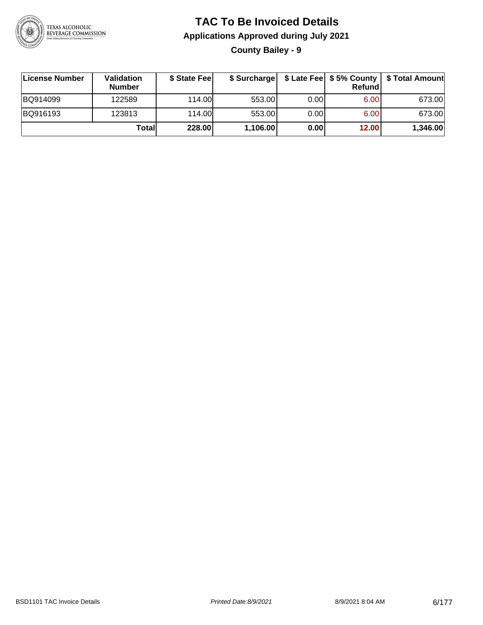

**County Bailey - 9**

| ∣License Number | Validation<br><b>Number</b> | \$ State Feel | \$ Surcharge |      | Refundl | \$ Late Fee   \$5% County   \$ Total Amount |
|-----------------|-----------------------------|---------------|--------------|------|---------|---------------------------------------------|
| BQ914099        | 122589                      | 114.00L       | 553.00       | 0.00 | 6.00    | 673.00                                      |
| BQ916193        | 123813                      | 114.00L       | 553.00       | 0.00 | 6.00    | 673.00                                      |
|                 | Totall                      | 228.00        | 1,106.00     | 0.00 | 12.00   | 1,346.00                                    |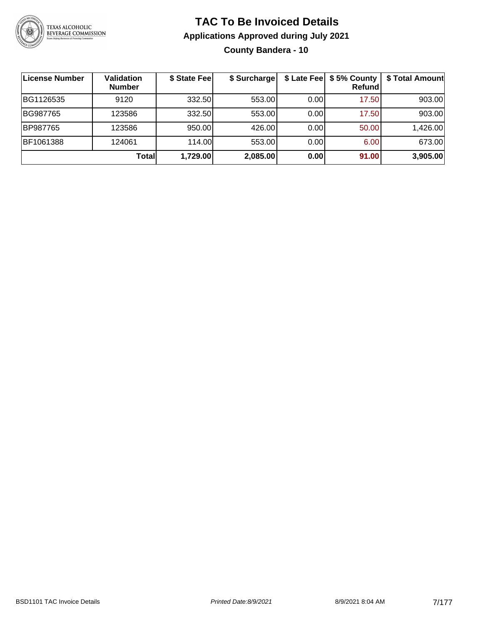

#### **TAC To Be Invoiced Details Applications Approved during July 2021 County Bandera - 10**

| License Number | <b>Validation</b><br><b>Number</b> | \$ State Fee | \$ Surcharge |      | \$ Late Fee   \$5% County<br>Refundl | \$ Total Amount |
|----------------|------------------------------------|--------------|--------------|------|--------------------------------------|-----------------|
| BG1126535      | 9120                               | 332.50       | 553.00       | 0.00 | 17.50                                | 903.00          |
| BG987765       | 123586                             | 332.50       | 553.00       | 0.00 | 17.50                                | 903.00          |
| BP987765       | 123586                             | 950.00       | 426.00       | 0.00 | 50.00                                | 1,426.00        |
| BF1061388      | 124061                             | 114.00L      | 553.00       | 0.00 | 6.00                                 | 673.00          |
|                | <b>Total</b>                       | 1,729.00     | 2,085.00     | 0.00 | 91.00                                | 3,905.00        |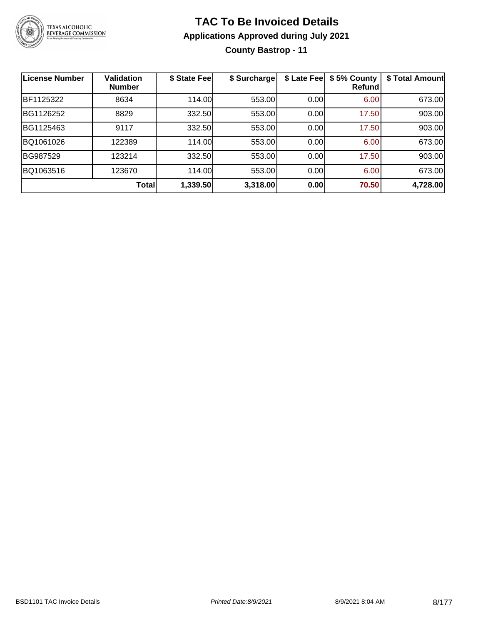

## **TAC To Be Invoiced Details Applications Approved during July 2021 County Bastrop - 11**

| <b>License Number</b> | <b>Validation</b><br><b>Number</b> | \$ State Fee | \$ Surcharge | \$ Late Fee | \$5% County<br>Refund | \$ Total Amount |
|-----------------------|------------------------------------|--------------|--------------|-------------|-----------------------|-----------------|
| BF1125322             | 8634                               | 114.00       | 553.00       | 0.00        | 6.00                  | 673.00          |
| BG1126252             | 8829                               | 332.50       | 553.00       | 0.00        | 17.50                 | 903.00          |
| BG1125463             | 9117                               | 332.50       | 553.00       | 0.00        | 17.50                 | 903.00          |
| BQ1061026             | 122389                             | 114.00       | 553.00       | 0.00        | 6.00                  | 673.00          |
| BG987529              | 123214                             | 332.50       | 553.00       | 0.00        | 17.50                 | 903.00          |
| BQ1063516             | 123670                             | 114.00       | 553.00       | 0.00        | 6.00                  | 673.00          |
|                       | <b>Total</b>                       | 1,339.50     | 3,318.00     | 0.00        | 70.50                 | 4,728.00        |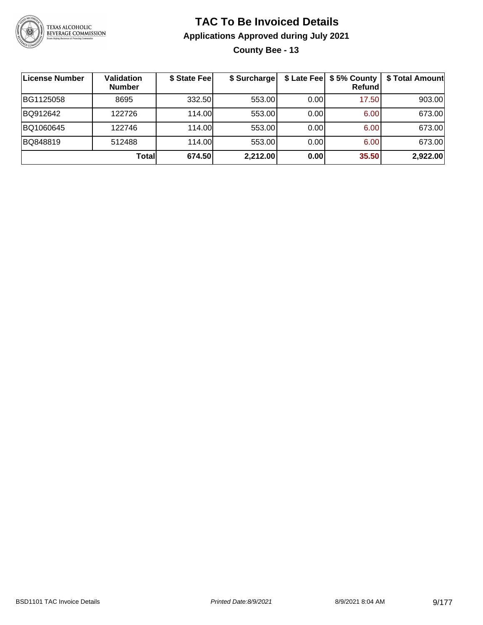

**County Bee - 13**

| License Number | <b>Validation</b><br><b>Number</b> | \$ State Fee | \$ Surcharge |      | \$ Late Fee   \$5% County  <br><b>Refund</b> | \$ Total Amount |
|----------------|------------------------------------|--------------|--------------|------|----------------------------------------------|-----------------|
| BG1125058      | 8695                               | 332.50       | 553.00       | 0.00 | 17.50                                        | 903.00          |
| BQ912642       | 122726                             | 114.00L      | 553.00       | 0.00 | 6.00                                         | 673.00          |
| BQ1060645      | 122746                             | 114.00L      | 553.00       | 0.00 | 6.00                                         | 673.00          |
| BQ848819       | 512488                             | 114.00       | 553.00       | 0.00 | 6.00                                         | 673.00          |
|                | Totall                             | 674.50       | 2,212.00     | 0.00 | 35.50                                        | 2,922.00        |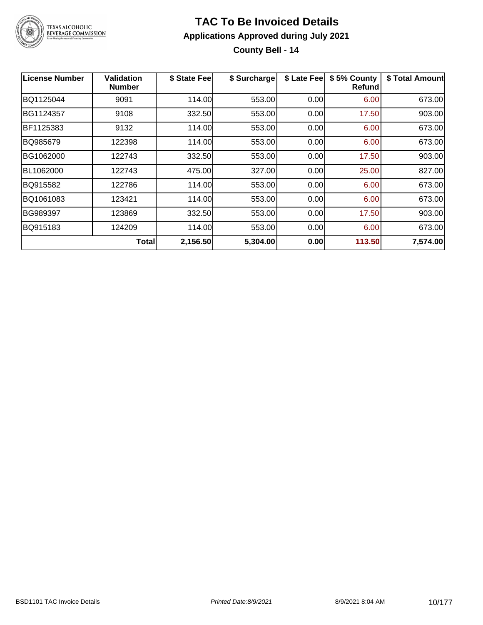

**County Bell - 14**

| <b>License Number</b> | Validation<br><b>Number</b> | \$ State Fee | \$ Surcharge | \$ Late Fee | \$5% County<br><b>Refund</b> | \$ Total Amount |
|-----------------------|-----------------------------|--------------|--------------|-------------|------------------------------|-----------------|
| BQ1125044             | 9091                        | 114.00       | 553.00       | 0.00        | 6.00                         | 673.00          |
| BG1124357             | 9108                        | 332.50       | 553.00       | 0.00        | 17.50                        | 903.00          |
| BF1125383             | 9132                        | 114.00       | 553.00       | 0.00        | 6.00                         | 673.00          |
| BQ985679              | 122398                      | 114.00       | 553.00       | 0.00        | 6.00                         | 673.00          |
| BG1062000             | 122743                      | 332.50       | 553.00       | 0.00        | 17.50                        | 903.00          |
| BL1062000             | 122743                      | 475.00       | 327.00       | 0.00        | 25.00                        | 827.00          |
| BQ915582              | 122786                      | 114.00       | 553.00       | 0.00        | 6.00                         | 673.00          |
| BQ1061083             | 123421                      | 114.00       | 553.00       | 0.00        | 6.00                         | 673.00          |
| BG989397              | 123869                      | 332.50       | 553.00       | 0.00        | 17.50                        | 903.00          |
| BQ915183              | 124209                      | 114.00       | 553.00       | 0.00        | 6.00                         | 673.00          |
|                       | <b>Total</b>                | 2,156.50     | 5,304.00     | 0.00        | 113.50                       | 7,574.00        |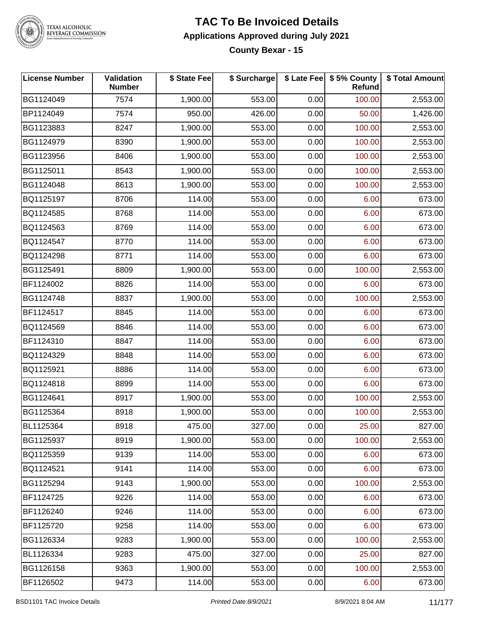

# TEXAS ALCOHOLIC<br>BEVERAGE COMMISSION

#### **TAC To Be Invoiced Details Applications Approved during July 2021 County Bexar - 15**

| <b>License Number</b> | Validation<br><b>Number</b> | \$ State Fee | \$ Surcharge |      | \$ Late Fee   \$5% County<br><b>Refund</b> | \$ Total Amount |
|-----------------------|-----------------------------|--------------|--------------|------|--------------------------------------------|-----------------|
| BG1124049             | 7574                        | 1,900.00     | 553.00       | 0.00 | 100.00                                     | 2,553.00        |
| BP1124049             | 7574                        | 950.00       | 426.00       | 0.00 | 50.00                                      | 1,426.00        |
| BG1123883             | 8247                        | 1,900.00     | 553.00       | 0.00 | 100.00                                     | 2,553.00        |
| BG1124979             | 8390                        | 1,900.00     | 553.00       | 0.00 | 100.00                                     | 2,553.00        |
| BG1123956             | 8406                        | 1,900.00     | 553.00       | 0.00 | 100.00                                     | 2,553.00        |
| BG1125011             | 8543                        | 1,900.00     | 553.00       | 0.00 | 100.00                                     | 2,553.00        |
| BG1124048             | 8613                        | 1,900.00     | 553.00       | 0.00 | 100.00                                     | 2,553.00        |
| BQ1125197             | 8706                        | 114.00       | 553.00       | 0.00 | 6.00                                       | 673.00          |
| BQ1124585             | 8768                        | 114.00       | 553.00       | 0.00 | 6.00                                       | 673.00          |
| BQ1124563             | 8769                        | 114.00       | 553.00       | 0.00 | 6.00                                       | 673.00          |
| BQ1124547             | 8770                        | 114.00       | 553.00       | 0.00 | 6.00                                       | 673.00          |
| BQ1124298             | 8771                        | 114.00       | 553.00       | 0.00 | 6.00                                       | 673.00          |
| BG1125491             | 8809                        | 1,900.00     | 553.00       | 0.00 | 100.00                                     | 2,553.00        |
| BF1124002             | 8826                        | 114.00       | 553.00       | 0.00 | 6.00                                       | 673.00          |
| BG1124748             | 8837                        | 1,900.00     | 553.00       | 0.00 | 100.00                                     | 2,553.00        |
| BF1124517             | 8845                        | 114.00       | 553.00       | 0.00 | 6.00                                       | 673.00          |
| BQ1124569             | 8846                        | 114.00       | 553.00       | 0.00 | 6.00                                       | 673.00          |
| BF1124310             | 8847                        | 114.00       | 553.00       | 0.00 | 6.00                                       | 673.00          |
| BQ1124329             | 8848                        | 114.00       | 553.00       | 0.00 | 6.00                                       | 673.00          |
| BQ1125921             | 8886                        | 114.00       | 553.00       | 0.00 | 6.00                                       | 673.00          |
| BQ1124818             | 8899                        | 114.00       | 553.00       | 0.00 | 6.00                                       | 673.00          |
| BG1124641             | 8917                        | 1,900.00     | 553.00       | 0.00 | 100.00                                     | 2,553.00        |
| BG1125364             | 8918                        | 1,900.00     | 553.00       | 0.00 | 100.00                                     | 2,553.00        |
| BL1125364             | 8918                        | 475.00       | 327.00       | 0.00 | 25.00                                      | 827.00          |
| BG1125937             | 8919                        | 1,900.00     | 553.00       | 0.00 | 100.00                                     | 2,553.00        |
| BQ1125359             | 9139                        | 114.00       | 553.00       | 0.00 | 6.00                                       | 673.00          |
| BQ1124521             | 9141                        | 114.00       | 553.00       | 0.00 | 6.00                                       | 673.00          |
| BG1125294             | 9143                        | 1,900.00     | 553.00       | 0.00 | 100.00                                     | 2,553.00        |
| BF1124725             | 9226                        | 114.00       | 553.00       | 0.00 | 6.00                                       | 673.00          |
| BF1126240             | 9246                        | 114.00       | 553.00       | 0.00 | 6.00                                       | 673.00          |
| BF1125720             | 9258                        | 114.00       | 553.00       | 0.00 | 6.00                                       | 673.00          |
| BG1126334             | 9283                        | 1,900.00     | 553.00       | 0.00 | 100.00                                     | 2,553.00        |
| BL1126334             | 9283                        | 475.00       | 327.00       | 0.00 | 25.00                                      | 827.00          |
| BG1126158             | 9363                        | 1,900.00     | 553.00       | 0.00 | 100.00                                     | 2,553.00        |
| BF1126502             | 9473                        | 114.00       | 553.00       | 0.00 | 6.00                                       | 673.00          |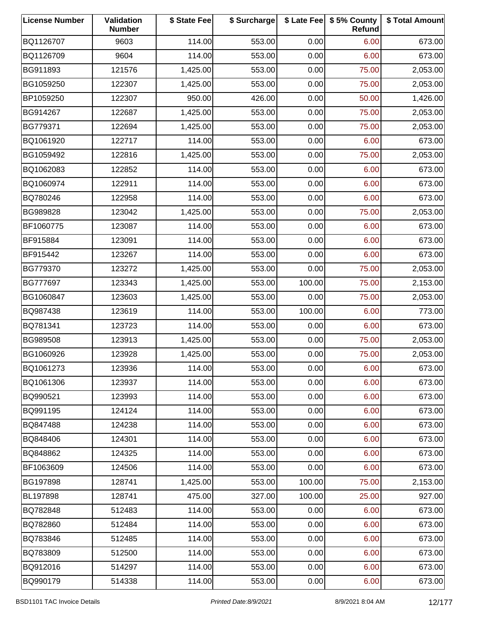| <b>License Number</b> | <b>Validation</b><br><b>Number</b> | \$ State Fee | \$ Surcharge |        | \$ Late Fee   \$5% County<br>Refund | \$ Total Amount |
|-----------------------|------------------------------------|--------------|--------------|--------|-------------------------------------|-----------------|
| BQ1126707             | 9603                               | 114.00       | 553.00       | 0.00   | 6.00                                | 673.00          |
| BQ1126709             | 9604                               | 114.00       | 553.00       | 0.00   | 6.00                                | 673.00          |
| BG911893              | 121576                             | 1,425.00     | 553.00       | 0.00   | 75.00                               | 2,053.00        |
| BG1059250             | 122307                             | 1,425.00     | 553.00       | 0.00   | 75.00                               | 2,053.00        |
| BP1059250             | 122307                             | 950.00       | 426.00       | 0.00   | 50.00                               | 1,426.00        |
| BG914267              | 122687                             | 1,425.00     | 553.00       | 0.00   | 75.00                               | 2,053.00        |
| BG779371              | 122694                             | 1,425.00     | 553.00       | 0.00   | 75.00                               | 2,053.00        |
| BQ1061920             | 122717                             | 114.00       | 553.00       | 0.00   | 6.00                                | 673.00          |
| BG1059492             | 122816                             | 1,425.00     | 553.00       | 0.00   | 75.00                               | 2,053.00        |
| BQ1062083             | 122852                             | 114.00       | 553.00       | 0.00   | 6.00                                | 673.00          |
| BQ1060974             | 122911                             | 114.00       | 553.00       | 0.00   | 6.00                                | 673.00          |
| BQ780246              | 122958                             | 114.00       | 553.00       | 0.00   | 6.00                                | 673.00          |
| BG989828              | 123042                             | 1,425.00     | 553.00       | 0.00   | 75.00                               | 2,053.00        |
| BF1060775             | 123087                             | 114.00       | 553.00       | 0.00   | 6.00                                | 673.00          |
| BF915884              | 123091                             | 114.00       | 553.00       | 0.00   | 6.00                                | 673.00          |
| BF915442              | 123267                             | 114.00       | 553.00       | 0.00   | 6.00                                | 673.00          |
| BG779370              | 123272                             | 1,425.00     | 553.00       | 0.00   | 75.00                               | 2,053.00        |
| BG777697              | 123343                             | 1,425.00     | 553.00       | 100.00 | 75.00                               | 2,153.00        |
| BG1060847             | 123603                             | 1,425.00     | 553.00       | 0.00   | 75.00                               | 2,053.00        |
| BQ987438              | 123619                             | 114.00       | 553.00       | 100.00 | 6.00                                | 773.00          |
| BQ781341              | 123723                             | 114.00       | 553.00       | 0.00   | 6.00                                | 673.00          |
| BG989508              | 123913                             | 1,425.00     | 553.00       | 0.00   | 75.00                               | 2,053.00        |
| BG1060926             | 123928                             | 1,425.00     | 553.00       | 0.00   | 75.00                               | 2,053.00        |
| BQ1061273             | 123936                             | 114.00       | 553.00       | 0.00   | 6.00                                | 673.00          |
| BQ1061306             | 123937                             | 114.00       | 553.00       | 0.00   | 6.00                                | 673.00          |
| BQ990521              | 123993                             | 114.00       | 553.00       | 0.00   | 6.00                                | 673.00          |
| BQ991195              | 124124                             | 114.00       | 553.00       | 0.00   | 6.00                                | 673.00          |
| BQ847488              | 124238                             | 114.00       | 553.00       | 0.00   | 6.00                                | 673.00          |
| BQ848406              | 124301                             | 114.00       | 553.00       | 0.00   | 6.00                                | 673.00          |
| BQ848862              | 124325                             | 114.00       | 553.00       | 0.00   | 6.00                                | 673.00          |
| BF1063609             | 124506                             | 114.00       | 553.00       | 0.00   | 6.00                                | 673.00          |
| BG197898              | 128741                             | 1,425.00     | 553.00       | 100.00 | 75.00                               | 2,153.00        |
| BL197898              | 128741                             | 475.00       | 327.00       | 100.00 | 25.00                               | 927.00          |
| BQ782848              | 512483                             | 114.00       | 553.00       | 0.00   | 6.00                                | 673.00          |
| BQ782860              | 512484                             | 114.00       | 553.00       | 0.00   | 6.00                                | 673.00          |
| BQ783846              | 512485                             | 114.00       | 553.00       | 0.00   | 6.00                                | 673.00          |
| BQ783809              | 512500                             | 114.00       | 553.00       | 0.00   | 6.00                                | 673.00          |
| BQ912016              | 514297                             | 114.00       | 553.00       | 0.00   | 6.00                                | 673.00          |
| BQ990179              | 514338                             | 114.00       | 553.00       | 0.00   | 6.00                                | 673.00          |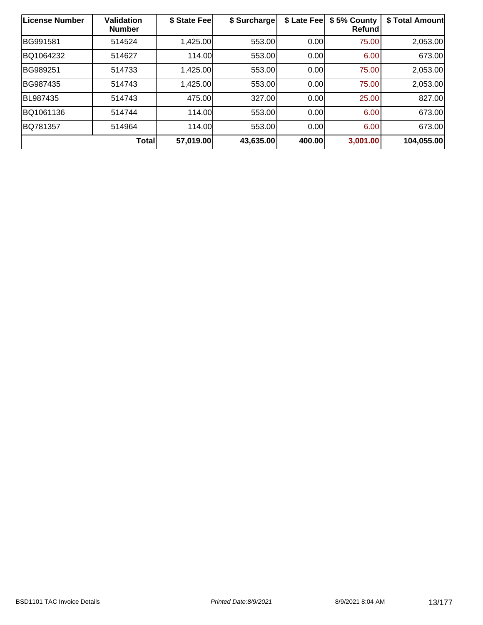| License Number | <b>Validation</b><br><b>Number</b> | \$ State Fee | \$ Surcharge | \$ Late Fee | \$5% County<br><b>Refund</b> | \$ Total Amount |
|----------------|------------------------------------|--------------|--------------|-------------|------------------------------|-----------------|
| BG991581       | 514524                             | 1,425.00     | 553.00       | 0.00        | 75.00                        | 2,053.00        |
| BQ1064232      | 514627                             | 114.00       | 553.00       | 0.00        | 6.00                         | 673.00          |
| BG989251       | 514733                             | 1,425.00     | 553.00       | 0.00        | 75.00                        | 2,053.00        |
| BG987435       | 514743                             | 1,425.00     | 553.00       | 0.00        | 75.00                        | 2,053.00        |
| BL987435       | 514743                             | 475.00       | 327.00       | 0.00        | 25.00                        | 827.00          |
| BQ1061136      | 514744                             | 114.00       | 553.00       | 0.00        | 6.00                         | 673.00          |
| BQ781357       | 514964                             | 114.00       | 553.00       | 0.00        | 6.00                         | 673.00          |
|                | <b>Total</b>                       | 57,019.00    | 43,635.00    | 400.00      | 3,001.00                     | 104,055.00      |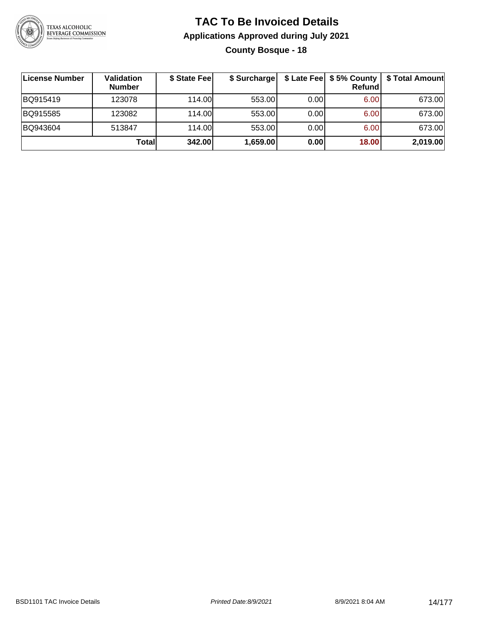

## **TAC To Be Invoiced Details Applications Approved during July 2021 County Bosque - 18**

| ∣License Number | <b>Validation</b><br><b>Number</b> | \$ State Fee | \$ Surcharge |      | \$ Late Fee   \$5% County<br>Refundl | \$ Total Amount |
|-----------------|------------------------------------|--------------|--------------|------|--------------------------------------|-----------------|
| BQ915419        | 123078                             | 114.00       | 553.00       | 0.00 | 6.00                                 | 673.00          |
| BQ915585        | 123082                             | 114.00       | 553.00       | 0.00 | 6.00                                 | 673.00          |
| BQ943604        | 513847                             | 114.00       | 553.00       | 0.00 | 6.00                                 | 673.00          |
|                 | Totall                             | 342.00       | 1,659.00     | 0.00 | 18.00                                | 2,019.00        |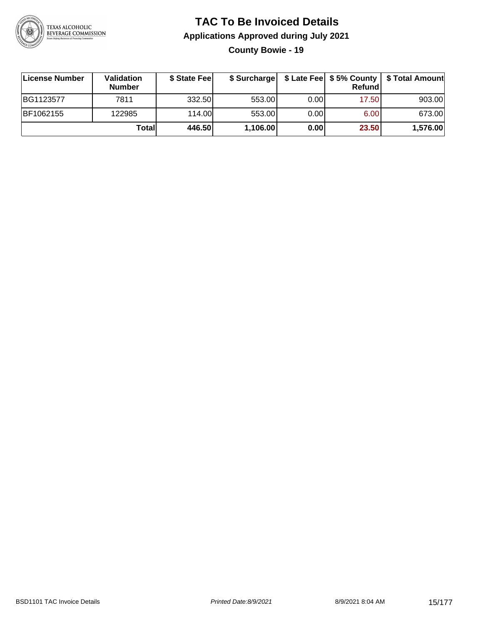

**County Bowie - 19**

| License Number | Validation<br><b>Number</b> | \$ State Feel |          |       | Refundl | \$ Surcharge   \$ Late Fee   \$5% County   \$ Total Amount |
|----------------|-----------------------------|---------------|----------|-------|---------|------------------------------------------------------------|
| BG1123577      | 7811                        | 332.50        | 553.00   | 0.001 | 17.50   | 903.00                                                     |
| BF1062155      | 122985                      | 114.00        | 553.00   | 0.001 | 6.00    | 673.00                                                     |
|                | Totall                      | 446.50        | 1,106.00 | 0.00  | 23.50   | 1,576.00                                                   |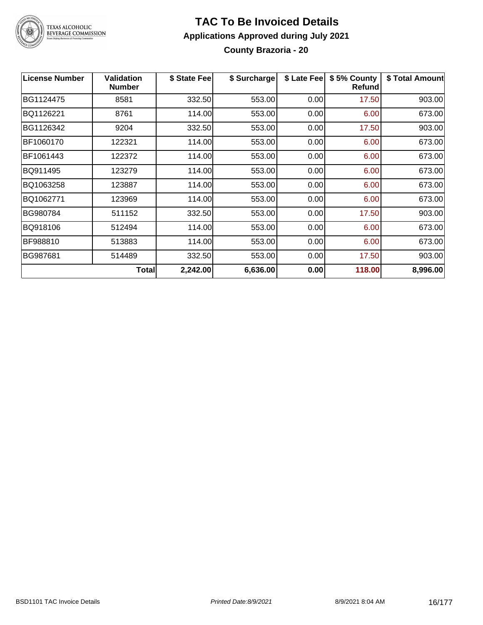

#### **TAC To Be Invoiced Details Applications Approved during July 2021 County Brazoria - 20**

| <b>License Number</b> | <b>Validation</b><br><b>Number</b> | \$ State Fee | \$ Surcharge | \$ Late Fee | \$5% County<br><b>Refund</b> | \$ Total Amount |
|-----------------------|------------------------------------|--------------|--------------|-------------|------------------------------|-----------------|
| BG1124475             | 8581                               | 332.50       | 553.00       | 0.00        | 17.50                        | 903.00          |
| BQ1126221             | 8761                               | 114.00       | 553.00       | 0.00        | 6.00                         | 673.00          |
| BG1126342             | 9204                               | 332.50       | 553.00       | 0.00        | 17.50                        | 903.00          |
| BF1060170             | 122321                             | 114.00       | 553.00       | 0.00        | 6.00                         | 673.00          |
| BF1061443             | 122372                             | 114.00       | 553.00       | 0.00        | 6.00                         | 673.00          |
| BQ911495              | 123279                             | 114.00       | 553.00       | 0.00        | 6.00                         | 673.00          |
| BQ1063258             | 123887                             | 114.00       | 553.00       | 0.00        | 6.00                         | 673.00          |
| BQ1062771             | 123969                             | 114.00       | 553.00       | 0.00        | 6.00                         | 673.00          |
| BG980784              | 511152                             | 332.50       | 553.00       | 0.00        | 17.50                        | 903.00          |
| BQ918106              | 512494                             | 114.00       | 553.00       | 0.00        | 6.00                         | 673.00          |
| BF988810              | 513883                             | 114.00       | 553.00       | 0.00        | 6.00                         | 673.00          |
| BG987681              | 514489                             | 332.50       | 553.00       | 0.00        | 17.50                        | 903.00          |
|                       | Total                              | 2,242.00     | 6,636.00     | 0.00        | 118.00                       | 8,996.00        |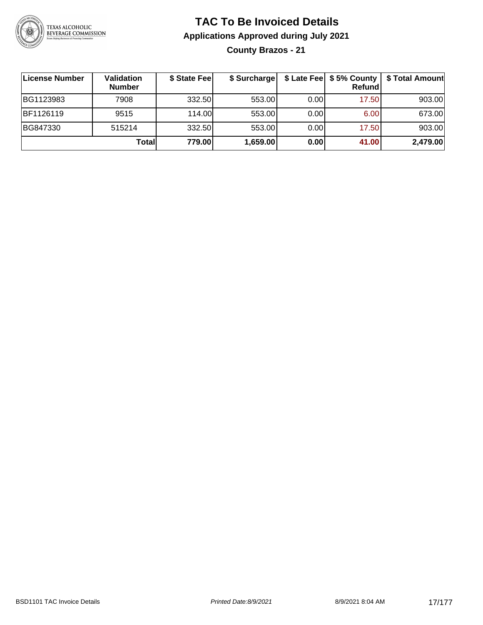

**County Brazos - 21**

| <b>License Number</b> | Validation<br><b>Number</b> | \$ State Feel | \$ Surcharge |       | Refundl | \$ Late Fee   \$5% County   \$ Total Amount |
|-----------------------|-----------------------------|---------------|--------------|-------|---------|---------------------------------------------|
| BG1123983             | 7908                        | 332.50        | 553.00       | 0.001 | 17.50   | 903.00                                      |
| BF1126119             | 9515                        | 114.00L       | 553.00       | 0.001 | 6.00    | 673.00                                      |
| BG847330              | 515214                      | 332.50        | 553.00       | 0.00  | 17.50   | 903.00                                      |
|                       | Totall                      | 779.00        | 1,659.00     | 0.00  | 41.00   | 2,479.00                                    |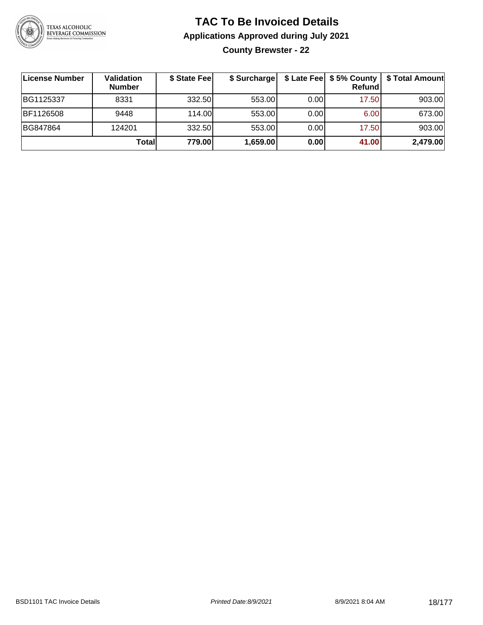

**County Brewster - 22**

| <b>License Number</b> | Validation<br><b>Number</b> | \$ State Feel | \$ Surcharge |       | \$ Late Fee   \$5% County  <br>Refundl | \$ Total Amount |
|-----------------------|-----------------------------|---------------|--------------|-------|----------------------------------------|-----------------|
| BG1125337             | 8331                        | 332.50        | 553.00       | 0.001 | 17.50                                  | 903.00          |
| BF1126508             | 9448                        | 114.00        | 553.00       | 0.00  | 6.00                                   | 673.00          |
| BG847864              | 124201                      | 332.50        | 553.00       | 0.00  | 17.50                                  | 903.00          |
|                       | Totall                      | 779.00        | 1,659.00     | 0.00  | 41.00                                  | 2,479.00        |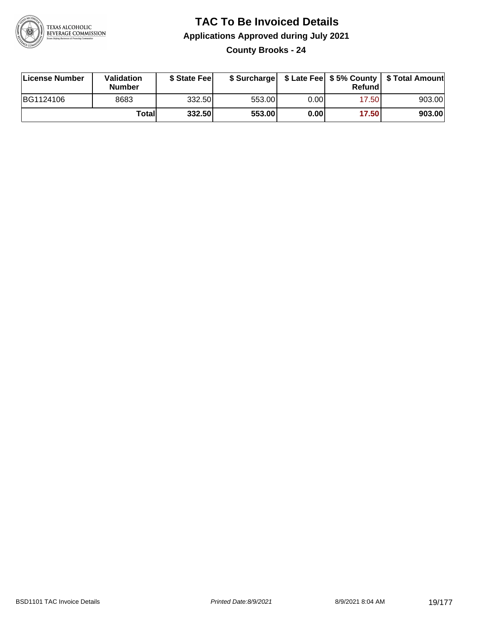

**County Brooks - 24**

| License Number | <b>Validation</b><br><b>Number</b> | \$ State Feel |        |      | Refundl | \$ Surcharge   \$ Late Fee   \$5% County   \$ Total Amount |
|----------------|------------------------------------|---------------|--------|------|---------|------------------------------------------------------------|
| BG1124106      | 8683                               | 332.50        | 553.00 | 0.00 | 17.50   | 903.00                                                     |
|                | Totall                             | 332.50        | 553.00 | 0.00 | 17.50   | 903.00                                                     |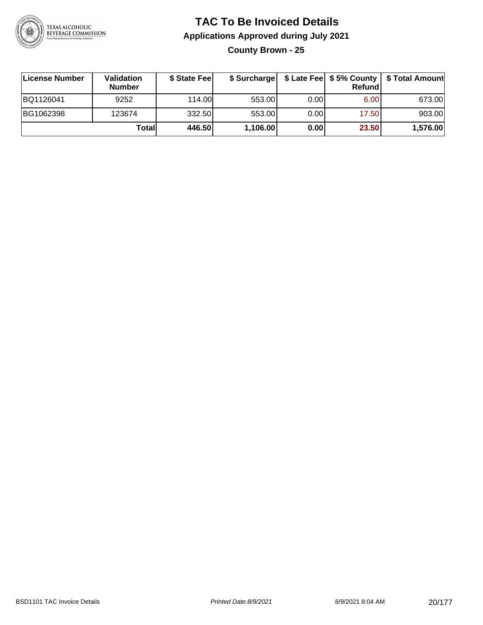

**County Brown - 25**

| License Number | Validation<br><b>Number</b> | \$ State Fee |          |      | Refundl | \$ Surcharge   \$ Late Fee   \$5% County   \$ Total Amount |
|----------------|-----------------------------|--------------|----------|------|---------|------------------------------------------------------------|
| BQ1126041      | 9252                        | 114.00       | 553.00   | 0.00 | 6.00    | 673.00                                                     |
| BG1062398      | 123674                      | 332.50       | 553.00   | 0.00 | 17.50   | 903.00                                                     |
|                | Totall                      | 446.50       | 1,106.00 | 0.00 | 23.50   | 1,576.00                                                   |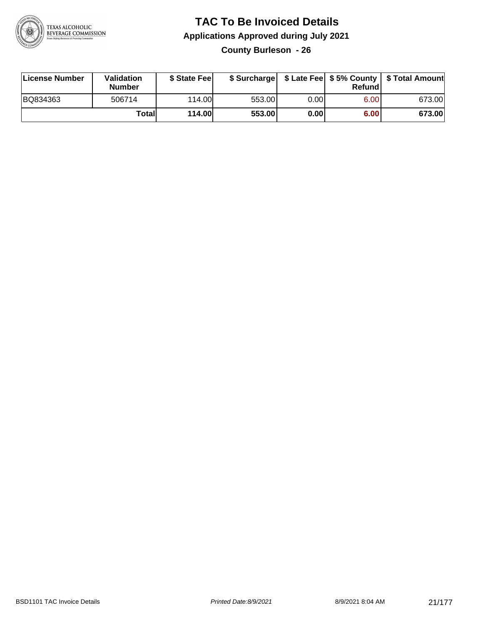

**County Burleson - 26**

| License Number | <b>Validation</b><br><b>Number</b> | \$ State Feel | \$ Surcharge |       | Refundl |        |
|----------------|------------------------------------|---------------|--------------|-------|---------|--------|
| BQ834363       | 506714                             | 114.00L       | 553.00       | 0.001 | 6.00    | 673.00 |
|                | Totall                             | <b>114.00</b> | 553.00       | 0.00  | 6.00    | 673.00 |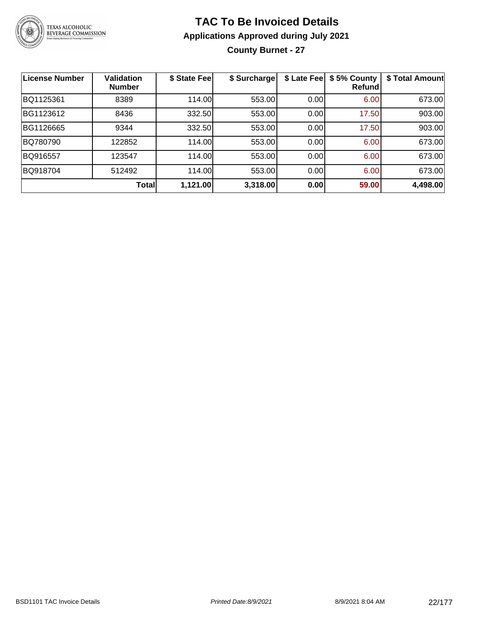

## **TAC To Be Invoiced Details Applications Approved during July 2021 County Burnet - 27**

| <b>License Number</b> | <b>Validation</b><br><b>Number</b> | \$ State Fee | \$ Surcharge | \$ Late Fee | \$5% County<br>Refund | \$ Total Amount |
|-----------------------|------------------------------------|--------------|--------------|-------------|-----------------------|-----------------|
| BQ1125361             | 8389                               | 114.00       | 553.00       | 0.00        | 6.00                  | 673.00          |
| BG1123612             | 8436                               | 332.50       | 553.00       | 0.00        | 17.50                 | 903.00          |
| BG1126665             | 9344                               | 332.50       | 553.00       | 0.00        | 17.50                 | 903.00          |
| BQ780790              | 122852                             | 114.00       | 553.00       | 0.00        | 6.00                  | 673.00          |
| BQ916557              | 123547                             | 114.00       | 553.00       | 0.00        | 6.00                  | 673.00          |
| BQ918704              | 512492                             | 114.00       | 553.00       | 0.00        | 6.00                  | 673.00          |
|                       | <b>Total</b>                       | 1,121.00     | 3,318.00     | 0.00        | 59.00                 | 4,498.00        |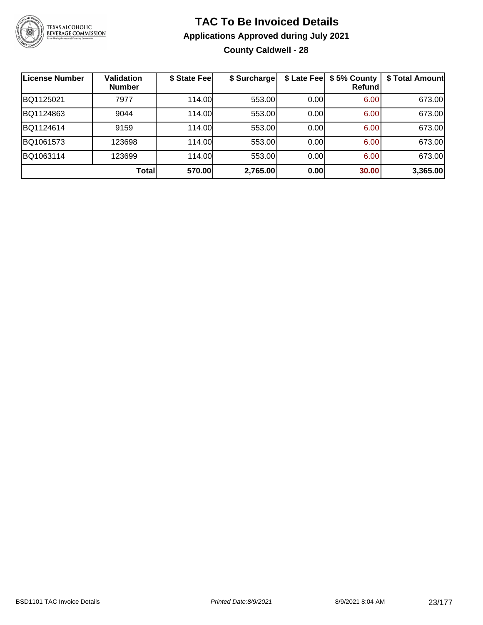

## **TAC To Be Invoiced Details Applications Approved during July 2021 County Caldwell - 28**

| <b>License Number</b> | <b>Validation</b><br><b>Number</b> | \$ State Fee | \$ Surcharge |      | \$ Late Fee   \$5% County<br>Refund | \$ Total Amount |
|-----------------------|------------------------------------|--------------|--------------|------|-------------------------------------|-----------------|
| BQ1125021             | 7977                               | 114.00       | 553.00       | 0.00 | 6.00                                | 673.00          |
| BQ1124863             | 9044                               | 114.00       | 553.00       | 0.00 | 6.00                                | 673.00          |
| BQ1124614             | 9159                               | 114.00       | 553.00       | 0.00 | 6.00                                | 673.00          |
| BQ1061573             | 123698                             | 114.00       | 553.00       | 0.00 | 6.00                                | 673.00          |
| BQ1063114             | 123699                             | 114.00       | 553.00       | 0.00 | 6.00                                | 673.00          |
|                       | Total                              | 570.00       | 2,765.00     | 0.00 | 30.00                               | 3,365.00        |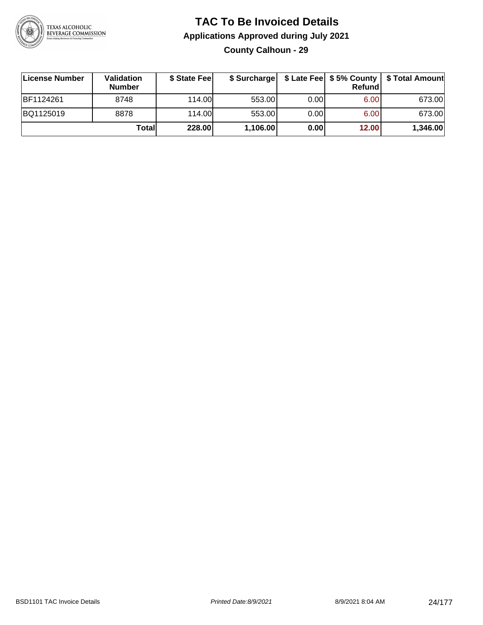

## **TAC To Be Invoiced Details Applications Approved during July 2021 County Calhoun - 29**

| License Number | Validation<br><b>Number</b> | \$ State Fee |          |       | Refundl | \$ Surcharge   \$ Late Fee   \$5% County   \$ Total Amount |
|----------------|-----------------------------|--------------|----------|-------|---------|------------------------------------------------------------|
| BF1124261      | 8748                        | 114.00       | 553.00   | 0.001 | 6.00    | 673.00                                                     |
| BQ1125019      | 8878                        | 114.00       | 553.00   | 0.00  | 6.00    | 673.00                                                     |
|                | Totall                      | 228.00       | 1,106.00 | 0.00  | 12.00   | 1,346.00                                                   |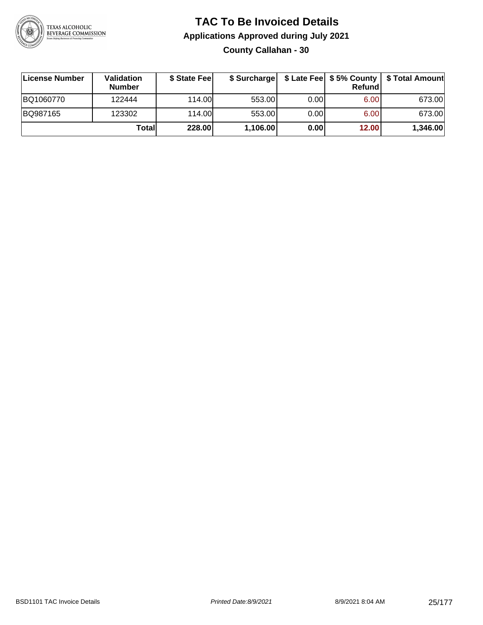

## **TAC To Be Invoiced Details Applications Approved during July 2021 County Callahan - 30**

| License Number | <b>Validation</b><br><b>Number</b> | \$ State Fee | \$ Surcharge |      | <b>Refund</b> | \$ Late Fee   \$5% County   \$ Total Amount |
|----------------|------------------------------------|--------------|--------------|------|---------------|---------------------------------------------|
| BQ1060770      | 122444                             | 114.00       | 553.00       | 0.00 | 6.00          | 673.00                                      |
| BQ987165       | 123302                             | 114.00       | 553.00       | 0.00 | 6.00          | 673.00                                      |
|                | Totall                             | 228.00       | 1,106.00     | 0.00 | 12.00         | 1,346.00                                    |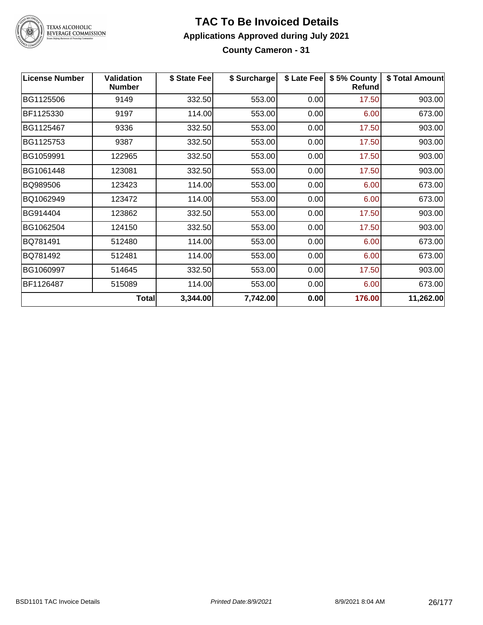

#### **TAC To Be Invoiced Details Applications Approved during July 2021 County Cameron - 31**

| <b>License Number</b> | <b>Validation</b><br><b>Number</b> | \$ State Fee | \$ Surcharge |      | \$ Late Fee   \$5% County<br>Refund | \$ Total Amount |
|-----------------------|------------------------------------|--------------|--------------|------|-------------------------------------|-----------------|
| BG1125506             | 9149                               | 332.50       | 553.00       | 0.00 | 17.50                               | 903.00          |
| BF1125330             | 9197                               | 114.00       | 553.00       | 0.00 | 6.00                                | 673.00          |
| BG1125467             | 9336                               | 332.50       | 553.00       | 0.00 | 17.50                               | 903.00          |
| BG1125753             | 9387                               | 332.50       | 553.00       | 0.00 | 17.50                               | 903.00          |
| BG1059991             | 122965                             | 332.50       | 553.00       | 0.00 | 17.50                               | 903.00          |
| BG1061448             | 123081                             | 332.50       | 553.00       | 0.00 | 17.50                               | 903.00          |
| BQ989506              | 123423                             | 114.00       | 553.00       | 0.00 | 6.00                                | 673.00          |
| BQ1062949             | 123472                             | 114.00       | 553.00       | 0.00 | 6.00                                | 673.00          |
| BG914404              | 123862                             | 332.50       | 553.00       | 0.00 | 17.50                               | 903.00          |
| BG1062504             | 124150                             | 332.50       | 553.00       | 0.00 | 17.50                               | 903.00          |
| BQ781491              | 512480                             | 114.00       | 553.00       | 0.00 | 6.00                                | 673.00          |
| BQ781492              | 512481                             | 114.00       | 553.00       | 0.00 | 6.00                                | 673.00          |
| BG1060997             | 514645                             | 332.50       | 553.00       | 0.00 | 17.50                               | 903.00          |
| BF1126487             | 515089                             | 114.00       | 553.00       | 0.00 | 6.00                                | 673.00          |
|                       | Total                              | 3,344.00     | 7,742.00     | 0.00 | 176.00                              | 11,262.00       |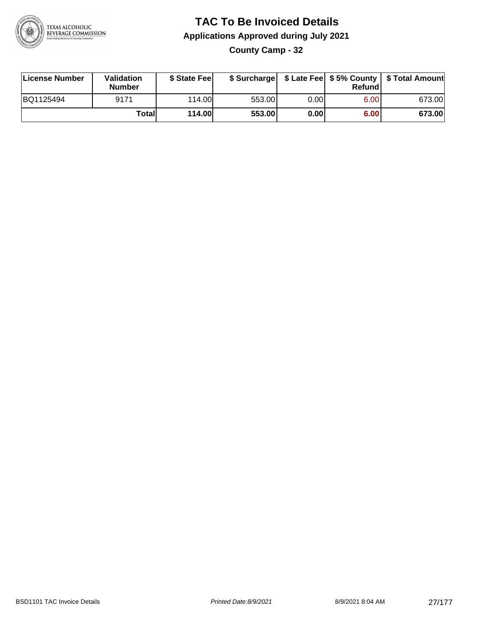

**County Camp - 32**

| License Number | <b>Validation</b><br><b>Number</b> | \$ State Fee  | \$ Surcharge |       | Refundl | \$ Late Fee   \$5% County   \$ Total Amount |
|----------------|------------------------------------|---------------|--------------|-------|---------|---------------------------------------------|
| BQ1125494      | 9171                               | 114.00        | 553.00       | 0.001 | 6.00    | 673.00                                      |
|                | Totall                             | <b>114.00</b> | 553.00       | 0.00  | 6.00    | 673.00                                      |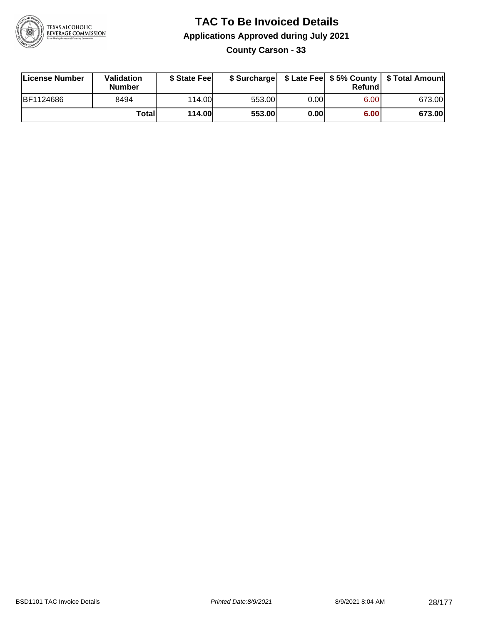

**County Carson - 33**

| License Number | <b>Validation</b><br><b>Number</b> | \$ State Fee  |        |      | Refundl | \$ Surcharge   \$ Late Fee   \$5% County   \$ Total Amount |
|----------------|------------------------------------|---------------|--------|------|---------|------------------------------------------------------------|
| BF1124686      | 8494                               | 114.00L       | 553.00 | 0.00 | 6.00    | 673.00                                                     |
|                | Totall                             | <b>114.00</b> | 553.00 | 0.00 | 6.00    | 673.00                                                     |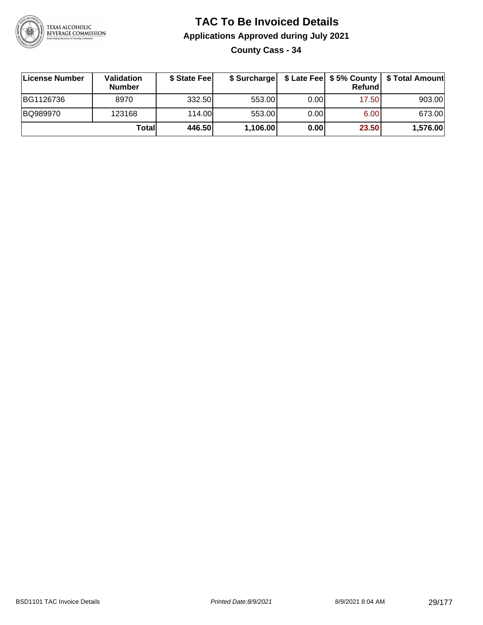

**County Cass - 34**

| ∣License Number | Validation<br><b>Number</b> | \$ State Feel | \$ Surcharge |       | Refundl |          |
|-----------------|-----------------------------|---------------|--------------|-------|---------|----------|
| BG1126736       | 8970                        | 332.50        | 553.00       | 0.001 | 17.50   | 903.00   |
| BQ989970        | 123168                      | 114.00L       | 553.00       | 0.001 | 6.00    | 673.00   |
|                 | Totall                      | 446.50        | 1,106.00     | 0.00  | 23.50   | 1,576.00 |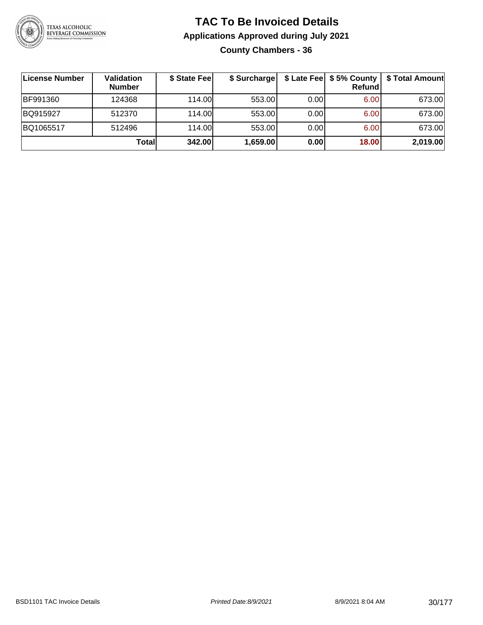

## **TAC To Be Invoiced Details Applications Approved during July 2021 County Chambers - 36**

| License Number  | Validation<br><b>Number</b> | \$ State Fee | \$ Surcharge |      | $$$ Late Fee $$5%$ County<br><b>Refund</b> | \$ Total Amount |
|-----------------|-----------------------------|--------------|--------------|------|--------------------------------------------|-----------------|
| <b>BF991360</b> | 124368                      | 114.00L      | 553.00       | 0.00 | 6.00                                       | 673.00          |
| BQ915927        | 512370                      | 114.00L      | 553.00       | 0.00 | 6.00                                       | 673.00          |
| BQ1065517       | 512496                      | 114.00L      | 553.00       | 0.00 | 6.00                                       | 673.00          |
|                 | Totall                      | 342.00       | 1,659.00     | 0.00 | 18.00                                      | 2,019.00        |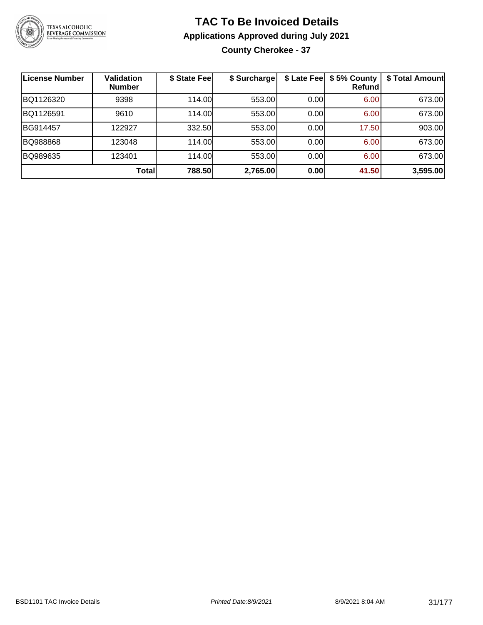

## **TAC To Be Invoiced Details Applications Approved during July 2021 County Cherokee - 37**

| License Number | <b>Validation</b><br><b>Number</b> | \$ State Fee | \$ Surcharge |      | \$ Late Fee   \$5% County<br>Refundl | \$ Total Amount |
|----------------|------------------------------------|--------------|--------------|------|--------------------------------------|-----------------|
| BQ1126320      | 9398                               | 114.00       | 553.00       | 0.00 | 6.00                                 | 673.00          |
| BQ1126591      | 9610                               | 114.00       | 553.00       | 0.00 | 6.00                                 | 673.00          |
| BG914457       | 122927                             | 332.50       | 553.00       | 0.00 | 17.50                                | 903.00          |
| BQ988868       | 123048                             | 114.00       | 553.00       | 0.00 | 6.00                                 | 673.00          |
| BQ989635       | 123401                             | 114.00       | 553.00       | 0.00 | 6.00                                 | 673.00          |
|                | Total                              | 788.50       | 2,765.00     | 0.00 | 41.50                                | 3,595.00        |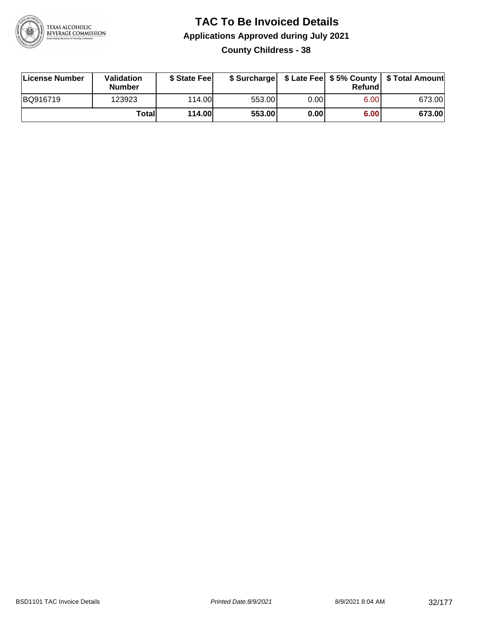

## **TAC To Be Invoiced Details Applications Approved during July 2021 County Childress - 38**

| License Number | Validation<br>Number | \$ State Fee  |        |      | Refundl | \$ Surcharge   \$ Late Fee   \$5% County   \$ Total Amount |
|----------------|----------------------|---------------|--------|------|---------|------------------------------------------------------------|
| BQ916719       | 123923               | 114.00L       | 553.00 | 0.00 | 6.00    | 673.00                                                     |
|                | Totall               | <b>114.00</b> | 553.00 | 0.00 | 6.00    | 673.00                                                     |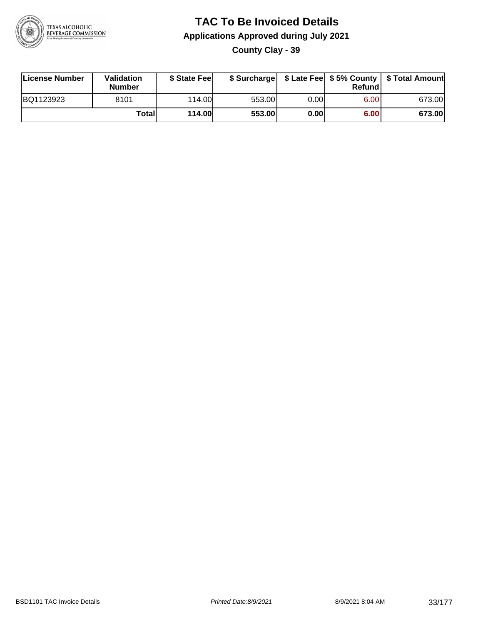

**County Clay - 39**

| License Number | Validation<br><b>Number</b> | \$ State Fee  |        |      | Refund | \$ Surcharge   \$ Late Fee   \$5% County   \$ Total Amount |
|----------------|-----------------------------|---------------|--------|------|--------|------------------------------------------------------------|
| BQ1123923      | 8101                        | 114.00L       | 553.00 | 0.00 | 6.00   | 673.00                                                     |
|                | Total                       | <b>114.00</b> | 553.00 | 0.00 | 6.00   | 673.00                                                     |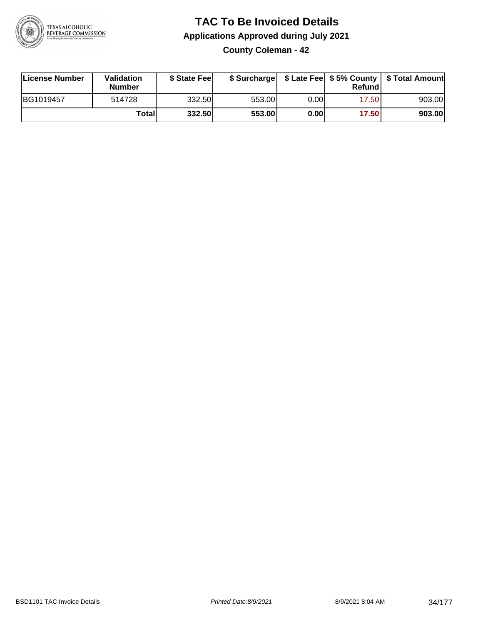

**County Coleman - 42**

| License Number | <b>Validation</b><br><b>Number</b> | \$ State Fee | \$ Surcharge |      | Refundl | \$ Late Fee   \$5% County   \$ Total Amount |
|----------------|------------------------------------|--------------|--------------|------|---------|---------------------------------------------|
| BG1019457      | 514728                             | 332.50       | 553.00       | 0.00 | 17.501  | 903.00                                      |
|                | Totall                             | 332.50       | 553.00       | 0.00 | 17.50   | 903.00                                      |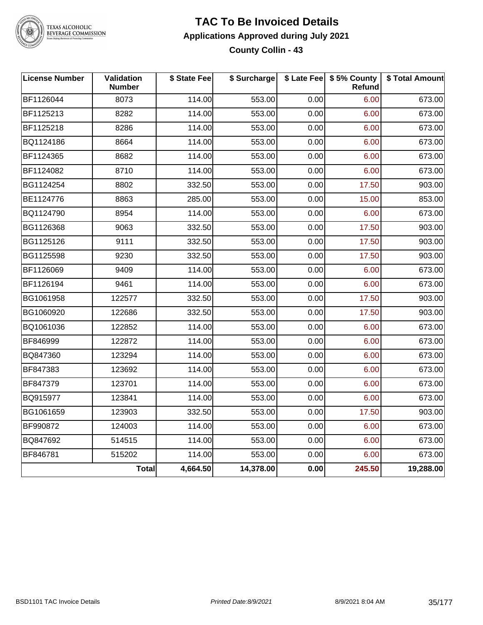

# TEXAS ALCOHOLIC<br>BEVERAGE COMMISSION

#### **TAC To Be Invoiced Details Applications Approved during July 2021 County Collin - 43**

| <b>License Number</b> | <b>Validation</b><br><b>Number</b> | \$ State Fee | \$ Surcharge |      | \$ Late Fee   \$5% County<br>Refund | \$ Total Amount |
|-----------------------|------------------------------------|--------------|--------------|------|-------------------------------------|-----------------|
| BF1126044             | 8073                               | 114.00       | 553.00       | 0.00 | 6.00                                | 673.00          |
| BF1125213             | 8282                               | 114.00       | 553.00       | 0.00 | 6.00                                | 673.00          |
| BF1125218             | 8286                               | 114.00       | 553.00       | 0.00 | 6.00                                | 673.00          |
| BQ1124186             | 8664                               | 114.00       | 553.00       | 0.00 | 6.00                                | 673.00          |
| BF1124365             | 8682                               | 114.00       | 553.00       | 0.00 | 6.00                                | 673.00          |
| BF1124082             | 8710                               | 114.00       | 553.00       | 0.00 | 6.00                                | 673.00          |
| BG1124254             | 8802                               | 332.50       | 553.00       | 0.00 | 17.50                               | 903.00          |
| BE1124776             | 8863                               | 285.00       | 553.00       | 0.00 | 15.00                               | 853.00          |
| BQ1124790             | 8954                               | 114.00       | 553.00       | 0.00 | 6.00                                | 673.00          |
| BG1126368             | 9063                               | 332.50       | 553.00       | 0.00 | 17.50                               | 903.00          |
| BG1125126             | 9111                               | 332.50       | 553.00       | 0.00 | 17.50                               | 903.00          |
| BG1125598             | 9230                               | 332.50       | 553.00       | 0.00 | 17.50                               | 903.00          |
| BF1126069             | 9409                               | 114.00       | 553.00       | 0.00 | 6.00                                | 673.00          |
| BF1126194             | 9461                               | 114.00       | 553.00       | 0.00 | 6.00                                | 673.00          |
| BG1061958             | 122577                             | 332.50       | 553.00       | 0.00 | 17.50                               | 903.00          |
| BG1060920             | 122686                             | 332.50       | 553.00       | 0.00 | 17.50                               | 903.00          |
| BQ1061036             | 122852                             | 114.00       | 553.00       | 0.00 | 6.00                                | 673.00          |
| BF846999              | 122872                             | 114.00       | 553.00       | 0.00 | 6.00                                | 673.00          |
| BQ847360              | 123294                             | 114.00       | 553.00       | 0.00 | 6.00                                | 673.00          |
| BF847383              | 123692                             | 114.00       | 553.00       | 0.00 | 6.00                                | 673.00          |
| BF847379              | 123701                             | 114.00       | 553.00       | 0.00 | 6.00                                | 673.00          |
| BQ915977              | 123841                             | 114.00       | 553.00       | 0.00 | 6.00                                | 673.00          |
| BG1061659             | 123903                             | 332.50       | 553.00       | 0.00 | 17.50                               | 903.00          |
| BF990872              | 124003                             | 114.00       | 553.00       | 0.00 | 6.00                                | 673.00          |
| BQ847692              | 514515                             | 114.00       | 553.00       | 0.00 | 6.00                                | 673.00          |
| BF846781              | 515202                             | 114.00       | 553.00       | 0.00 | 6.00                                | 673.00          |
|                       | <b>Total</b>                       | 4,664.50     | 14,378.00    | 0.00 | 245.50                              | 19,288.00       |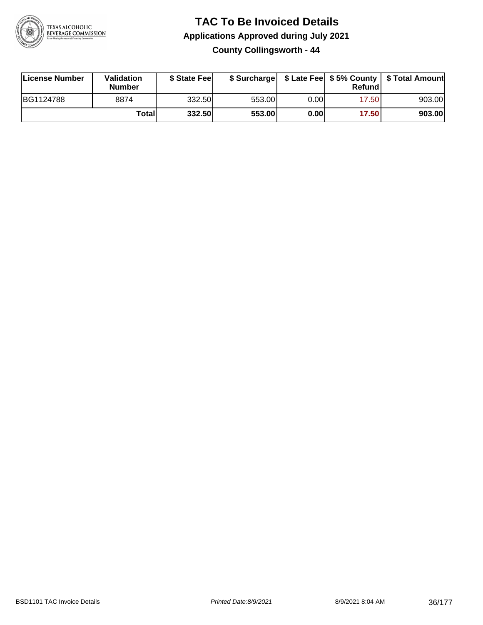

**County Collingsworth - 44**

| License Number | <b>Validation</b><br><b>Number</b> | \$ State Feel |        |      | Refundl | \$ Surcharge   \$ Late Fee   \$5% County   \$ Total Amount |
|----------------|------------------------------------|---------------|--------|------|---------|------------------------------------------------------------|
| BG1124788      | 8874                               | 332.50        | 553.00 | 0.00 | 17.50   | 903.00                                                     |
|                | Totall                             | 332.50        | 553.00 | 0.00 | 17.50   | 903.00                                                     |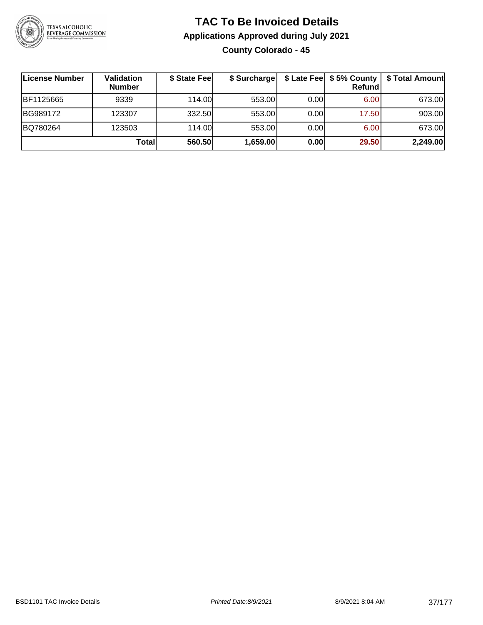

### **TAC To Be Invoiced Details Applications Approved during July 2021 County Colorado - 45**

| License Number | Validation<br><b>Number</b> | \$ State Fee | \$ Surcharge |      | \$ Late Fee   \$5% County<br>Refundl | \$ Total Amount |
|----------------|-----------------------------|--------------|--------------|------|--------------------------------------|-----------------|
| BF1125665      | 9339                        | 114.00L      | 553.00       | 0.00 | 6.00                                 | 673.00          |
| BG989172       | 123307                      | 332.50       | 553.00       | 0.00 | 17.50                                | 903.00          |
| BQ780264       | 123503                      | 114.00       | 553.00       | 0.00 | 6.00                                 | 673.00          |
|                | Totall                      | 560.50       | 1,659.00     | 0.00 | 29.50                                | 2,249.00        |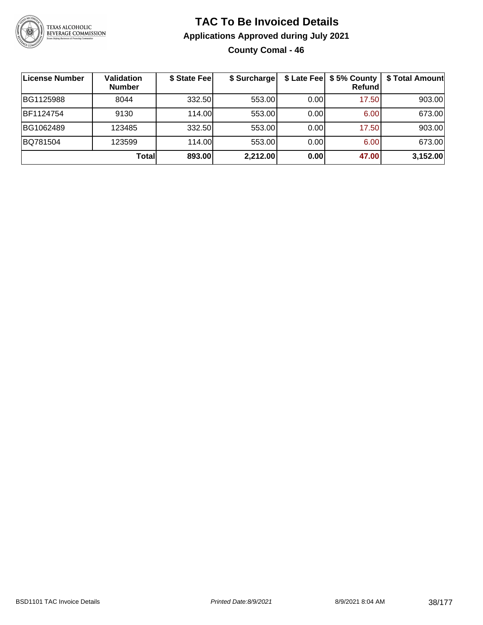

### **TAC To Be Invoiced Details Applications Approved during July 2021 County Comal - 46**

| ∣License Number | Validation<br><b>Number</b> | \$ State Fee | \$ Surcharge |      | \$ Late Fee   \$5% County<br>Refundl | \$ Total Amount |
|-----------------|-----------------------------|--------------|--------------|------|--------------------------------------|-----------------|
| BG1125988       | 8044                        | 332.50       | 553.00       | 0.00 | 17.50                                | 903.00          |
| BF1124754       | 9130                        | 114.00L      | 553.00       | 0.00 | 6.00                                 | 673.00          |
| BG1062489       | 123485                      | 332.50       | 553.00       | 0.00 | 17.50                                | 903.00          |
| BQ781504        | 123599                      | 114.00       | 553.00       | 0.00 | 6.00                                 | 673.00          |
|                 | Total                       | 893.00       | 2,212.00     | 0.00 | 47.00                                | 3,152.00        |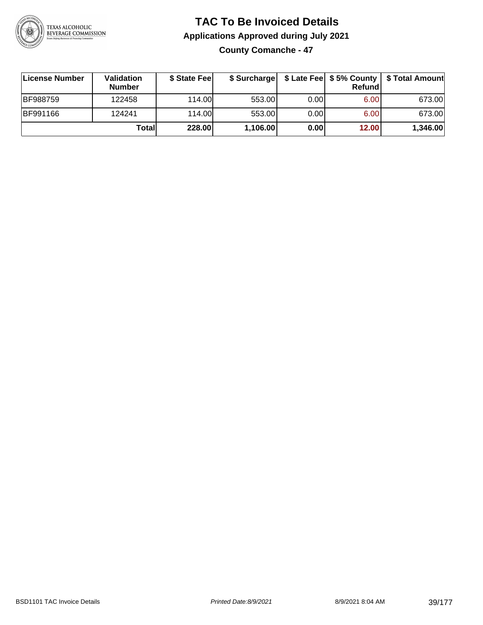

### **TAC To Be Invoiced Details Applications Approved during July 2021 County Comanche - 47**

| License Number  | Validation<br><b>Number</b> | \$ State Fee |          |      | Refund | \$ Surcharge   \$ Late Fee   \$5% County   \$ Total Amount |
|-----------------|-----------------------------|--------------|----------|------|--------|------------------------------------------------------------|
| <b>BF988759</b> | 122458                      | 114.00L      | 553.00   | 0.00 | 6.00   | 673.00                                                     |
| BF991166        | 124241                      | 114.00       | 553.00   | 0.00 | 6.00   | 673.00                                                     |
|                 | Totall                      | 228.00       | 1,106.00 | 0.00 | 12.00  | 1,346.00                                                   |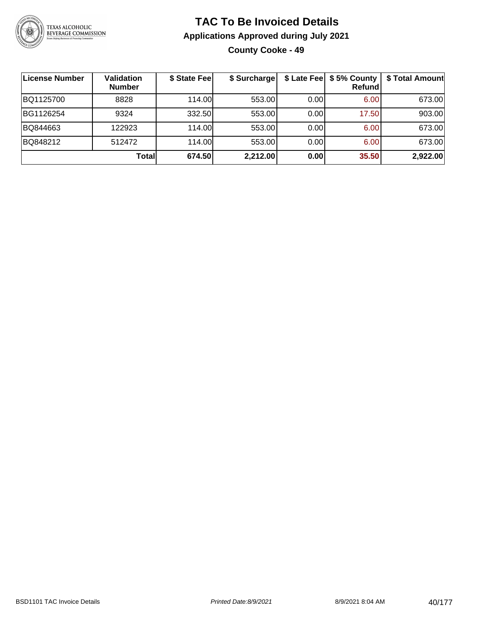

### **TAC To Be Invoiced Details Applications Approved during July 2021 County Cooke - 49**

| ∣License Number | Validation<br><b>Number</b> | \$ State Fee | \$ Surcharge |      | \$ Late Fee   \$5% County<br><b>Refund</b> | \$ Total Amount |
|-----------------|-----------------------------|--------------|--------------|------|--------------------------------------------|-----------------|
| BQ1125700       | 8828                        | 114.00       | 553.00       | 0.00 | 6.00                                       | 673.00          |
| BG1126254       | 9324                        | 332.50       | 553.00       | 0.00 | 17.50                                      | 903.00          |
| BQ844663        | 122923                      | 114.00       | 553.00       | 0.00 | 6.00                                       | 673.00          |
| BQ848212        | 512472                      | 114.00L      | 553.00       | 0.00 | 6.00                                       | 673.00          |
|                 | <b>Total</b>                | 674.50       | 2,212.00     | 0.00 | 35.50                                      | 2,922.00        |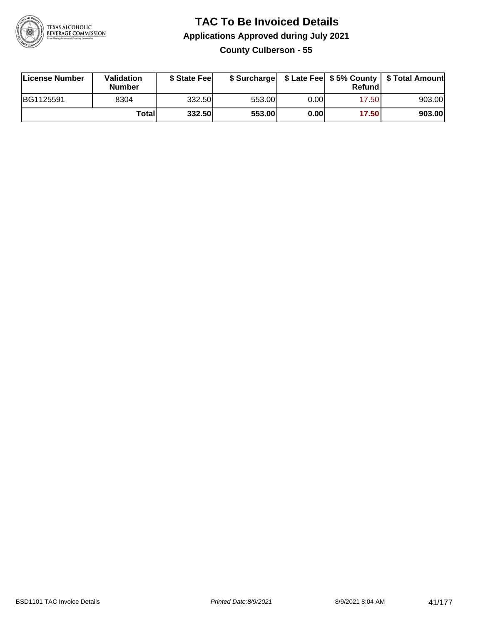

### **TAC To Be Invoiced Details Applications Approved during July 2021 County Culberson - 55**

| ∣License Number | Validation<br><b>Number</b> | \$ State Fee |        |      | Refund | \$ Surcharge   \$ Late Fee   \$5% County   \$ Total Amount |
|-----------------|-----------------------------|--------------|--------|------|--------|------------------------------------------------------------|
| BG1125591       | 8304                        | 332.50       | 553.00 | 0.00 | 17.50  | 903.00                                                     |
|                 | Totall                      | 332.50       | 553.00 | 0.00 | 17.50  | 903.00                                                     |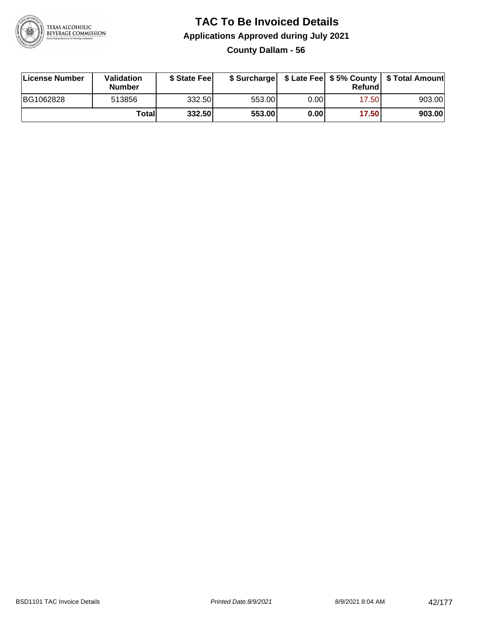

**County Dallam - 56**

| License Number | Validation<br><b>Number</b> | \$ State Feel | \$ Surcharge |      | Refundl |        |
|----------------|-----------------------------|---------------|--------------|------|---------|--------|
| BG1062828      | 513856                      | 332.50        | 553.00       | 0.00 | 17.501  | 903.00 |
|                | <b>Total</b>                | 332.50        | 553.00       | 0.00 | 17.50   | 903.00 |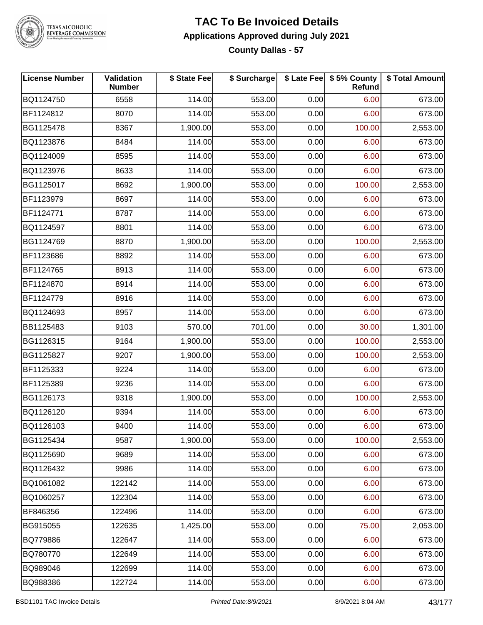

TEXAS ALCOHOLIC<br>BEVERAGE COMMISSION

### **TAC To Be Invoiced Details Applications Approved during July 2021 County Dallas - 57**

| <b>License Number</b> | Validation<br><b>Number</b> | \$ State Fee | \$ Surcharge |      | \$ Late Fee   \$5% County  <br>Refund | \$ Total Amount |
|-----------------------|-----------------------------|--------------|--------------|------|---------------------------------------|-----------------|
| BQ1124750             | 6558                        | 114.00       | 553.00       | 0.00 | 6.00                                  | 673.00          |
| BF1124812             | 8070                        | 114.00       | 553.00       | 0.00 | 6.00                                  | 673.00          |
| BG1125478             | 8367                        | 1,900.00     | 553.00       | 0.00 | 100.00                                | 2,553.00        |
| BQ1123876             | 8484                        | 114.00       | 553.00       | 0.00 | 6.00                                  | 673.00          |
| BQ1124009             | 8595                        | 114.00       | 553.00       | 0.00 | 6.00                                  | 673.00          |
| BQ1123976             | 8633                        | 114.00       | 553.00       | 0.00 | 6.00                                  | 673.00          |
| BG1125017             | 8692                        | 1,900.00     | 553.00       | 0.00 | 100.00                                | 2,553.00        |
| BF1123979             | 8697                        | 114.00       | 553.00       | 0.00 | 6.00                                  | 673.00          |
| BF1124771             | 8787                        | 114.00       | 553.00       | 0.00 | 6.00                                  | 673.00          |
| BQ1124597             | 8801                        | 114.00       | 553.00       | 0.00 | 6.00                                  | 673.00          |
| BG1124769             | 8870                        | 1,900.00     | 553.00       | 0.00 | 100.00                                | 2,553.00        |
| BF1123686             | 8892                        | 114.00       | 553.00       | 0.00 | 6.00                                  | 673.00          |
| BF1124765             | 8913                        | 114.00       | 553.00       | 0.00 | 6.00                                  | 673.00          |
| BF1124870             | 8914                        | 114.00       | 553.00       | 0.00 | 6.00                                  | 673.00          |
| BF1124779             | 8916                        | 114.00       | 553.00       | 0.00 | 6.00                                  | 673.00          |
| BQ1124693             | 8957                        | 114.00       | 553.00       | 0.00 | 6.00                                  | 673.00          |
| BB1125483             | 9103                        | 570.00       | 701.00       | 0.00 | 30.00                                 | 1,301.00        |
| BG1126315             | 9164                        | 1,900.00     | 553.00       | 0.00 | 100.00                                | 2,553.00        |
| BG1125827             | 9207                        | 1,900.00     | 553.00       | 0.00 | 100.00                                | 2,553.00        |
| BF1125333             | 9224                        | 114.00       | 553.00       | 0.00 | 6.00                                  | 673.00          |
| BF1125389             | 9236                        | 114.00       | 553.00       | 0.00 | 6.00                                  | 673.00          |
| BG1126173             | 9318                        | 1,900.00     | 553.00       | 0.00 | 100.00                                | 2,553.00        |
| BQ1126120             | 9394                        | 114.00       | 553.00       | 0.00 | 6.00                                  | 673.00          |
| BQ1126103             | 9400                        | 114.00       | 553.00       | 0.00 | 6.00                                  | 673.00          |
| BG1125434             | 9587                        | 1,900.00     | 553.00       | 0.00 | 100.00                                | 2,553.00        |
| BQ1125690             | 9689                        | 114.00       | 553.00       | 0.00 | 6.00                                  | 673.00          |
| BQ1126432             | 9986                        | 114.00       | 553.00       | 0.00 | 6.00                                  | 673.00          |
| BQ1061082             | 122142                      | 114.00       | 553.00       | 0.00 | 6.00                                  | 673.00          |
| BQ1060257             | 122304                      | 114.00       | 553.00       | 0.00 | 6.00                                  | 673.00          |
| BF846356              | 122496                      | 114.00       | 553.00       | 0.00 | 6.00                                  | 673.00          |
| BG915055              | 122635                      | 1,425.00     | 553.00       | 0.00 | 75.00                                 | 2,053.00        |
| BQ779886              | 122647                      | 114.00       | 553.00       | 0.00 | 6.00                                  | 673.00          |
| BQ780770              | 122649                      | 114.00       | 553.00       | 0.00 | 6.00                                  | 673.00          |
| BQ989046              | 122699                      | 114.00       | 553.00       | 0.00 | 6.00                                  | 673.00          |
| BQ988386              | 122724                      | 114.00       | 553.00       | 0.00 | 6.00                                  | 673.00          |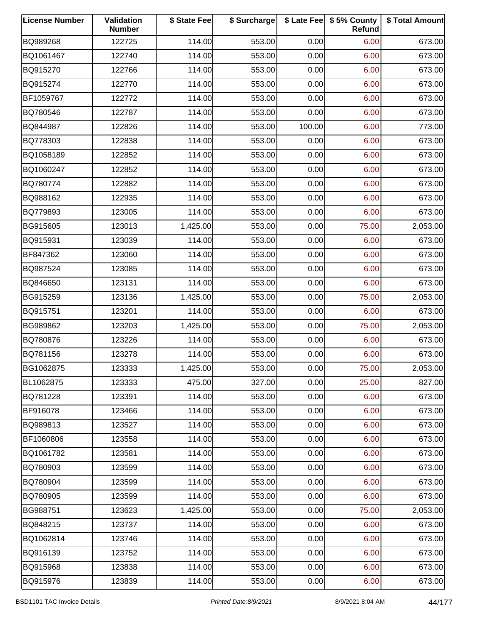| <b>License Number</b> | Validation<br><b>Number</b> | \$ State Fee | \$ Surcharge |        | \$ Late Fee   \$5% County<br>Refund | \$ Total Amount |
|-----------------------|-----------------------------|--------------|--------------|--------|-------------------------------------|-----------------|
| BQ989268              | 122725                      | 114.00       | 553.00       | 0.00   | 6.00                                | 673.00          |
| BQ1061467             | 122740                      | 114.00       | 553.00       | 0.00   | 6.00                                | 673.00          |
| BQ915270              | 122766                      | 114.00       | 553.00       | 0.00   | 6.00                                | 673.00          |
| BQ915274              | 122770                      | 114.00       | 553.00       | 0.00   | 6.00                                | 673.00          |
| BF1059767             | 122772                      | 114.00       | 553.00       | 0.00   | 6.00                                | 673.00          |
| BQ780546              | 122787                      | 114.00       | 553.00       | 0.00   | 6.00                                | 673.00          |
| BQ844987              | 122826                      | 114.00       | 553.00       | 100.00 | 6.00                                | 773.00          |
| BQ778303              | 122838                      | 114.00       | 553.00       | 0.00   | 6.00                                | 673.00          |
| BQ1058189             | 122852                      | 114.00       | 553.00       | 0.00   | 6.00                                | 673.00          |
| BQ1060247             | 122852                      | 114.00       | 553.00       | 0.00   | 6.00                                | 673.00          |
| BQ780774              | 122882                      | 114.00       | 553.00       | 0.00   | 6.00                                | 673.00          |
| BQ988162              | 122935                      | 114.00       | 553.00       | 0.00   | 6.00                                | 673.00          |
| BQ779893              | 123005                      | 114.00       | 553.00       | 0.00   | 6.00                                | 673.00          |
| BG915605              | 123013                      | 1,425.00     | 553.00       | 0.00   | 75.00                               | 2,053.00        |
| BQ915931              | 123039                      | 114.00       | 553.00       | 0.00   | 6.00                                | 673.00          |
| BF847362              | 123060                      | 114.00       | 553.00       | 0.00   | 6.00                                | 673.00          |
| BQ987524              | 123085                      | 114.00       | 553.00       | 0.00   | 6.00                                | 673.00          |
| BQ846650              | 123131                      | 114.00       | 553.00       | 0.00   | 6.00                                | 673.00          |
| BG915259              | 123136                      | 1,425.00     | 553.00       | 0.00   | 75.00                               | 2,053.00        |
| BQ915751              | 123201                      | 114.00       | 553.00       | 0.00   | 6.00                                | 673.00          |
| BG989862              | 123203                      | 1,425.00     | 553.00       | 0.00   | 75.00                               | 2,053.00        |
| BQ780876              | 123226                      | 114.00       | 553.00       | 0.00   | 6.00                                | 673.00          |
| BQ781156              | 123278                      | 114.00       | 553.00       | 0.00   | 6.00                                | 673.00          |
| BG1062875             | 123333                      | 1,425.00     | 553.00       | 0.00   | 75.00                               | 2,053.00        |
| BL1062875             | 123333                      | 475.00       | 327.00       | 0.00   | 25.00                               | 827.00          |
| BQ781228              | 123391                      | 114.00       | 553.00       | 0.00   | 6.00                                | 673.00          |
| BF916078              | 123466                      | 114.00       | 553.00       | 0.00   | 6.00                                | 673.00          |
| BQ989813              | 123527                      | 114.00       | 553.00       | 0.00   | 6.00                                | 673.00          |
| BF1060806             | 123558                      | 114.00       | 553.00       | 0.00   | 6.00                                | 673.00          |
| BQ1061782             | 123581                      | 114.00       | 553.00       | 0.00   | 6.00                                | 673.00          |
| BQ780903              | 123599                      | 114.00       | 553.00       | 0.00   | 6.00                                | 673.00          |
| BQ780904              | 123599                      | 114.00       | 553.00       | 0.00   | 6.00                                | 673.00          |
| BQ780905              | 123599                      | 114.00       | 553.00       | 0.00   | 6.00                                | 673.00          |
| BG988751              | 123623                      | 1,425.00     | 553.00       | 0.00   | 75.00                               | 2,053.00        |
| BQ848215              | 123737                      | 114.00       | 553.00       | 0.00   | 6.00                                | 673.00          |
| BQ1062814             | 123746                      | 114.00       | 553.00       | 0.00   | 6.00                                | 673.00          |
| BQ916139              | 123752                      | 114.00       | 553.00       | 0.00   | 6.00                                | 673.00          |
| BQ915968              | 123838                      | 114.00       | 553.00       | 0.00   | 6.00                                | 673.00          |
| BQ915976              | 123839                      | 114.00       | 553.00       | 0.00   | 6.00                                | 673.00          |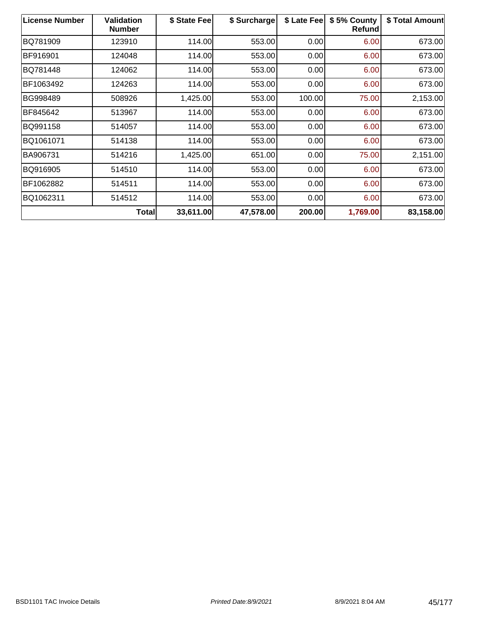| <b>License Number</b> | Validation<br><b>Number</b> | \$ State Fee | \$ Surcharge | \$ Late Fee | \$5% County<br><b>Refund</b> | \$ Total Amount |
|-----------------------|-----------------------------|--------------|--------------|-------------|------------------------------|-----------------|
| BQ781909              | 123910                      | 114.00       | 553.00       | 0.00        | 6.00                         | 673.00          |
| BF916901              | 124048                      | 114.00       | 553.00       | 0.00        | 6.00                         | 673.00          |
| BQ781448              | 124062                      | 114.00       | 553.00       | 0.00        | 6.00                         | 673.00          |
| BF1063492             | 124263                      | 114.00       | 553.00       | 0.00        | 6.00                         | 673.00          |
| BG998489              | 508926                      | 1,425.00     | 553.00       | 100.00      | 75.00                        | 2,153.00        |
| BF845642              | 513967                      | 114.00       | 553.00       | 0.00        | 6.00                         | 673.00          |
| BQ991158              | 514057                      | 114.00       | 553.00       | 0.00        | 6.00                         | 673.00          |
| BQ1061071             | 514138                      | 114.00       | 553.00       | 0.00        | 6.00                         | 673.00          |
| BA906731              | 514216                      | 1,425.00     | 651.00       | 0.00        | 75.00                        | 2,151.00        |
| BQ916905              | 514510                      | 114.00       | 553.00       | 0.00        | 6.00                         | 673.00          |
| BF1062882             | 514511                      | 114.00       | 553.00       | 0.00        | 6.00                         | 673.00          |
| BQ1062311             | 514512                      | 114.00       | 553.00       | 0.00        | 6.00                         | 673.00          |
|                       | <b>Total</b>                | 33,611.00    | 47,578.00    | 200.00      | 1,769.00                     | 83,158.00       |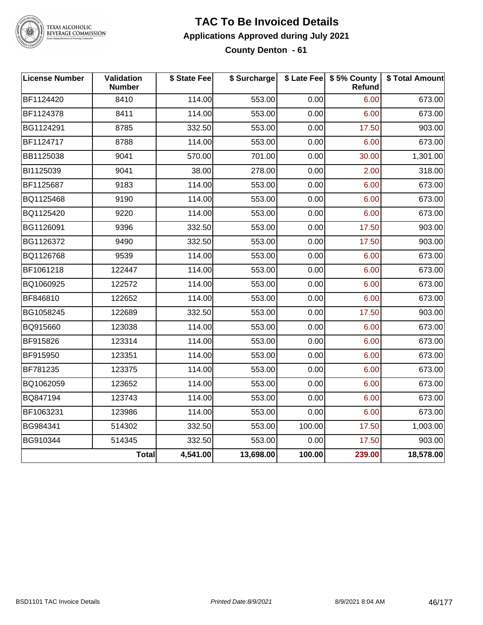

#### **TAC To Be Invoiced Details Applications Approved during July 2021 County Denton - 61**

| <b>License Number</b> | Validation<br><b>Number</b> | \$ State Fee | \$ Surcharge |        | \$ Late Fee   \$5% County<br>Refund | \$ Total Amount |
|-----------------------|-----------------------------|--------------|--------------|--------|-------------------------------------|-----------------|
| BF1124420             | 8410                        | 114.00       | 553.00       | 0.00   | 6.00                                | 673.00          |
| BF1124378             | 8411                        | 114.00       | 553.00       | 0.00   | 6.00                                | 673.00          |
| BG1124291             | 8785                        | 332.50       | 553.00       | 0.00   | 17.50                               | 903.00          |
| BF1124717             | 8788                        | 114.00       | 553.00       | 0.00   | 6.00                                | 673.00          |
| BB1125038             | 9041                        | 570.00       | 701.00       | 0.00   | 30.00                               | 1,301.00        |
| BI1125039             | 9041                        | 38.00        | 278.00       | 0.00   | 2.00                                | 318.00          |
| BF1125687             | 9183                        | 114.00       | 553.00       | 0.00   | 6.00                                | 673.00          |
| BQ1125468             | 9190                        | 114.00       | 553.00       | 0.00   | 6.00                                | 673.00          |
| BQ1125420             | 9220                        | 114.00       | 553.00       | 0.00   | 6.00                                | 673.00          |
| BG1126091             | 9396                        | 332.50       | 553.00       | 0.00   | 17.50                               | 903.00          |
| BG1126372             | 9490                        | 332.50       | 553.00       | 0.00   | 17.50                               | 903.00          |
| BQ1126768             | 9539                        | 114.00       | 553.00       | 0.00   | 6.00                                | 673.00          |
| BF1061218             | 122447                      | 114.00       | 553.00       | 0.00   | 6.00                                | 673.00          |
| BQ1060925             | 122572                      | 114.00       | 553.00       | 0.00   | 6.00                                | 673.00          |
| BF846810              | 122652                      | 114.00       | 553.00       | 0.00   | 6.00                                | 673.00          |
| BG1058245             | 122689                      | 332.50       | 553.00       | 0.00   | 17.50                               | 903.00          |
| BQ915660              | 123038                      | 114.00       | 553.00       | 0.00   | 6.00                                | 673.00          |
| BF915826              | 123314                      | 114.00       | 553.00       | 0.00   | 6.00                                | 673.00          |
| BF915950              | 123351                      | 114.00       | 553.00       | 0.00   | 6.00                                | 673.00          |
| BF781235              | 123375                      | 114.00       | 553.00       | 0.00   | 6.00                                | 673.00          |
| BQ1062059             | 123652                      | 114.00       | 553.00       | 0.00   | 6.00                                | 673.00          |
| BQ847194              | 123743                      | 114.00       | 553.00       | 0.00   | 6.00                                | 673.00          |
| BF1063231             | 123986                      | 114.00       | 553.00       | 0.00   | 6.00                                | 673.00          |
| BG984341              | 514302                      | 332.50       | 553.00       | 100.00 | 17.50                               | 1,003.00        |
| BG910344              | 514345                      | 332.50       | 553.00       | 0.00   | 17.50                               | 903.00          |
|                       | <b>Total</b>                | 4,541.00     | 13,698.00    | 100.00 | 239.00                              | 18,578.00       |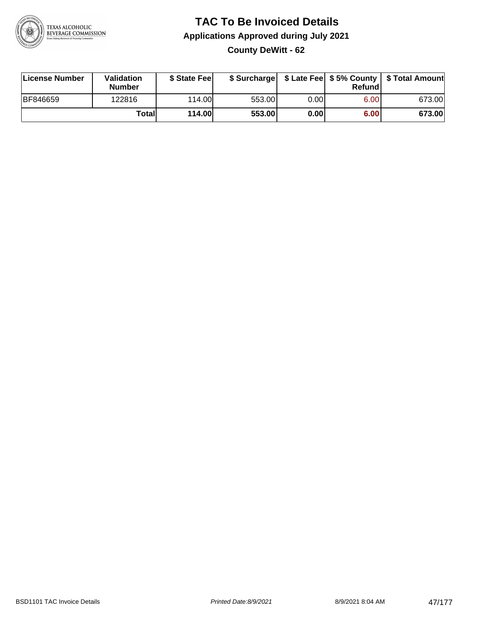

### **TAC To Be Invoiced Details Applications Approved during July 2021 County DeWitt - 62**

| License Number  | Validation<br><b>Number</b> | \$ State Fee  | \$ Surcharge |       | Refundl | \$ Late Fee   \$5% County   \$ Total Amount |
|-----------------|-----------------------------|---------------|--------------|-------|---------|---------------------------------------------|
| <b>BF846659</b> | 122816                      | 114.00        | 553.00       | 0.001 | 6.00    | 673.00                                      |
|                 | Totall                      | <b>114.00</b> | 553.00       | 0.00  | 6.00    | 673.00                                      |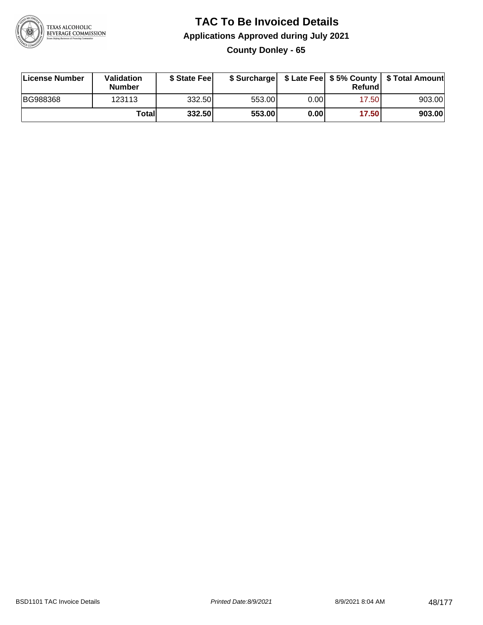

**County Donley - 65**

| License Number  | <b>Validation</b><br><b>Number</b> | \$ State Feel |        |       | Refundl | \$ Surcharge   \$ Late Fee   \$5% County   \$ Total Amount |
|-----------------|------------------------------------|---------------|--------|-------|---------|------------------------------------------------------------|
| <b>BG988368</b> | 123113                             | 332.50        | 553.00 | 0.00I | 17.50   | 903.00                                                     |
|                 | Totall                             | 332.50        | 553.00 | 0.00  | 17.50   | 903.00                                                     |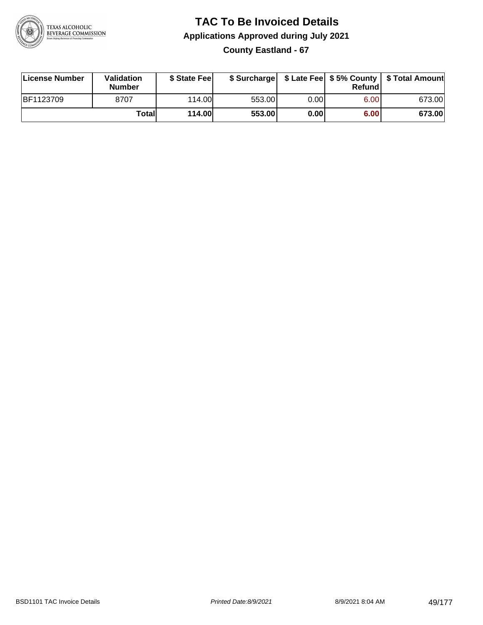

### **TAC To Be Invoiced Details Applications Approved during July 2021 County Eastland - 67**

| License Number | Validation<br><b>Number</b> | \$ State Fee  |        |      | Refund | \$ Surcharge   \$ Late Fee   \$5% County   \$ Total Amount |
|----------------|-----------------------------|---------------|--------|------|--------|------------------------------------------------------------|
| BF1123709      | 8707                        | 114.00        | 553.00 | 0.00 | 6.00   | 673.00                                                     |
|                | Totall                      | <b>114.00</b> | 553.00 | 0.00 | 6.00   | 673.00                                                     |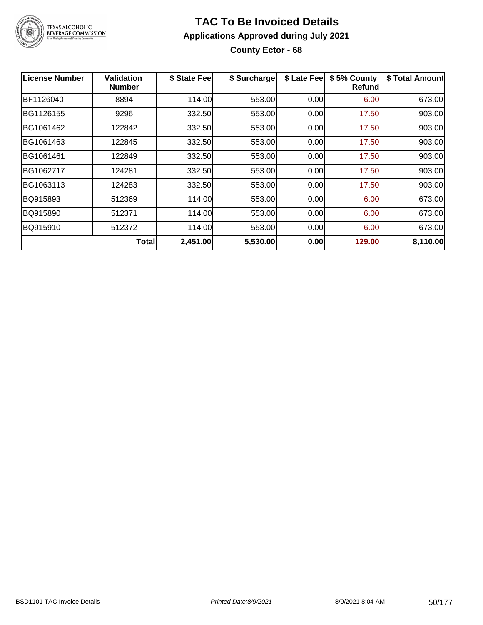

### **TAC To Be Invoiced Details Applications Approved during July 2021 County Ector - 68**

| License Number | Validation<br>Number | \$ State Fee | \$ Surcharge | \$ Late Fee | \$5% County<br><b>Refund</b> | \$ Total Amount |
|----------------|----------------------|--------------|--------------|-------------|------------------------------|-----------------|
| BF1126040      | 8894                 | 114.00       | 553.00       | 0.00        | 6.00                         | 673.00          |
| BG1126155      | 9296                 | 332.50       | 553.00       | 0.00        | 17.50                        | 903.00          |
| BG1061462      | 122842               | 332.50       | 553.00       | 0.00        | 17.50                        | 903.00          |
| BG1061463      | 122845               | 332.50       | 553.00       | 0.00        | 17.50                        | 903.00          |
| BG1061461      | 122849               | 332.50       | 553.00       | 0.00        | 17.50                        | 903.00          |
| BG1062717      | 124281               | 332.50       | 553.00       | 0.00        | 17.50                        | 903.00          |
| BG1063113      | 124283               | 332.50       | 553.00       | 0.00        | 17.50                        | 903.00          |
| BQ915893       | 512369               | 114.00       | 553.00       | 0.00        | 6.00                         | 673.00          |
| BQ915890       | 512371               | 114.00       | 553.00       | 0.00        | 6.00                         | 673.00          |
| BQ915910       | 512372               | 114.00       | 553.00       | 0.00        | 6.00                         | 673.00          |
|                | Total                | 2,451.00     | 5,530.00     | 0.00        | 129.00                       | 8,110.00        |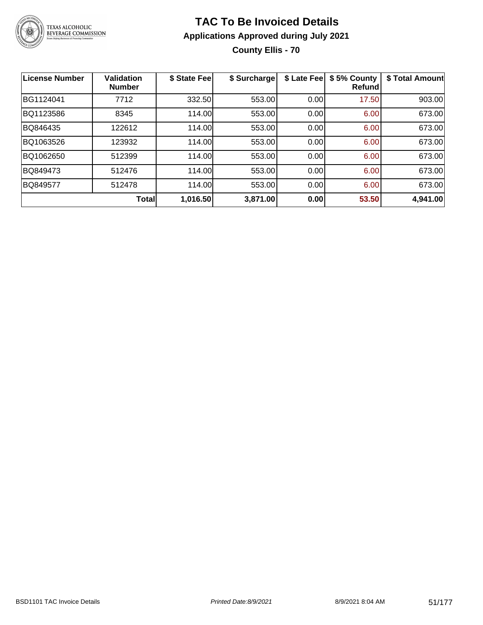

### **TAC To Be Invoiced Details Applications Approved during July 2021 County Ellis - 70**

| <b>License Number</b> | <b>Validation</b><br><b>Number</b> | \$ State Fee | \$ Surcharge | \$ Late Fee | \$5% County<br><b>Refund</b> | \$ Total Amount |
|-----------------------|------------------------------------|--------------|--------------|-------------|------------------------------|-----------------|
| BG1124041             | 7712                               | 332.50       | 553.00       | 0.00        | 17.50                        | 903.00          |
| BQ1123586             | 8345                               | 114.00       | 553.00       | 0.00        | 6.00                         | 673.00          |
| BQ846435              | 122612                             | 114.00       | 553.00       | 0.00        | 6.00                         | 673.00          |
| BQ1063526             | 123932                             | 114.00       | 553.00       | 0.00        | 6.00                         | 673.00          |
| BQ1062650             | 512399                             | 114.00       | 553.00       | 0.00        | 6.00                         | 673.00          |
| BQ849473              | 512476                             | 114.00       | 553.00       | 0.00        | 6.00                         | 673.00          |
| BQ849577              | 512478                             | 114.00       | 553.00       | 0.00        | 6.00                         | 673.00          |
|                       | <b>Total</b>                       | 1,016.50     | 3,871.00     | 0.00        | 53.50                        | 4,941.00        |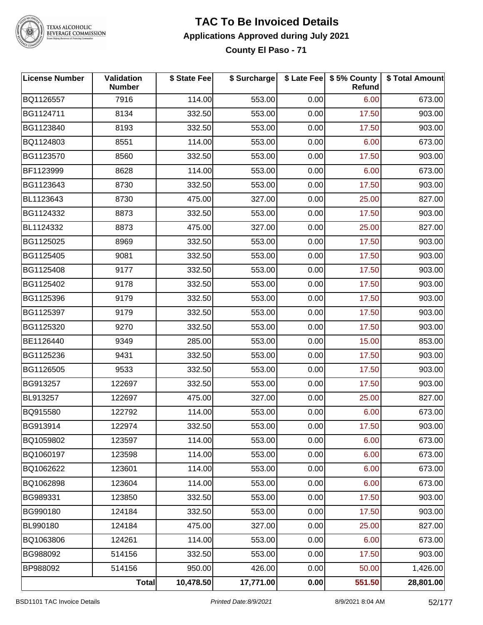

# TEXAS ALCOHOLIC<br>BEVERAGE COMMISSION

### **TAC To Be Invoiced Details Applications Approved during July 2021**

**County El Paso - 71**

| <b>License Number</b> | <b>Validation</b><br><b>Number</b> | \$ State Fee | \$ Surcharge |      | \$ Late Fee   \$5% County<br>Refund | \$ Total Amount |
|-----------------------|------------------------------------|--------------|--------------|------|-------------------------------------|-----------------|
| BQ1126557             | 7916                               | 114.00       | 553.00       | 0.00 | 6.00                                | 673.00          |
| BG1124711             | 8134                               | 332.50       | 553.00       | 0.00 | 17.50                               | 903.00          |
| BG1123840             | 8193                               | 332.50       | 553.00       | 0.00 | 17.50                               | 903.00          |
| BQ1124803             | 8551                               | 114.00       | 553.00       | 0.00 | 6.00                                | 673.00          |
| BG1123570             | 8560                               | 332.50       | 553.00       | 0.00 | 17.50                               | 903.00          |
| BF1123999             | 8628                               | 114.00       | 553.00       | 0.00 | 6.00                                | 673.00          |
| BG1123643             | 8730                               | 332.50       | 553.00       | 0.00 | 17.50                               | 903.00          |
| BL1123643             | 8730                               | 475.00       | 327.00       | 0.00 | 25.00                               | 827.00          |
| BG1124332             | 8873                               | 332.50       | 553.00       | 0.00 | 17.50                               | 903.00          |
| BL1124332             | 8873                               | 475.00       | 327.00       | 0.00 | 25.00                               | 827.00          |
| BG1125025             | 8969                               | 332.50       | 553.00       | 0.00 | 17.50                               | 903.00          |
| BG1125405             | 9081                               | 332.50       | 553.00       | 0.00 | 17.50                               | 903.00          |
| BG1125408             | 9177                               | 332.50       | 553.00       | 0.00 | 17.50                               | 903.00          |
| BG1125402             | 9178                               | 332.50       | 553.00       | 0.00 | 17.50                               | 903.00          |
| BG1125396             | 9179                               | 332.50       | 553.00       | 0.00 | 17.50                               | 903.00          |
| BG1125397             | 9179                               | 332.50       | 553.00       | 0.00 | 17.50                               | 903.00          |
| BG1125320             | 9270                               | 332.50       | 553.00       | 0.00 | 17.50                               | 903.00          |
| BE1126440             | 9349                               | 285.00       | 553.00       | 0.00 | 15.00                               | 853.00          |
| BG1125236             | 9431                               | 332.50       | 553.00       | 0.00 | 17.50                               | 903.00          |
| BG1126505             | 9533                               | 332.50       | 553.00       | 0.00 | 17.50                               | 903.00          |
| BG913257              | 122697                             | 332.50       | 553.00       | 0.00 | 17.50                               | 903.00          |
| BL913257              | 122697                             | 475.00       | 327.00       | 0.00 | 25.00                               | 827.00          |
| BQ915580              | 122792                             | 114.00       | 553.00       | 0.00 | 6.00                                | 673.00          |
| BG913914              | 122974                             | 332.50       | 553.00       | 0.00 | 17.50                               | 903.00          |
| BQ1059802             | 123597                             | 114.00       | 553.00       | 0.00 | 6.00                                | 673.00          |
| BQ1060197             | 123598                             | 114.00       | 553.00       | 0.00 | 6.00                                | 673.00          |
| BQ1062622             | 123601                             | 114.00       | 553.00       | 0.00 | 6.00                                | 673.00          |
| BQ1062898             | 123604                             | 114.00       | 553.00       | 0.00 | 6.00                                | 673.00          |
| BG989331              | 123850                             | 332.50       | 553.00       | 0.00 | 17.50                               | 903.00          |
| BG990180              | 124184                             | 332.50       | 553.00       | 0.00 | 17.50                               | 903.00          |
| BL990180              | 124184                             | 475.00       | 327.00       | 0.00 | 25.00                               | 827.00          |
| BQ1063806             | 124261                             | 114.00       | 553.00       | 0.00 | 6.00                                | 673.00          |
| BG988092              | 514156                             | 332.50       | 553.00       | 0.00 | 17.50                               | 903.00          |
| BP988092              | 514156                             | 950.00       | 426.00       | 0.00 | 50.00                               | 1,426.00        |
|                       | Total                              | 10,478.50    | 17,771.00    | 0.00 | 551.50                              | 28,801.00       |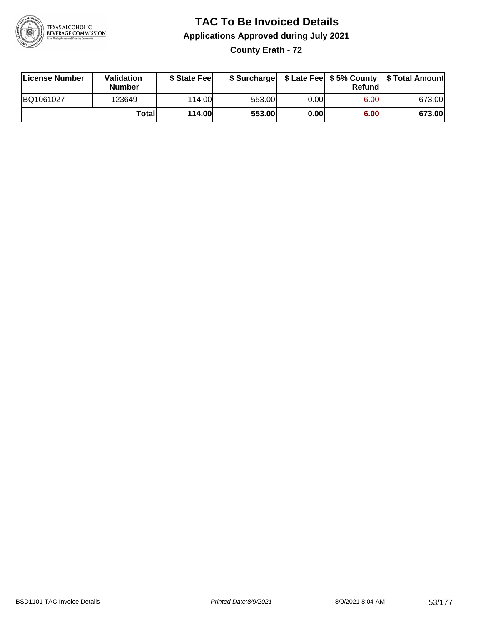

**County Erath - 72**

| License Number | Validation<br><b>Number</b> | \$ State Fee  | \$ Surcharge |      | Refundl | \$ Late Fee   \$5% County   \$ Total Amount |
|----------------|-----------------------------|---------------|--------------|------|---------|---------------------------------------------|
| BQ1061027      | 123649                      | 114.00        | 553.00       | 0.00 | 6.00    | 673.00                                      |
|                | Totall                      | <b>114.00</b> | 553.00       | 0.00 | 6.00    | 673.00                                      |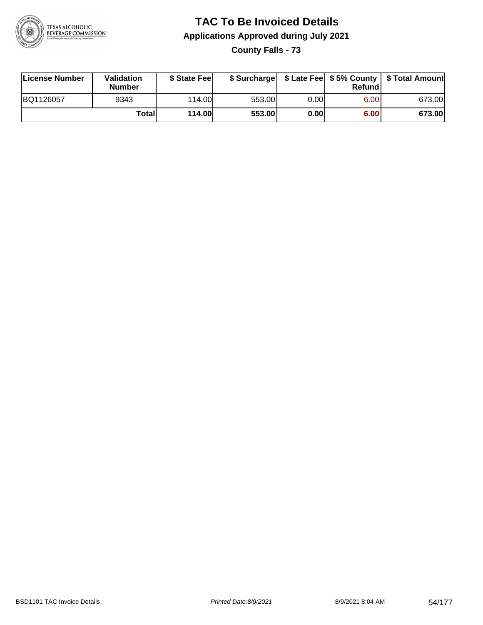

**County Falls - 73**

| License Number | <b>Validation</b><br><b>Number</b> | \$ State Feel |        |      | Refundl | \$ Surcharge   \$ Late Fee   \$5% County   \$ Total Amount |
|----------------|------------------------------------|---------------|--------|------|---------|------------------------------------------------------------|
| BQ1126057      | 9343                               | 114.00        | 553.00 | 0.00 | 6.00    | 673.00                                                     |
|                | Totall                             | 114.00        | 553.00 | 0.00 | 6.00    | 673.00                                                     |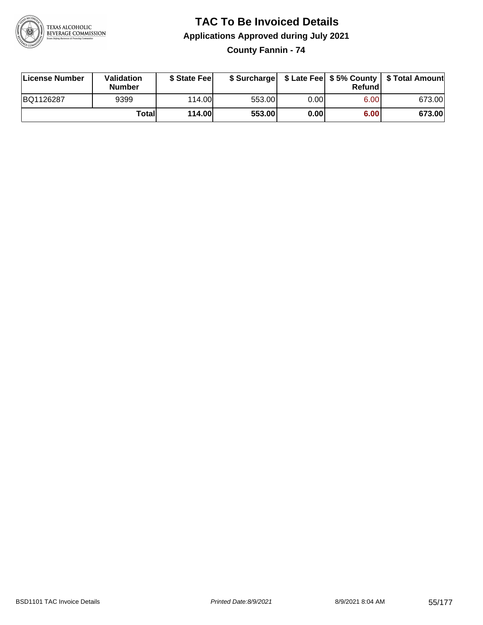

**County Fannin - 74**

| License Number | Validation<br><b>Number</b> | \$ State Fee  | \$ Surcharge |      | Refund |        |
|----------------|-----------------------------|---------------|--------------|------|--------|--------|
| BQ1126287      | 9399                        | 114.00        | 553.00       | 0.00 | 6.00   | 673.00 |
|                | Totall                      | <b>114.00</b> | 553.00       | 0.00 | 6.00   | 673.00 |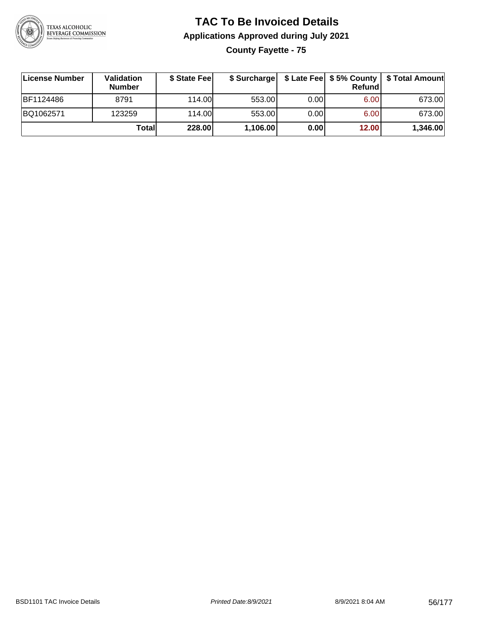

### **TAC To Be Invoiced Details Applications Approved during July 2021 County Fayette - 75**

**License Number Validation Number \$ State Fee \$ Surcharge \$ Late Fee \$ 5% County Refund \$ Total Amount** BF1124486 8791 114.00 553.00 0.00 6.00 673.00 BQ1062571 123259 114.00 553.00 0.00 6.00 673.00 **Total 228.00 1,106.00 0.00 12.00 1,346.00**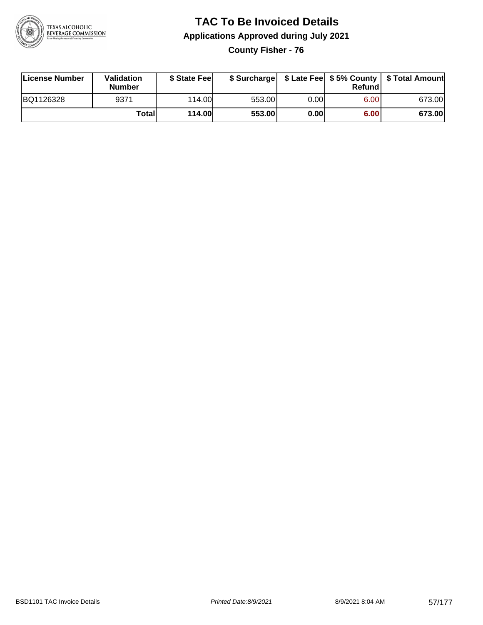

**County Fisher - 76**

| License Number | Validation<br><b>Number</b> | \$ State Fee  | \$ Surcharge |      | Refund |        |
|----------------|-----------------------------|---------------|--------------|------|--------|--------|
| BQ1126328      | 9371                        | 114.00        | 553.00       | 0.00 | 6.00   | 673.00 |
|                | Totall                      | <b>114.00</b> | 553.00       | 0.00 | 6.00   | 673.00 |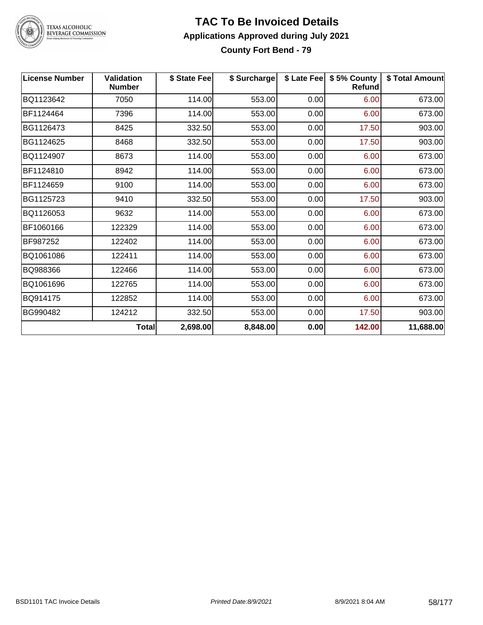

# TEXAS ALCOHOLIC<br>BEVERAGE COMMISSION

#### **TAC To Be Invoiced Details Applications Approved during July 2021 County Fort Bend - 79**

| <b>License Number</b> | <b>Validation</b><br><b>Number</b> | \$ State Fee | \$ Surcharge |      | \$ Late Fee   \$5% County  <br>Refund | \$ Total Amount |
|-----------------------|------------------------------------|--------------|--------------|------|---------------------------------------|-----------------|
| BQ1123642             | 7050                               | 114.00       | 553.00       | 0.00 | 6.00                                  | 673.00          |
| BF1124464             | 7396                               | 114.00       | 553.00       | 0.00 | 6.00                                  | 673.00          |
| BG1126473             | 8425                               | 332.50       | 553.00       | 0.00 | 17.50                                 | 903.00          |
| BG1124625             | 8468                               | 332.50       | 553.00       | 0.00 | 17.50                                 | 903.00          |
| BQ1124907             | 8673                               | 114.00       | 553.00       | 0.00 | 6.00                                  | 673.00          |
| BF1124810             | 8942                               | 114.00       | 553.00       | 0.00 | 6.00                                  | 673.00          |
| BF1124659             | 9100                               | 114.00       | 553.00       | 0.00 | 6.00                                  | 673.00          |
| BG1125723             | 9410                               | 332.50       | 553.00       | 0.00 | 17.50                                 | 903.00          |
| BQ1126053             | 9632                               | 114.00       | 553.00       | 0.00 | 6.00                                  | 673.00          |
| BF1060166             | 122329                             | 114.00       | 553.00       | 0.00 | 6.00                                  | 673.00          |
| BF987252              | 122402                             | 114.00       | 553.00       | 0.00 | 6.00                                  | 673.00          |
| BQ1061086             | 122411                             | 114.00       | 553.00       | 0.00 | 6.00                                  | 673.00          |
| BQ988366              | 122466                             | 114.00       | 553.00       | 0.00 | 6.00                                  | 673.00          |
| BQ1061696             | 122765                             | 114.00       | 553.00       | 0.00 | 6.00                                  | 673.00          |
| BQ914175              | 122852                             | 114.00       | 553.00       | 0.00 | 6.00                                  | 673.00          |
| BG990482              | 124212                             | 332.50       | 553.00       | 0.00 | 17.50                                 | 903.00          |
|                       | Total                              | 2,698.00     | 8,848.00     | 0.00 | 142.00                                | 11,688.00       |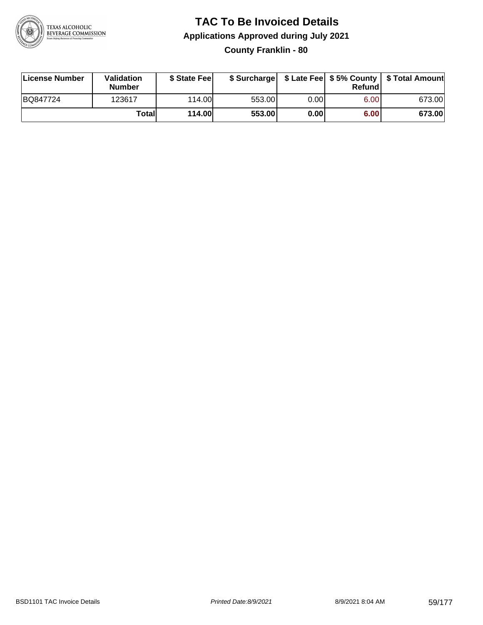

### **TAC To Be Invoiced Details Applications Approved during July 2021 County Franklin - 80**

| License Number | <b>Validation</b><br><b>Number</b> | \$ State Feel |        |      | Refund | \$ Surcharge   \$ Late Fee   \$5% County   \$ Total Amount |
|----------------|------------------------------------|---------------|--------|------|--------|------------------------------------------------------------|
| BQ847724       | 123617                             | 114.00        | 553.00 | 0.00 | 6.00   | 673.00                                                     |
|                | Totall                             | 114.00        | 553.00 | 0.00 | 6.00   | 673.00                                                     |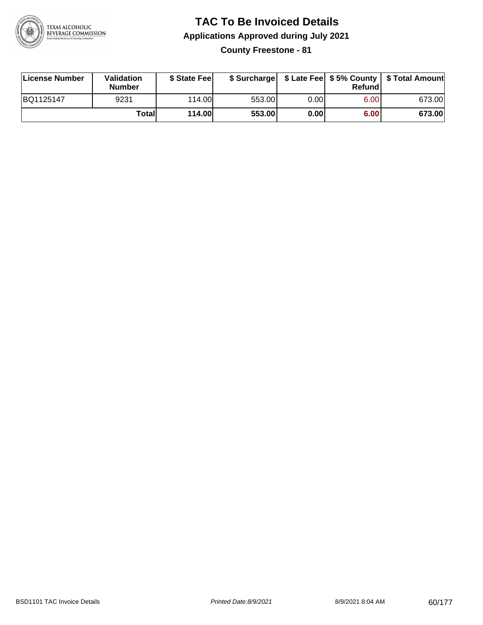

**County Freestone - 81**

| License Number | Validation<br><b>Number</b> | \$ State Fee  | \$ Surcharge |      | Refund |        |
|----------------|-----------------------------|---------------|--------------|------|--------|--------|
| BQ1125147      | 9231                        | 114.00        | 553.00       | 0.00 | 6.00   | 673.00 |
|                | Totall                      | <b>114.00</b> | 553.00       | 0.00 | 6.00   | 673.00 |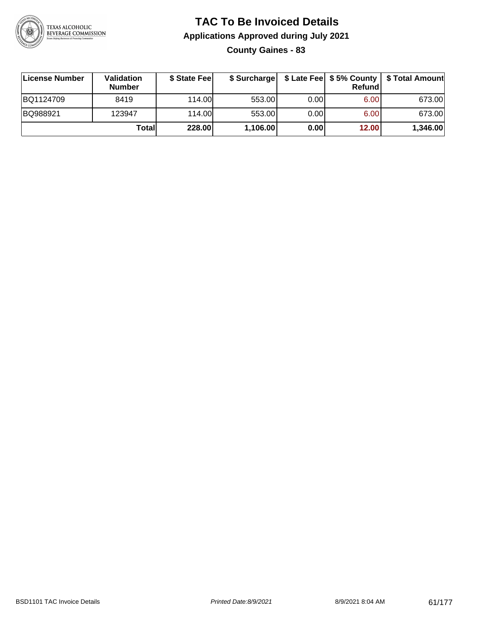

**County Gaines - 83**

| ∣License Number | Validation<br><b>Number</b> | \$ State Fee | \$ Surcharge |      | Refundl           | \$ Late Fee   \$5% County   \$ Total Amount |
|-----------------|-----------------------------|--------------|--------------|------|-------------------|---------------------------------------------|
| BQ1124709       | 8419                        | 114.00       | 553.00       | 0.00 | 6.00 <sub>1</sub> | 673.00                                      |
| BQ988921        | 123947                      | 114.00       | 553.00       | 0.00 | 6.00 <sub>1</sub> | 673.00                                      |
|                 | Totall                      | 228.00       | 1,106.00     | 0.00 | 12.00             | 1,346.00                                    |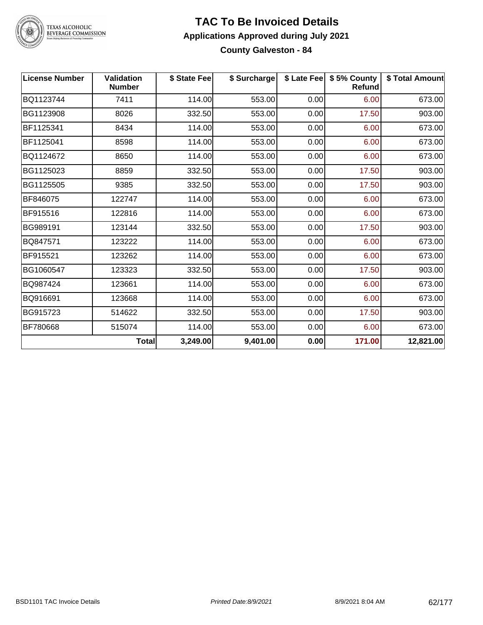

# TEXAS ALCOHOLIC<br>BEVERAGE COMMISSION

#### **TAC To Be Invoiced Details Applications Approved during July 2021 County Galveston - 84**

| <b>License Number</b> | Validation<br><b>Number</b> | \$ State Fee | \$ Surcharge |      | \$ Late Fee   \$5% County<br><b>Refund</b> | \$ Total Amount |
|-----------------------|-----------------------------|--------------|--------------|------|--------------------------------------------|-----------------|
| BQ1123744             | 7411                        | 114.00       | 553.00       | 0.00 | 6.00                                       | 673.00          |
| BG1123908             | 8026                        | 332.50       | 553.00       | 0.00 | 17.50                                      | 903.00          |
| BF1125341             | 8434                        | 114.00       | 553.00       | 0.00 | 6.00                                       | 673.00          |
| BF1125041             | 8598                        | 114.00       | 553.00       | 0.00 | 6.00                                       | 673.00          |
| BQ1124672             | 8650                        | 114.00       | 553.00       | 0.00 | 6.00                                       | 673.00          |
| BG1125023             | 8859                        | 332.50       | 553.00       | 0.00 | 17.50                                      | 903.00          |
| BG1125505             | 9385                        | 332.50       | 553.00       | 0.00 | 17.50                                      | 903.00          |
| BF846075              | 122747                      | 114.00       | 553.00       | 0.00 | 6.00                                       | 673.00          |
| BF915516              | 122816                      | 114.00       | 553.00       | 0.00 | 6.00                                       | 673.00          |
| BG989191              | 123144                      | 332.50       | 553.00       | 0.00 | 17.50                                      | 903.00          |
| BQ847571              | 123222                      | 114.00       | 553.00       | 0.00 | 6.00                                       | 673.00          |
| BF915521              | 123262                      | 114.00       | 553.00       | 0.00 | 6.00                                       | 673.00          |
| BG1060547             | 123323                      | 332.50       | 553.00       | 0.00 | 17.50                                      | 903.00          |
| BQ987424              | 123661                      | 114.00       | 553.00       | 0.00 | 6.00                                       | 673.00          |
| BQ916691              | 123668                      | 114.00       | 553.00       | 0.00 | 6.00                                       | 673.00          |
| BG915723              | 514622                      | 332.50       | 553.00       | 0.00 | 17.50                                      | 903.00          |
| BF780668              | 515074                      | 114.00       | 553.00       | 0.00 | 6.00                                       | 673.00          |
|                       | <b>Total</b>                | 3,249.00     | 9,401.00     | 0.00 | 171.00                                     | 12,821.00       |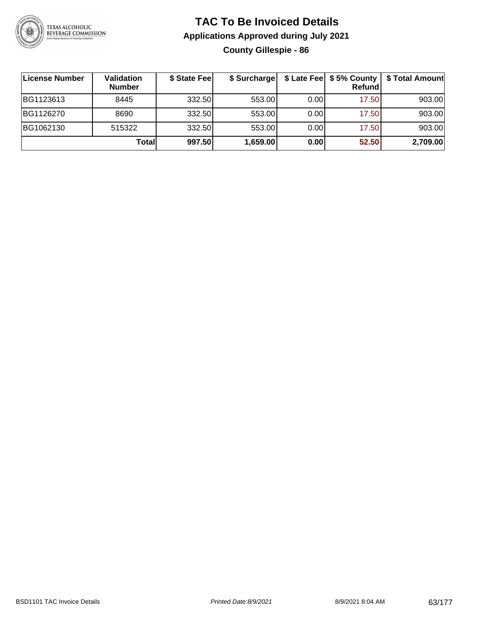

### **TAC To Be Invoiced Details Applications Approved during July 2021 County Gillespie - 86**

| License Number | Validation<br><b>Number</b> | \$ State Fee | \$ Surcharge |       | \$ Late Fee   \$5% County<br>Refund | \$ Total Amount |
|----------------|-----------------------------|--------------|--------------|-------|-------------------------------------|-----------------|
| BG1123613      | 8445                        | 332.50       | 553.00       | 0.001 | 17.50                               | 903.00          |
| BG1126270      | 8690                        | 332.50       | 553.00       | 0.00  | 17.50                               | 903.00          |
| BG1062130      | 515322                      | 332.50       | 553.00       | 0.00  | 17.50                               | 903.00          |
|                | Totall                      | 997.50       | 1,659.00     | 0.00  | 52.50                               | 2,709.00        |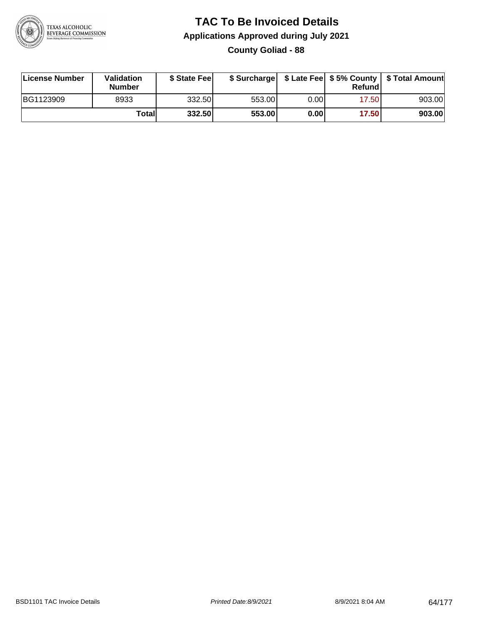

**County Goliad - 88**

| License Number | <b>Validation</b><br><b>Number</b> | \$ State Feel |        |      | Refundl | \$ Surcharge   \$ Late Fee   \$5% County   \$ Total Amount |
|----------------|------------------------------------|---------------|--------|------|---------|------------------------------------------------------------|
| BG1123909      | 8933                               | 332.50        | 553.00 | 0.00 | 17.50   | 903.00                                                     |
|                | Totall                             | 332.50        | 553.00 | 0.00 | 17.50   | 903.00                                                     |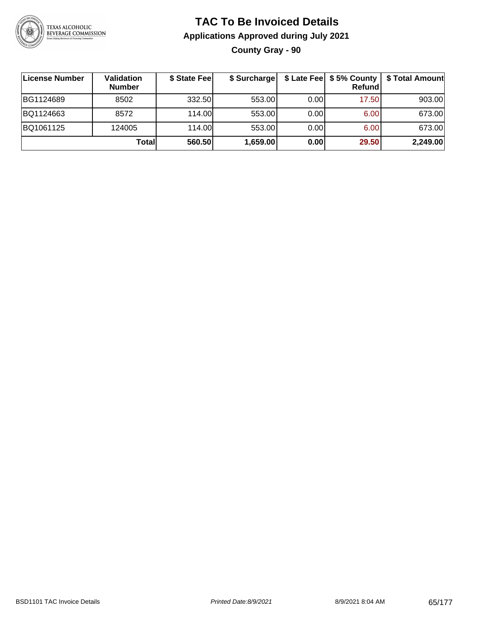

### **TAC To Be Invoiced Details Applications Approved during July 2021 County Gray - 90**

| ∣License Number | Validation<br><b>Number</b> | \$ State Fee | \$ Surcharge |      | \$ Late Fee   \$5% County<br>Refundl | \$ Total Amount |
|-----------------|-----------------------------|--------------|--------------|------|--------------------------------------|-----------------|
| BG1124689       | 8502                        | 332.50       | 553.00       | 0.00 | 17.50                                | 903.00          |
| BQ1124663       | 8572                        | 114.00       | 553.00       | 0.00 | 6.00                                 | 673.00          |
| BQ1061125       | 124005                      | 114.00       | 553.00       | 0.00 | 6.00                                 | 673.00          |
|                 | Totall                      | 560.50       | 1,659.00     | 0.00 | 29.50                                | 2,249.00        |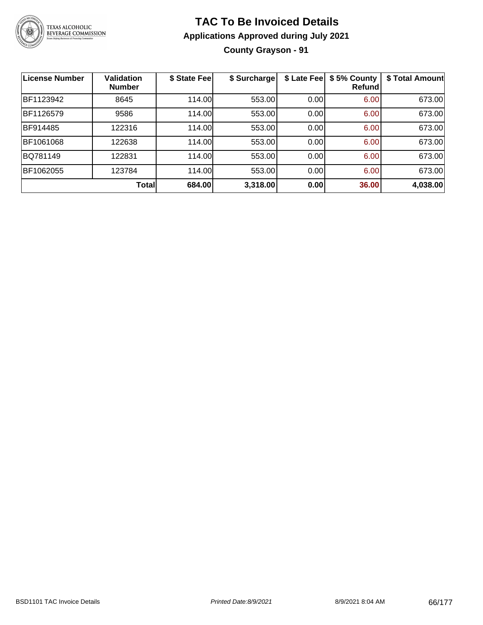

### **TAC To Be Invoiced Details Applications Approved during July 2021 County Grayson - 91**

| <b>License Number</b> | <b>Validation</b><br><b>Number</b> | \$ State Fee | \$ Surcharge | \$ Late Fee | \$5% County<br>Refundl | \$ Total Amount |
|-----------------------|------------------------------------|--------------|--------------|-------------|------------------------|-----------------|
| BF1123942             | 8645                               | 114.00       | 553.00       | 0.00        | 6.00                   | 673.00          |
| BF1126579             | 9586                               | 114.00       | 553.00       | 0.00        | 6.00                   | 673.00          |
| BF914485              | 122316                             | 114.00       | 553.00       | 0.00        | 6.00                   | 673.00          |
| BF1061068             | 122638                             | 114.00       | 553.00       | 0.00        | 6.00                   | 673.00          |
| BQ781149              | 122831                             | 114.00       | 553.00       | 0.00        | 6.00                   | 673.00          |
| BF1062055             | 123784                             | 114.00       | 553.00       | 0.00        | 6.00                   | 673.00          |
|                       | <b>Total</b>                       | 684.00       | 3,318.00     | 0.00        | 36.00                  | 4,038.00        |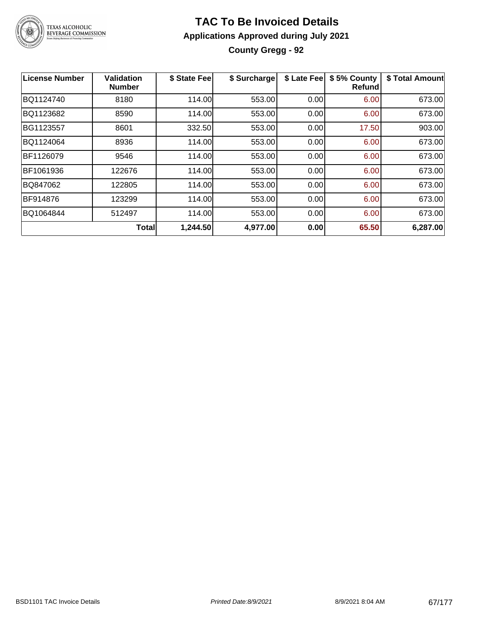

### **TAC To Be Invoiced Details Applications Approved during July 2021 County Gregg - 92**

| <b>License Number</b> | <b>Validation</b><br><b>Number</b> | \$ State Fee | \$ Surcharge | \$ Late Fee | \$5% County<br>Refundl | \$ Total Amount |
|-----------------------|------------------------------------|--------------|--------------|-------------|------------------------|-----------------|
| BQ1124740             | 8180                               | 114.00       | 553.00       | 0.00        | 6.00                   | 673.00          |
| BQ1123682             | 8590                               | 114.00       | 553.00       | 0.00        | 6.00                   | 673.00          |
| BG1123557             | 8601                               | 332.50       | 553.00       | 0.00        | 17.50                  | 903.00          |
| BQ1124064             | 8936                               | 114.00       | 553.00       | 0.00        | 6.00                   | 673.00          |
| BF1126079             | 9546                               | 114.00       | 553.00       | 0.00        | 6.00                   | 673.00          |
| BF1061936             | 122676                             | 114.00       | 553.00       | 0.00        | 6.00                   | 673.00          |
| BQ847062              | 122805                             | 114.00       | 553.00       | 0.00        | 6.00                   | 673.00          |
| BF914876              | 123299                             | 114.00       | 553.00       | 0.00        | 6.00                   | 673.00          |
| BQ1064844             | 512497                             | 114.00       | 553.00       | 0.00        | 6.00                   | 673.00          |
|                       | <b>Total</b>                       | 1,244.50     | 4,977.00     | 0.00        | 65.50                  | 6,287.00        |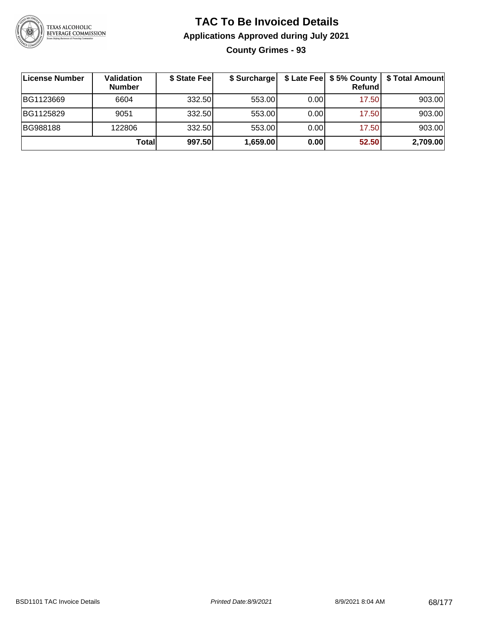

### **TAC To Be Invoiced Details Applications Approved during July 2021 County Grimes - 93**

**License Number Validation Number \$ State Fee \$ Surcharge \$ Late Fee \$ 5% County Refund \$ Total Amount** BG1123669 | 6604 | 332.50| 553.00| 0.00| 17.50| 903.00 BG1125829 | 9051 | 332.50| 553.00| 0.00| 17.50| 903.00 BG988188 | 122806 | 332.50| 553.00| 0.00| 17.50| 903.00 **Total 997.50 1,659.00 0.00 52.50 2,709.00**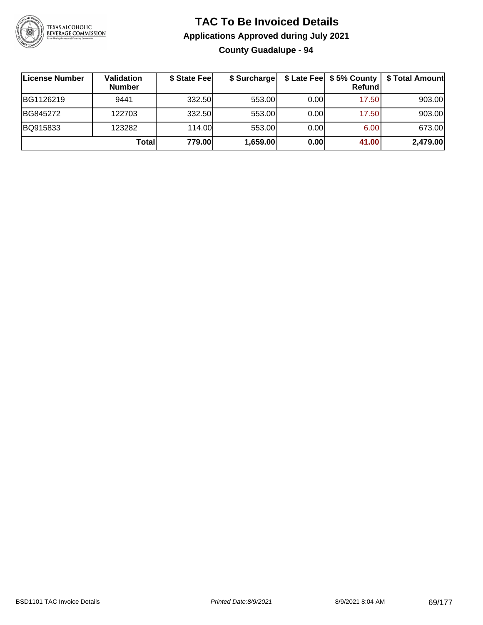

### **TAC To Be Invoiced Details Applications Approved during July 2021 County Guadalupe - 94**

| License Number | Validation<br><b>Number</b> | \$ State Fee | \$ Surcharge |      | $$$ Late Fee $$$ $$$ 5% County $ $<br>Refundl | \$ Total Amount |
|----------------|-----------------------------|--------------|--------------|------|-----------------------------------------------|-----------------|
| BG1126219      | 9441                        | 332.50       | 553.00       | 0.00 | 17.50                                         | 903.00          |
| BG845272       | 122703                      | 332.50       | 553.00       | 0.00 | 17.50                                         | 903.00          |
| BQ915833       | 123282                      | 114.00       | 553.00       | 0.00 | 6.00                                          | 673.00          |
|                | Totall                      | 779.00       | 1,659.00     | 0.00 | 41.00                                         | 2,479.00        |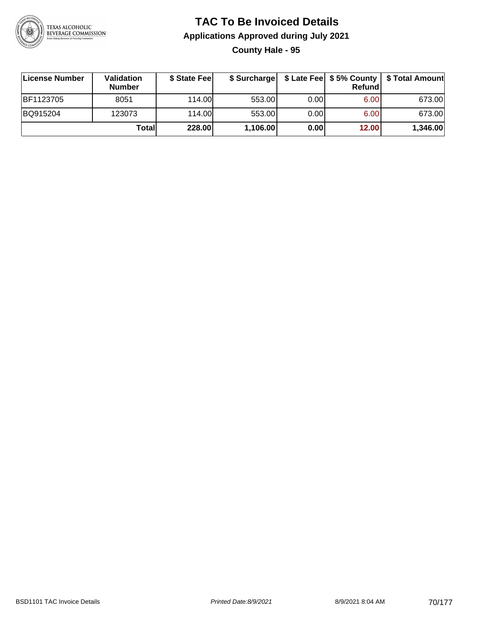

### **TAC To Be Invoiced Details Applications Approved during July 2021 County Hale - 95**

| License Number | Validation<br><b>Number</b> | \$ State Feel |          |      | Refund | \$ Surcharge   \$ Late Fee   \$5% County   \$ Total Amount |
|----------------|-----------------------------|---------------|----------|------|--------|------------------------------------------------------------|
| BF1123705      | 8051                        | 114.00        | 553.00   | 0.00 | 6.00   | 673.00                                                     |
| BQ915204       | 123073                      | 114.00        | 553.00   | 0.00 | 6.00   | 673.00                                                     |
|                | Total                       | 228.00        | 1,106.00 | 0.00 | 12.00  | 1,346.00                                                   |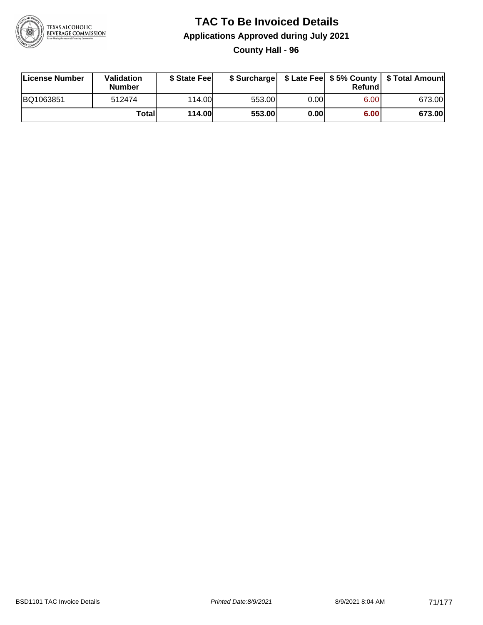

### **TAC To Be Invoiced Details Applications Approved during July 2021 County Hall - 96**

| License Number | Validation<br><b>Number</b> | \$ State Fee  |        |      | Refundl | \$ Surcharge   \$ Late Fee   \$5% County   \$ Total Amount |
|----------------|-----------------------------|---------------|--------|------|---------|------------------------------------------------------------|
| BQ1063851      | 512474                      | 114.00L       | 553.00 | 0.00 | 6.00    | 673.00                                                     |
|                | Totall                      | <b>114.00</b> | 553.00 | 0.00 | 6.00    | 673.00                                                     |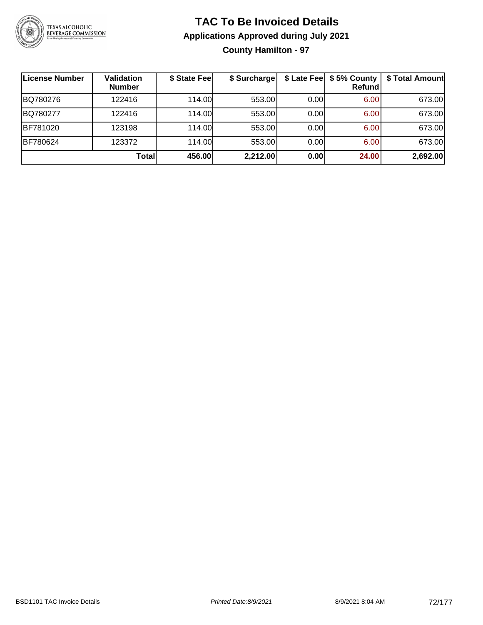

### **TAC To Be Invoiced Details Applications Approved during July 2021 County Hamilton - 97**

| License Number | <b>Validation</b><br><b>Number</b> | \$ State Fee | \$ Surcharge |      | \$ Late Fee   \$5% County<br>Refund | \$ Total Amount |
|----------------|------------------------------------|--------------|--------------|------|-------------------------------------|-----------------|
| BQ780276       | 122416                             | 114.00       | 553.00       | 0.00 | 6.00                                | 673.00          |
| BQ780277       | 122416                             | 114.00L      | 553.00       | 0.00 | 6.00                                | 673.00          |
| BF781020       | 123198                             | 114.00       | 553.00       | 0.00 | 6.00                                | 673.00          |
| BF780624       | 123372                             | 114.00       | 553.00       | 0.00 | 6.00                                | 673.00          |
|                | <b>Total</b>                       | 456.00       | 2,212.00     | 0.00 | 24.00                               | 2,692.00        |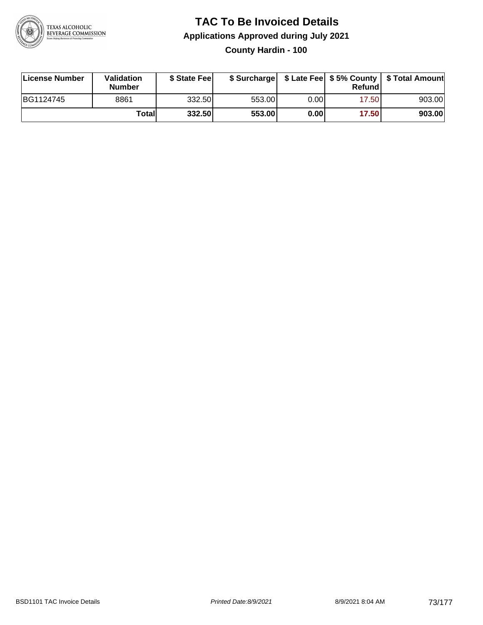

### **TAC To Be Invoiced Details Applications Approved during July 2021 County Hardin - 100**

| License Number | Validation<br><b>Number</b> | \$ State Feel |        |       | Refundl | \$ Surcharge   \$ Late Fee   \$5% County   \$ Total Amount |
|----------------|-----------------------------|---------------|--------|-------|---------|------------------------------------------------------------|
| BG1124745      | 8861                        | 332.50        | 553.00 | 0.00  | 17.50   | 903.00                                                     |
|                | Total                       | 332.50        | 553.00 | 0.001 | 17.50   | 903.00                                                     |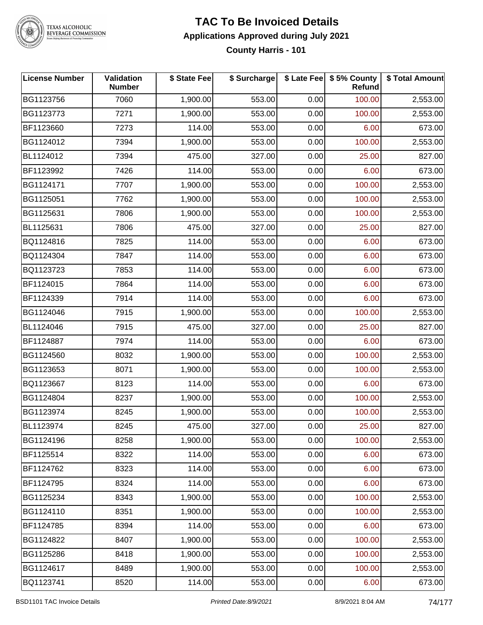

**County Harris - 101**

| <b>License Number</b> | Validation<br><b>Number</b> | \$ State Fee | \$ Surcharge | \$ Late Fee | \$5% County<br><b>Refund</b> | \$ Total Amount |
|-----------------------|-----------------------------|--------------|--------------|-------------|------------------------------|-----------------|
| BG1123756             | 7060                        | 1,900.00     | 553.00       | 0.00        | 100.00                       | 2,553.00        |
| BG1123773             | 7271                        | 1,900.00     | 553.00       | 0.00        | 100.00                       | 2,553.00        |
| BF1123660             | 7273                        | 114.00       | 553.00       | 0.00        | 6.00                         | 673.00          |
| BG1124012             | 7394                        | 1,900.00     | 553.00       | 0.00        | 100.00                       | 2,553.00        |
| BL1124012             | 7394                        | 475.00       | 327.00       | 0.00        | 25.00                        | 827.00          |
| BF1123992             | 7426                        | 114.00       | 553.00       | 0.00        | 6.00                         | 673.00          |
| BG1124171             | 7707                        | 1,900.00     | 553.00       | 0.00        | 100.00                       | 2,553.00        |
| BG1125051             | 7762                        | 1,900.00     | 553.00       | 0.00        | 100.00                       | 2,553.00        |
| BG1125631             | 7806                        | 1,900.00     | 553.00       | 0.00        | 100.00                       | 2,553.00        |
| BL1125631             | 7806                        | 475.00       | 327.00       | 0.00        | 25.00                        | 827.00          |
| BQ1124816             | 7825                        | 114.00       | 553.00       | 0.00        | 6.00                         | 673.00          |
| BQ1124304             | 7847                        | 114.00       | 553.00       | 0.00        | 6.00                         | 673.00          |
| BQ1123723             | 7853                        | 114.00       | 553.00       | 0.00        | 6.00                         | 673.00          |
| BF1124015             | 7864                        | 114.00       | 553.00       | 0.00        | 6.00                         | 673.00          |
| BF1124339             | 7914                        | 114.00       | 553.00       | 0.00        | 6.00                         | 673.00          |
| BG1124046             | 7915                        | 1,900.00     | 553.00       | 0.00        | 100.00                       | 2,553.00        |
| BL1124046             | 7915                        | 475.00       | 327.00       | 0.00        | 25.00                        | 827.00          |
| BF1124887             | 7974                        | 114.00       | 553.00       | 0.00        | 6.00                         | 673.00          |
| BG1124560             | 8032                        | 1,900.00     | 553.00       | 0.00        | 100.00                       | 2,553.00        |
| BG1123653             | 8071                        | 1,900.00     | 553.00       | 0.00        | 100.00                       | 2,553.00        |
| BQ1123667             | 8123                        | 114.00       | 553.00       | 0.00        | 6.00                         | 673.00          |
| BG1124804             | 8237                        | 1,900.00     | 553.00       | 0.00        | 100.00                       | 2,553.00        |
| BG1123974             | 8245                        | 1,900.00     | 553.00       | 0.00        | 100.00                       | 2,553.00        |
| BL1123974             | 8245                        | 475.00       | 327.00       | 0.00        | 25.00                        | 827.00          |
| BG1124196             | 8258                        | 1,900.00     | 553.00       | 0.00        | 100.00                       | 2,553.00        |
| BF1125514             | 8322                        | 114.00       | 553.00       | 0.00        | 6.00                         | 673.00          |
| BF1124762             | 8323                        | 114.00       | 553.00       | 0.00        | 6.00                         | 673.00          |
| BF1124795             | 8324                        | 114.00       | 553.00       | 0.00        | 6.00                         | 673.00          |
| BG1125234             | 8343                        | 1,900.00     | 553.00       | 0.00        | 100.00                       | 2,553.00        |
| BG1124110             | 8351                        | 1,900.00     | 553.00       | 0.00        | 100.00                       | 2,553.00        |
| BF1124785             | 8394                        | 114.00       | 553.00       | 0.00        | 6.00                         | 673.00          |
| BG1124822             | 8407                        | 1,900.00     | 553.00       | 0.00        | 100.00                       | 2,553.00        |
| BG1125286             | 8418                        | 1,900.00     | 553.00       | 0.00        | 100.00                       | 2,553.00        |
| BG1124617             | 8489                        | 1,900.00     | 553.00       | 0.00        | 100.00                       | 2,553.00        |
| BQ1123741             | 8520                        | 114.00       | 553.00       | 0.00        | 6.00                         | 673.00          |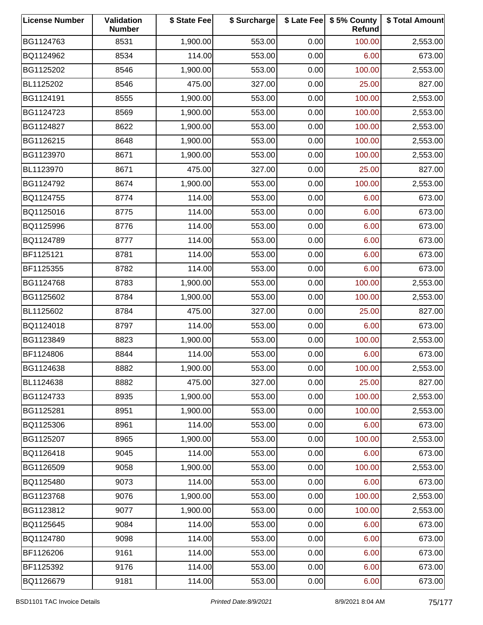| <b>License Number</b> | Validation<br><b>Number</b> | \$ State Fee | \$ Surcharge |      | \$ Late Fee   \$5% County<br>Refund | \$ Total Amount |
|-----------------------|-----------------------------|--------------|--------------|------|-------------------------------------|-----------------|
| BG1124763             | 8531                        | 1,900.00     | 553.00       | 0.00 | 100.00                              | 2,553.00        |
| BQ1124962             | 8534                        | 114.00       | 553.00       | 0.00 | 6.00                                | 673.00          |
| BG1125202             | 8546                        | 1,900.00     | 553.00       | 0.00 | 100.00                              | 2,553.00        |
| BL1125202             | 8546                        | 475.00       | 327.00       | 0.00 | 25.00                               | 827.00          |
| BG1124191             | 8555                        | 1,900.00     | 553.00       | 0.00 | 100.00                              | 2,553.00        |
| BG1124723             | 8569                        | 1,900.00     | 553.00       | 0.00 | 100.00                              | 2,553.00        |
| BG1124827             | 8622                        | 1,900.00     | 553.00       | 0.00 | 100.00                              | 2,553.00        |
| BG1126215             | 8648                        | 1,900.00     | 553.00       | 0.00 | 100.00                              | 2,553.00        |
| BG1123970             | 8671                        | 1,900.00     | 553.00       | 0.00 | 100.00                              | 2,553.00        |
| BL1123970             | 8671                        | 475.00       | 327.00       | 0.00 | 25.00                               | 827.00          |
| BG1124792             | 8674                        | 1,900.00     | 553.00       | 0.00 | 100.00                              | 2,553.00        |
| BQ1124755             | 8774                        | 114.00       | 553.00       | 0.00 | 6.00                                | 673.00          |
| BQ1125016             | 8775                        | 114.00       | 553.00       | 0.00 | 6.00                                | 673.00          |
| BQ1125996             | 8776                        | 114.00       | 553.00       | 0.00 | 6.00                                | 673.00          |
| BQ1124789             | 8777                        | 114.00       | 553.00       | 0.00 | 6.00                                | 673.00          |
| BF1125121             | 8781                        | 114.00       | 553.00       | 0.00 | 6.00                                | 673.00          |
| BF1125355             | 8782                        | 114.00       | 553.00       | 0.00 | 6.00                                | 673.00          |
| BG1124768             | 8783                        | 1,900.00     | 553.00       | 0.00 | 100.00                              | 2,553.00        |
| BG1125602             | 8784                        | 1,900.00     | 553.00       | 0.00 | 100.00                              | 2,553.00        |
| BL1125602             | 8784                        | 475.00       | 327.00       | 0.00 | 25.00                               | 827.00          |
| BQ1124018             | 8797                        | 114.00       | 553.00       | 0.00 | 6.00                                | 673.00          |
| BG1123849             | 8823                        | 1,900.00     | 553.00       | 0.00 | 100.00                              | 2,553.00        |
| BF1124806             | 8844                        | 114.00       | 553.00       | 0.00 | 6.00                                | 673.00          |
| BG1124638             | 8882                        | 1,900.00     | 553.00       | 0.00 | 100.00                              | 2,553.00        |
| BL1124638             | 8882                        | 475.00       | 327.00       | 0.00 | 25.00                               | 827.00          |
| BG1124733             | 8935                        | 1,900.00     | 553.00       | 0.00 | 100.00                              | 2,553.00        |
| BG1125281             | 8951                        | 1,900.00     | 553.00       | 0.00 | 100.00                              | 2,553.00        |
| BQ1125306             | 8961                        | 114.00       | 553.00       | 0.00 | 6.00                                | 673.00          |
| BG1125207             | 8965                        | 1,900.00     | 553.00       | 0.00 | 100.00                              | 2,553.00        |
| BQ1126418             | 9045                        | 114.00       | 553.00       | 0.00 | 6.00                                | 673.00          |
| BG1126509             | 9058                        | 1,900.00     | 553.00       | 0.00 | 100.00                              | 2,553.00        |
| BQ1125480             | 9073                        | 114.00       | 553.00       | 0.00 | 6.00                                | 673.00          |
| BG1123768             | 9076                        | 1,900.00     | 553.00       | 0.00 | 100.00                              | 2,553.00        |
| BG1123812             | 9077                        | 1,900.00     | 553.00       | 0.00 | 100.00                              | 2,553.00        |
| BQ1125645             | 9084                        | 114.00       | 553.00       | 0.00 | 6.00                                | 673.00          |
| BQ1124780             | 9098                        | 114.00       | 553.00       | 0.00 | 6.00                                | 673.00          |
| BF1126206             | 9161                        | 114.00       | 553.00       | 0.00 | 6.00                                | 673.00          |
| BF1125392             | 9176                        | 114.00       | 553.00       | 0.00 | 6.00                                | 673.00          |
| BQ1126679             | 9181                        | 114.00       | 553.00       | 0.00 | 6.00                                | 673.00          |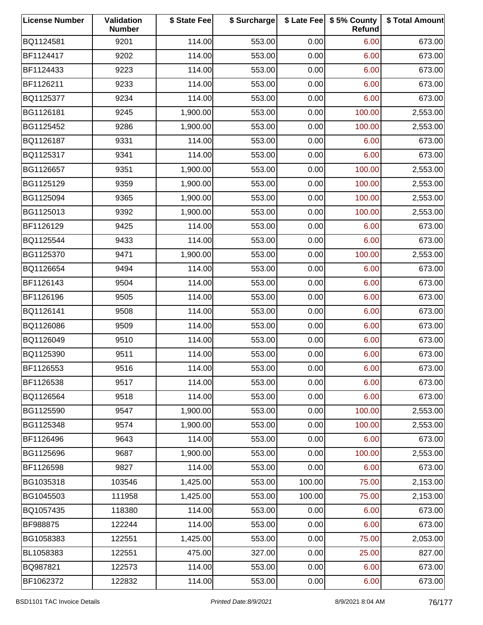| <b>License Number</b> | Validation<br><b>Number</b> | \$ State Fee | \$ Surcharge |        | \$ Late Fee   \$5% County<br>Refund | \$ Total Amount |
|-----------------------|-----------------------------|--------------|--------------|--------|-------------------------------------|-----------------|
| BQ1124581             | 9201                        | 114.00       | 553.00       | 0.00   | 6.00                                | 673.00          |
| BF1124417             | 9202                        | 114.00       | 553.00       | 0.00   | 6.00                                | 673.00          |
| BF1124433             | 9223                        | 114.00       | 553.00       | 0.00   | 6.00                                | 673.00          |
| BF1126211             | 9233                        | 114.00       | 553.00       | 0.00   | 6.00                                | 673.00          |
| BQ1125377             | 9234                        | 114.00       | 553.00       | 0.00   | 6.00                                | 673.00          |
| BG1126181             | 9245                        | 1,900.00     | 553.00       | 0.00   | 100.00                              | 2,553.00        |
| BG1125452             | 9286                        | 1,900.00     | 553.00       | 0.00   | 100.00                              | 2,553.00        |
| BQ1126187             | 9331                        | 114.00       | 553.00       | 0.00   | 6.00                                | 673.00          |
| BQ1125317             | 9341                        | 114.00       | 553.00       | 0.00   | 6.00                                | 673.00          |
| BG1126657             | 9351                        | 1,900.00     | 553.00       | 0.00   | 100.00                              | 2,553.00        |
| BG1125129             | 9359                        | 1,900.00     | 553.00       | 0.00   | 100.00                              | 2,553.00        |
| BG1125094             | 9365                        | 1,900.00     | 553.00       | 0.00   | 100.00                              | 2,553.00        |
| BG1125013             | 9392                        | 1,900.00     | 553.00       | 0.00   | 100.00                              | 2,553.00        |
| BF1126129             | 9425                        | 114.00       | 553.00       | 0.00   | 6.00                                | 673.00          |
| BQ1125544             | 9433                        | 114.00       | 553.00       | 0.00   | 6.00                                | 673.00          |
| BG1125370             | 9471                        | 1,900.00     | 553.00       | 0.00   | 100.00                              | 2,553.00        |
| BQ1126654             | 9494                        | 114.00       | 553.00       | 0.00   | 6.00                                | 673.00          |
| BF1126143             | 9504                        | 114.00       | 553.00       | 0.00   | 6.00                                | 673.00          |
| BF1126196             | 9505                        | 114.00       | 553.00       | 0.00   | 6.00                                | 673.00          |
| BQ1126141             | 9508                        | 114.00       | 553.00       | 0.00   | 6.00                                | 673.00          |
| BQ1126086             | 9509                        | 114.00       | 553.00       | 0.00   | 6.00                                | 673.00          |
| BQ1126049             | 9510                        | 114.00       | 553.00       | 0.00   | 6.00                                | 673.00          |
| BQ1125390             | 9511                        | 114.00       | 553.00       | 0.00   | 6.00                                | 673.00          |
| BF1126553             | 9516                        | 114.00       | 553.00       | 0.00   | 6.00                                | 673.00          |
| BF1126538             | 9517                        | 114.00       | 553.00       | 0.00   | 6.00                                | 673.00          |
| BQ1126564             | 9518                        | 114.00       | 553.00       | 0.00   | 6.00                                | 673.00          |
| BG1125590             | 9547                        | 1,900.00     | 553.00       | 0.00   | 100.00                              | 2,553.00        |
| BG1125348             | 9574                        | 1,900.00     | 553.00       | 0.00   | 100.00                              | 2,553.00        |
| BF1126496             | 9643                        | 114.00       | 553.00       | 0.00   | 6.00                                | 673.00          |
| BG1125696             | 9687                        | 1,900.00     | 553.00       | 0.00   | 100.00                              | 2,553.00        |
| BF1126598             | 9827                        | 114.00       | 553.00       | 0.00   | 6.00                                | 673.00          |
| BG1035318             | 103546                      | 1,425.00     | 553.00       | 100.00 | 75.00                               | 2,153.00        |
| BG1045503             | 111958                      | 1,425.00     | 553.00       | 100.00 | 75.00                               | 2,153.00        |
| BQ1057435             | 118380                      | 114.00       | 553.00       | 0.00   | 6.00                                | 673.00          |
| BF988875              | 122244                      | 114.00       | 553.00       | 0.00   | 6.00                                | 673.00          |
| BG1058383             | 122551                      | 1,425.00     | 553.00       | 0.00   | 75.00                               | 2,053.00        |
| BL1058383             | 122551                      | 475.00       | 327.00       | 0.00   | 25.00                               | 827.00          |
| BQ987821              | 122573                      | 114.00       | 553.00       | 0.00   | 6.00                                | 673.00          |
| BF1062372             | 122832                      | 114.00       | 553.00       | 0.00   | 6.00                                | 673.00          |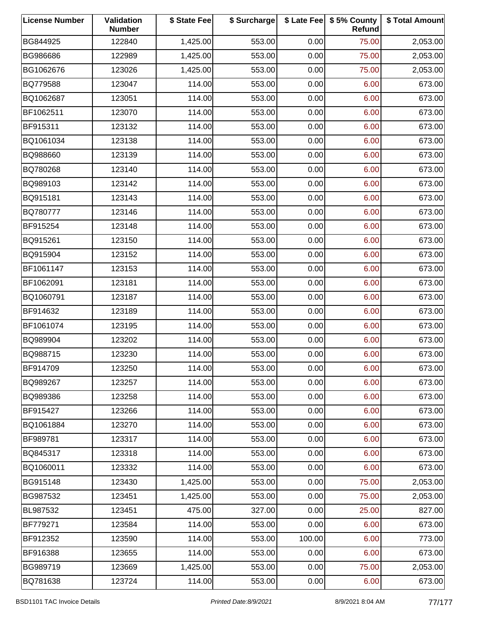| <b>License Number</b> | Validation<br><b>Number</b> | \$ State Fee | \$ Surcharge |        | \$ Late Fee   \$5% County<br>Refund | \$ Total Amount |
|-----------------------|-----------------------------|--------------|--------------|--------|-------------------------------------|-----------------|
| BG844925              | 122840                      | 1,425.00     | 553.00       | 0.00   | 75.00                               | 2,053.00        |
| BG986686              | 122989                      | 1,425.00     | 553.00       | 0.00   | 75.00                               | 2,053.00        |
| BG1062676             | 123026                      | 1,425.00     | 553.00       | 0.00   | 75.00                               | 2,053.00        |
| BQ779588              | 123047                      | 114.00       | 553.00       | 0.00   | 6.00                                | 673.00          |
| BQ1062687             | 123051                      | 114.00       | 553.00       | 0.00   | 6.00                                | 673.00          |
| BF1062511             | 123070                      | 114.00       | 553.00       | 0.00   | 6.00                                | 673.00          |
| BF915311              | 123132                      | 114.00       | 553.00       | 0.00   | 6.00                                | 673.00          |
| BQ1061034             | 123138                      | 114.00       | 553.00       | 0.00   | 6.00                                | 673.00          |
| BQ988660              | 123139                      | 114.00       | 553.00       | 0.00   | 6.00                                | 673.00          |
| BQ780268              | 123140                      | 114.00       | 553.00       | 0.00   | 6.00                                | 673.00          |
| BQ989103              | 123142                      | 114.00       | 553.00       | 0.00   | 6.00                                | 673.00          |
| BQ915181              | 123143                      | 114.00       | 553.00       | 0.00   | 6.00                                | 673.00          |
| BQ780777              | 123146                      | 114.00       | 553.00       | 0.00   | 6.00                                | 673.00          |
| BF915254              | 123148                      | 114.00       | 553.00       | 0.00   | 6.00                                | 673.00          |
| BQ915261              | 123150                      | 114.00       | 553.00       | 0.00   | 6.00                                | 673.00          |
| BQ915904              | 123152                      | 114.00       | 553.00       | 0.00   | 6.00                                | 673.00          |
| BF1061147             | 123153                      | 114.00       | 553.00       | 0.00   | 6.00                                | 673.00          |
| BF1062091             | 123181                      | 114.00       | 553.00       | 0.00   | 6.00                                | 673.00          |
| BQ1060791             | 123187                      | 114.00       | 553.00       | 0.00   | 6.00                                | 673.00          |
| BF914632              | 123189                      | 114.00       | 553.00       | 0.00   | 6.00                                | 673.00          |
| BF1061074             | 123195                      | 114.00       | 553.00       | 0.00   | 6.00                                | 673.00          |
| BQ989904              | 123202                      | 114.00       | 553.00       | 0.00   | 6.00                                | 673.00          |
| BQ988715              | 123230                      | 114.00       | 553.00       | 0.00   | 6.00                                | 673.00          |
| BF914709              | 123250                      | 114.00       | 553.00       | 0.00   | 6.00                                | 673.00          |
| BQ989267              | 123257                      | 114.00       | 553.00       | 0.00   | 6.00                                | 673.00          |
| BQ989386              | 123258                      | 114.00       | 553.00       | 0.00   | 6.00                                | 673.00          |
| BF915427              | 123266                      | 114.00       | 553.00       | 0.00   | 6.00                                | 673.00          |
| BQ1061884             | 123270                      | 114.00       | 553.00       | 0.00   | 6.00                                | 673.00          |
| BF989781              | 123317                      | 114.00       | 553.00       | 0.00   | 6.00                                | 673.00          |
| BQ845317              | 123318                      | 114.00       | 553.00       | 0.00   | 6.00                                | 673.00          |
| BQ1060011             | 123332                      | 114.00       | 553.00       | 0.00   | 6.00                                | 673.00          |
| BG915148              | 123430                      | 1,425.00     | 553.00       | 0.00   | 75.00                               | 2,053.00        |
| BG987532              | 123451                      | 1,425.00     | 553.00       | 0.00   | 75.00                               | 2,053.00        |
| BL987532              | 123451                      | 475.00       | 327.00       | 0.00   | 25.00                               | 827.00          |
| BF779271              | 123584                      | 114.00       | 553.00       | 0.00   | 6.00                                | 673.00          |
| BF912352              | 123590                      | 114.00       | 553.00       | 100.00 | 6.00                                | 773.00          |
| BF916388              | 123655                      | 114.00       | 553.00       | 0.00   | 6.00                                | 673.00          |
| BG989719              | 123669                      | 1,425.00     | 553.00       | 0.00   | 75.00                               | 2,053.00        |
| BQ781638              | 123724                      | 114.00       | 553.00       | 0.00   | 6.00                                | 673.00          |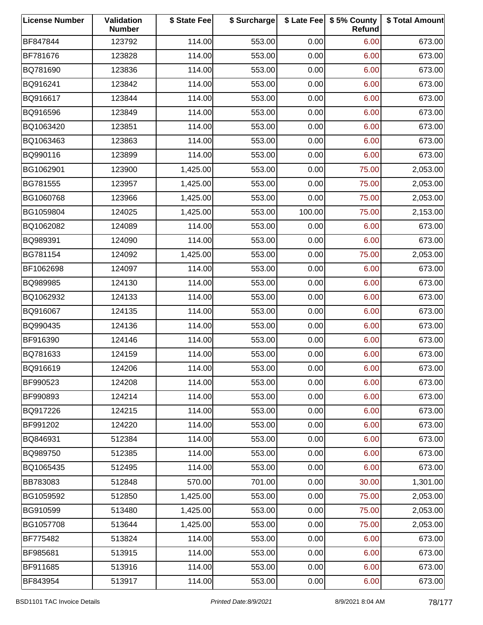| <b>License Number</b> | Validation<br><b>Number</b> | \$ State Fee | \$ Surcharge |        | \$ Late Fee   \$5% County<br>Refund | \$ Total Amount |
|-----------------------|-----------------------------|--------------|--------------|--------|-------------------------------------|-----------------|
| BF847844              | 123792                      | 114.00       | 553.00       | 0.00   | 6.00                                | 673.00          |
| BF781676              | 123828                      | 114.00       | 553.00       | 0.00   | 6.00                                | 673.00          |
| BQ781690              | 123836                      | 114.00       | 553.00       | 0.00   | 6.00                                | 673.00          |
| BQ916241              | 123842                      | 114.00       | 553.00       | 0.00   | 6.00                                | 673.00          |
| BQ916617              | 123844                      | 114.00       | 553.00       | 0.00   | 6.00                                | 673.00          |
| BQ916596              | 123849                      | 114.00       | 553.00       | 0.00   | 6.00                                | 673.00          |
| BQ1063420             | 123851                      | 114.00       | 553.00       | 0.00   | 6.00                                | 673.00          |
| BQ1063463             | 123863                      | 114.00       | 553.00       | 0.00   | 6.00                                | 673.00          |
| BQ990116              | 123899                      | 114.00       | 553.00       | 0.00   | 6.00                                | 673.00          |
| BG1062901             | 123900                      | 1,425.00     | 553.00       | 0.00   | 75.00                               | 2,053.00        |
| BG781555              | 123957                      | 1,425.00     | 553.00       | 0.00   | 75.00                               | 2,053.00        |
| BG1060768             | 123966                      | 1,425.00     | 553.00       | 0.00   | 75.00                               | 2,053.00        |
| BG1059804             | 124025                      | 1,425.00     | 553.00       | 100.00 | 75.00                               | 2,153.00        |
| BQ1062082             | 124089                      | 114.00       | 553.00       | 0.00   | 6.00                                | 673.00          |
| BQ989391              | 124090                      | 114.00       | 553.00       | 0.00   | 6.00                                | 673.00          |
| BG781154              | 124092                      | 1,425.00     | 553.00       | 0.00   | 75.00                               | 2,053.00        |
| BF1062698             | 124097                      | 114.00       | 553.00       | 0.00   | 6.00                                | 673.00          |
| BQ989985              | 124130                      | 114.00       | 553.00       | 0.00   | 6.00                                | 673.00          |
| BQ1062932             | 124133                      | 114.00       | 553.00       | 0.00   | 6.00                                | 673.00          |
| BQ916067              | 124135                      | 114.00       | 553.00       | 0.00   | 6.00                                | 673.00          |
| BQ990435              | 124136                      | 114.00       | 553.00       | 0.00   | 6.00                                | 673.00          |
| BF916390              | 124146                      | 114.00       | 553.00       | 0.00   | 6.00                                | 673.00          |
| BQ781633              | 124159                      | 114.00       | 553.00       | 0.00   | 6.00                                | 673.00          |
| BQ916619              | 124206                      | 114.00       | 553.00       | 0.00   | 6.00                                | 673.00          |
| BF990523              | 124208                      | 114.00       | 553.00       | 0.00   | 6.00                                | 673.00          |
| BF990893              | 124214                      | 114.00       | 553.00       | 0.00   | 6.00                                | 673.00          |
| BQ917226              | 124215                      | 114.00       | 553.00       | 0.00   | 6.00                                | 673.00          |
| BF991202              | 124220                      | 114.00       | 553.00       | 0.00   | 6.00                                | 673.00          |
| BQ846931              | 512384                      | 114.00       | 553.00       | 0.00   | 6.00                                | 673.00          |
| BQ989750              | 512385                      | 114.00       | 553.00       | 0.00   | 6.00                                | 673.00          |
| BQ1065435             | 512495                      | 114.00       | 553.00       | 0.00   | 6.00                                | 673.00          |
| BB783083              | 512848                      | 570.00       | 701.00       | 0.00   | 30.00                               | 1,301.00        |
| BG1059592             | 512850                      | 1,425.00     | 553.00       | 0.00   | 75.00                               | 2,053.00        |
| BG910599              | 513480                      | 1,425.00     | 553.00       | 0.00   | 75.00                               | 2,053.00        |
| BG1057708             | 513644                      | 1,425.00     | 553.00       | 0.00   | 75.00                               | 2,053.00        |
| BF775482              | 513824                      | 114.00       | 553.00       | 0.00   | 6.00                                | 673.00          |
| BF985681              | 513915                      | 114.00       | 553.00       | 0.00   | 6.00                                | 673.00          |
| BF911685              | 513916                      | 114.00       | 553.00       | 0.00   | 6.00                                | 673.00          |
| BF843954              | 513917                      | 114.00       | 553.00       | 0.00   | 6.00                                | 673.00          |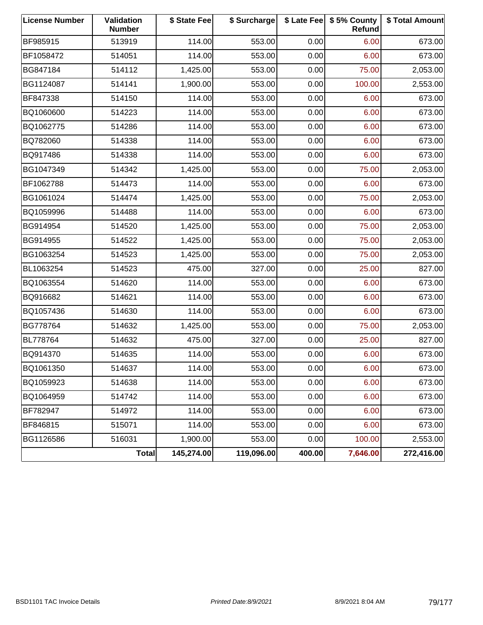| <b>License Number</b> | <b>Validation</b><br><b>Number</b> | \$ State Fee | \$ Surcharge |        | \$ Late Fee   \$5% County<br>Refund | \$ Total Amount |
|-----------------------|------------------------------------|--------------|--------------|--------|-------------------------------------|-----------------|
| BF985915              | 513919                             | 114.00       | 553.00       | 0.00   | 6.00                                | 673.00          |
| BF1058472             | 514051                             | 114.00       | 553.00       | 0.00   | 6.00                                | 673.00          |
| BG847184              | 514112                             | 1,425.00     | 553.00       | 0.00   | 75.00                               | 2,053.00        |
| BG1124087             | 514141                             | 1,900.00     | 553.00       | 0.00   | 100.00                              | 2,553.00        |
| BF847338              | 514150                             | 114.00       | 553.00       | 0.00   | 6.00                                | 673.00          |
| BQ1060600             | 514223                             | 114.00       | 553.00       | 0.00   | 6.00                                | 673.00          |
| BQ1062775             | 514286                             | 114.00       | 553.00       | 0.00   | 6.00                                | 673.00          |
| BQ782060              | 514338                             | 114.00       | 553.00       | 0.00   | 6.00                                | 673.00          |
| BQ917486              | 514338                             | 114.00       | 553.00       | 0.00   | 6.00                                | 673.00          |
| BG1047349             | 514342                             | 1,425.00     | 553.00       | 0.00   | 75.00                               | 2,053.00        |
| BF1062788             | 514473                             | 114.00       | 553.00       | 0.00   | 6.00                                | 673.00          |
| BG1061024             | 514474                             | 1,425.00     | 553.00       | 0.00   | 75.00                               | 2,053.00        |
| BQ1059996             | 514488                             | 114.00       | 553.00       | 0.00   | 6.00                                | 673.00          |
| BG914954              | 514520                             | 1,425.00     | 553.00       | 0.00   | 75.00                               | 2,053.00        |
| BG914955              | 514522                             | 1,425.00     | 553.00       | 0.00   | 75.00                               | 2,053.00        |
| BG1063254             | 514523                             | 1,425.00     | 553.00       | 0.00   | 75.00                               | 2,053.00        |
| BL1063254             | 514523                             | 475.00       | 327.00       | 0.00   | 25.00                               | 827.00          |
| BQ1063554             | 514620                             | 114.00       | 553.00       | 0.00   | 6.00                                | 673.00          |
| BQ916682              | 514621                             | 114.00       | 553.00       | 0.00   | 6.00                                | 673.00          |
| BQ1057436             | 514630                             | 114.00       | 553.00       | 0.00   | 6.00                                | 673.00          |
| BG778764              | 514632                             | 1,425.00     | 553.00       | 0.00   | 75.00                               | 2,053.00        |
| BL778764              | 514632                             | 475.00       | 327.00       | 0.00   | 25.00                               | 827.00          |
| BQ914370              | 514635                             | 114.00       | 553.00       | 0.00   | 6.00                                | 673.00          |
| BQ1061350             | 514637                             | 114.00       | 553.00       | 0.00   | 6.00                                | 673.00          |
| BQ1059923             | 514638                             | 114.00       | 553.00       | 0.00   | 6.00                                | 673.00          |
| BQ1064959             | 514742                             | 114.00       | 553.00       | 0.00   | 6.00                                | 673.00          |
| BF782947              | 514972                             | 114.00       | 553.00       | 0.00   | 6.00                                | 673.00          |
| BF846815              | 515071                             | 114.00       | 553.00       | 0.00   | 6.00                                | 673.00          |
| BG1126586             | 516031                             | 1,900.00     | 553.00       | 0.00   | 100.00                              | 2,553.00        |
|                       | Total                              | 145,274.00   | 119,096.00   | 400.00 | 7,646.00                            | 272,416.00      |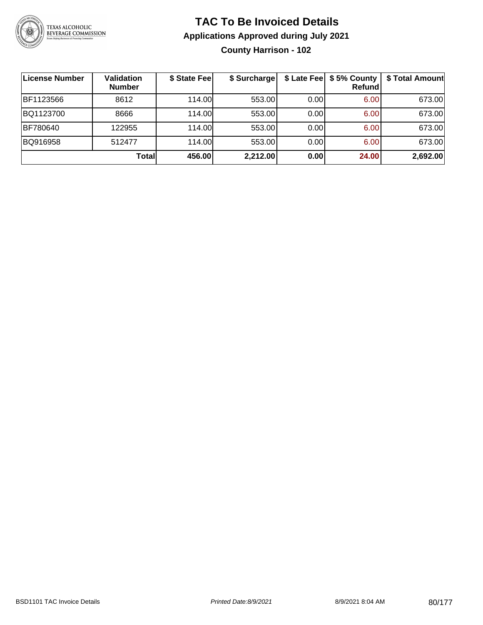

### **TAC To Be Invoiced Details Applications Approved during July 2021 County Harrison - 102**

| License Number | <b>Validation</b><br><b>Number</b> | \$ State Fee | \$ Surcharge | \$ Late Fee | \$5% County<br>Refund | \$ Total Amount |
|----------------|------------------------------------|--------------|--------------|-------------|-----------------------|-----------------|
| BF1123566      | 8612                               | 114.00       | 553.00       | 0.00        | 6.00                  | 673.00          |
| BQ1123700      | 8666                               | 114.00L      | 553.00       | 0.00        | 6.00                  | 673.00          |
| BF780640       | 122955                             | 114.00       | 553.00       | 0.00        | 6.00                  | 673.00          |
| BQ916958       | 512477                             | 114.00       | 553.00       | 0.00        | 6.00                  | 673.00          |
|                | Total                              | 456.00       | 2,212.00     | 0.00        | 24.00                 | 2,692.00        |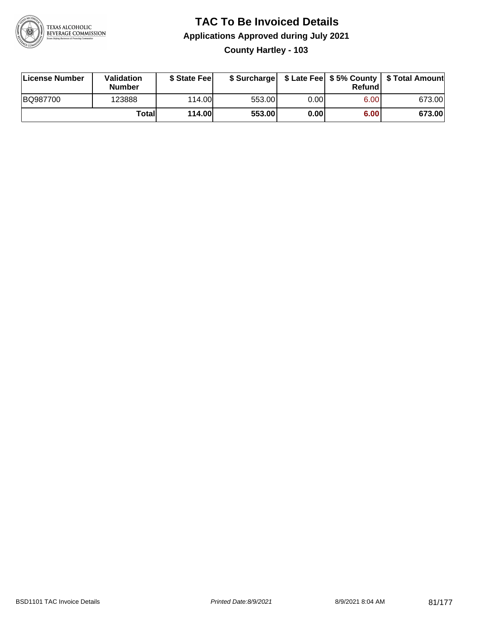

### **TAC To Be Invoiced Details Applications Approved during July 2021 County Hartley - 103**

| License Number | Validation<br><b>Number</b> | \$ State Fee  | \$ Surcharge |      | Refundl | \$ Late Fee   \$5% County   \$ Total Amount |
|----------------|-----------------------------|---------------|--------------|------|---------|---------------------------------------------|
| BQ987700       | 123888                      | 114.00        | 553.00       | 0.00 | 6.00    | 673.00                                      |
|                | Totall                      | <b>114.00</b> | 553.00       | 0.00 | 6.00    | 673.00                                      |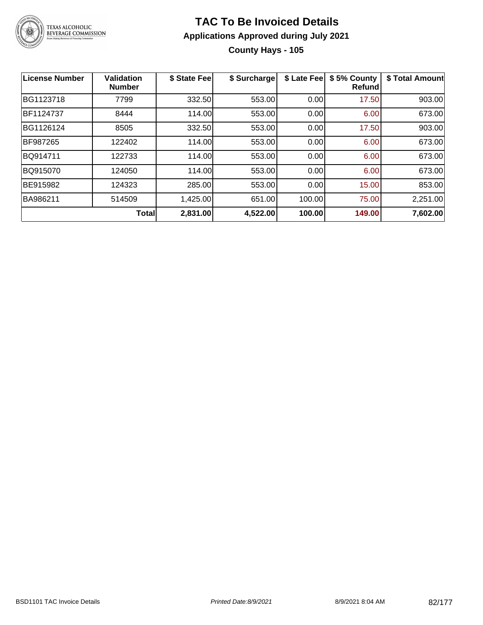

### **TAC To Be Invoiced Details Applications Approved during July 2021 County Hays - 105**

| License Number | <b>Validation</b><br><b>Number</b> | \$ State Fee | \$ Surcharge | \$ Late Fee | \$5% County<br><b>Refund</b> | \$ Total Amount |
|----------------|------------------------------------|--------------|--------------|-------------|------------------------------|-----------------|
| BG1123718      | 7799                               | 332.50       | 553.00       | 0.00        | 17.50                        | 903.00          |
| BF1124737      | 8444                               | 114.00       | 553.00       | 0.00        | 6.00                         | 673.00          |
| BG1126124      | 8505                               | 332.50       | 553.00       | 0.00        | 17.50                        | 903.00          |
| BF987265       | 122402                             | 114.00       | 553.00       | 0.00        | 6.00                         | 673.00          |
| BQ914711       | 122733                             | 114.00       | 553.00       | 0.00        | 6.00                         | 673.00          |
| BQ915070       | 124050                             | 114.00       | 553.00       | 0.00        | 6.00                         | 673.00          |
| BE915982       | 124323                             | 285.00       | 553.00       | 0.00        | 15.00                        | 853.00          |
| BA986211       | 514509                             | 1,425.00     | 651.00       | 100.00      | 75.00                        | 2,251.00        |
|                | <b>Total</b>                       | 2,831.00     | 4,522.00     | 100.00      | 149.00                       | 7,602.00        |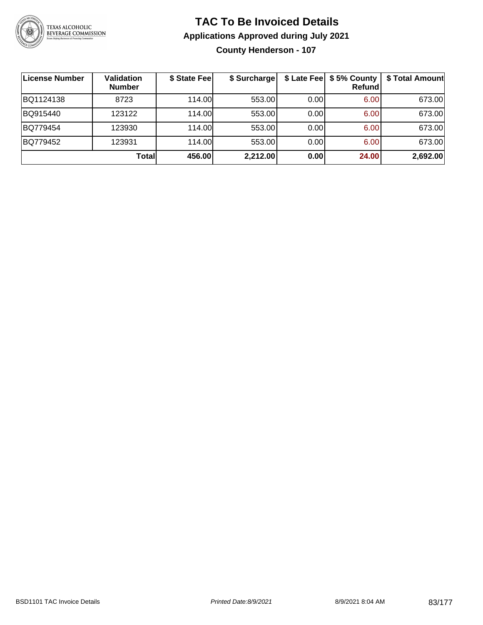

### **TAC To Be Invoiced Details Applications Approved during July 2021 County Henderson - 107**

| ∣License Number | Validation<br><b>Number</b> | \$ State Fee | \$ Surcharge |      | \$ Late Fee   \$5% County  <br><b>Refund</b> | \$ Total Amount |
|-----------------|-----------------------------|--------------|--------------|------|----------------------------------------------|-----------------|
| BQ1124138       | 8723                        | 114.00L      | 553.00       | 0.00 | 6.00                                         | 673.00          |
| BQ915440        | 123122                      | 114.00       | 553.00       | 0.00 | 6.00                                         | 673.00          |
| BQ779454        | 123930                      | 114.00       | 553.00       | 0.00 | 6.00                                         | 673.00          |
| BQ779452        | 123931                      | 114.00       | 553.00       | 0.00 | 6.00                                         | 673.00          |
|                 | Total                       | 456.00       | 2,212.00     | 0.00 | 24.00                                        | 2,692.00        |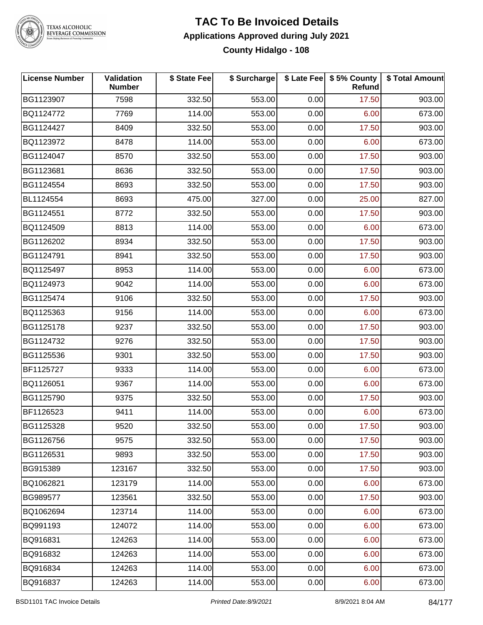

# TEXAS ALCOHOLIC<br>BEVERAGE COMMISSION

### **TAC To Be Invoiced Details Applications Approved during July 2021 County Hidalgo - 108**

| <b>License Number</b> | Validation<br><b>Number</b> | \$ State Fee | \$ Surcharge |      | \$ Late Fee   \$5% County<br>Refund | \$ Total Amount |
|-----------------------|-----------------------------|--------------|--------------|------|-------------------------------------|-----------------|
| BG1123907             | 7598                        | 332.50       | 553.00       | 0.00 | 17.50                               | 903.00          |
| BQ1124772             | 7769                        | 114.00       | 553.00       | 0.00 | 6.00                                | 673.00          |
| BG1124427             | 8409                        | 332.50       | 553.00       | 0.00 | 17.50                               | 903.00          |
| BQ1123972             | 8478                        | 114.00       | 553.00       | 0.00 | 6.00                                | 673.00          |
| BG1124047             | 8570                        | 332.50       | 553.00       | 0.00 | 17.50                               | 903.00          |
| BG1123681             | 8636                        | 332.50       | 553.00       | 0.00 | 17.50                               | 903.00          |
| BG1124554             | 8693                        | 332.50       | 553.00       | 0.00 | 17.50                               | 903.00          |
| BL1124554             | 8693                        | 475.00       | 327.00       | 0.00 | 25.00                               | 827.00          |
| BG1124551             | 8772                        | 332.50       | 553.00       | 0.00 | 17.50                               | 903.00          |
| BQ1124509             | 8813                        | 114.00       | 553.00       | 0.00 | 6.00                                | 673.00          |
| BG1126202             | 8934                        | 332.50       | 553.00       | 0.00 | 17.50                               | 903.00          |
| BG1124791             | 8941                        | 332.50       | 553.00       | 0.00 | 17.50                               | 903.00          |
| BQ1125497             | 8953                        | 114.00       | 553.00       | 0.00 | 6.00                                | 673.00          |
| BQ1124973             | 9042                        | 114.00       | 553.00       | 0.00 | 6.00                                | 673.00          |
| BG1125474             | 9106                        | 332.50       | 553.00       | 0.00 | 17.50                               | 903.00          |
| BQ1125363             | 9156                        | 114.00       | 553.00       | 0.00 | 6.00                                | 673.00          |
| BG1125178             | 9237                        | 332.50       | 553.00       | 0.00 | 17.50                               | 903.00          |
| BG1124732             | 9276                        | 332.50       | 553.00       | 0.00 | 17.50                               | 903.00          |
| BG1125536             | 9301                        | 332.50       | 553.00       | 0.00 | 17.50                               | 903.00          |
| BF1125727             | 9333                        | 114.00       | 553.00       | 0.00 | 6.00                                | 673.00          |
| BQ1126051             | 9367                        | 114.00       | 553.00       | 0.00 | 6.00                                | 673.00          |
| BG1125790             | 9375                        | 332.50       | 553.00       | 0.00 | 17.50                               | 903.00          |
| BF1126523             | 9411                        | 114.00       | 553.00       | 0.00 | 6.00                                | 673.00          |
| BG1125328             | 9520                        | 332.50       | 553.00       | 0.00 | 17.50                               | 903.00          |
| BG1126756             | 9575                        | 332.50       | 553.00       | 0.00 | 17.50                               | 903.00          |
| BG1126531             | 9893                        | 332.50       | 553.00       | 0.00 | 17.50                               | 903.00          |
| BG915389              | 123167                      | 332.50       | 553.00       | 0.00 | 17.50                               | 903.00          |
| BQ1062821             | 123179                      | 114.00       | 553.00       | 0.00 | 6.00                                | 673.00          |
| BG989577              | 123561                      | 332.50       | 553.00       | 0.00 | 17.50                               | 903.00          |
| BQ1062694             | 123714                      | 114.00       | 553.00       | 0.00 | 6.00                                | 673.00          |
| BQ991193              | 124072                      | 114.00       | 553.00       | 0.00 | 6.00                                | 673.00          |
| BQ916831              | 124263                      | 114.00       | 553.00       | 0.00 | 6.00                                | 673.00          |
| BQ916832              | 124263                      | 114.00       | 553.00       | 0.00 | 6.00                                | 673.00          |
| BQ916834              | 124263                      | 114.00       | 553.00       | 0.00 | 6.00                                | 673.00          |
| BQ916837              | 124263                      | 114.00       | 553.00       | 0.00 | 6.00                                | 673.00          |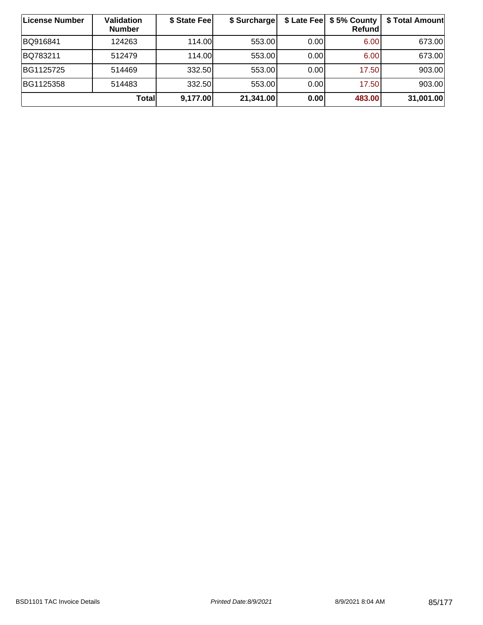| License Number | <b>Validation</b><br><b>Number</b> | \$ State Fee | \$ Surcharge |      | \$ Late Fee   \$5% County  <br><b>Refund</b> | \$ Total Amount |
|----------------|------------------------------------|--------------|--------------|------|----------------------------------------------|-----------------|
| BQ916841       | 124263                             | 114.00       | 553.00       | 0.00 | 6.00                                         | 673.00          |
| BQ783211       | 512479                             | 114.00L      | 553.00       | 0.00 | 6.00                                         | 673.00          |
| BG1125725      | 514469                             | 332.50       | 553.00       | 0.00 | 17.50                                        | 903.00          |
| BG1125358      | 514483                             | 332.50       | 553.00       | 0.00 | 17.50                                        | 903.00          |
|                | Totall                             | 9,177.00     | 21,341.00    | 0.00 | 483.00                                       | 31,001.00       |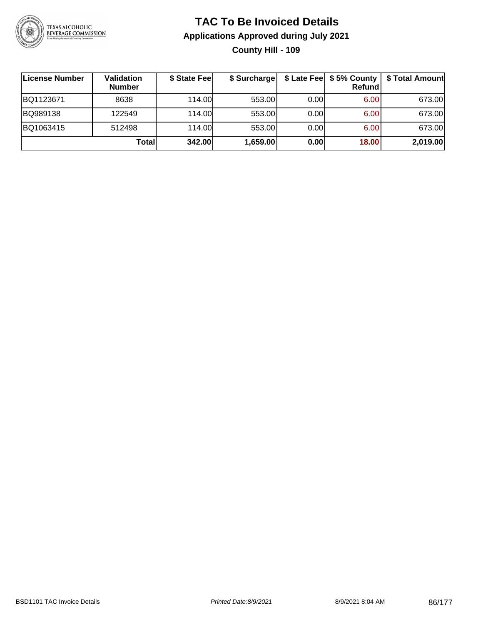

### **TAC To Be Invoiced Details Applications Approved during July 2021 County Hill - 109**

| License Number | Validation<br><b>Number</b> | \$ State Fee | \$ Surcharge |      | $$$ Late Fee $$5%$ County<br><b>Refund</b> | \$ Total Amount |
|----------------|-----------------------------|--------------|--------------|------|--------------------------------------------|-----------------|
| BQ1123671      | 8638                        | 114.00L      | 553.00       | 0.00 | 6.00                                       | 673.00          |
| BQ989138       | 122549                      | 114.00L      | 553.00       | 0.00 | 6.00                                       | 673.00          |
| BQ1063415      | 512498                      | 114.00L      | 553.00       | 0.00 | 6.00                                       | 673.00          |
|                | Total                       | 342.00       | 1,659.00     | 0.00 | 18.00                                      | 2,019.00        |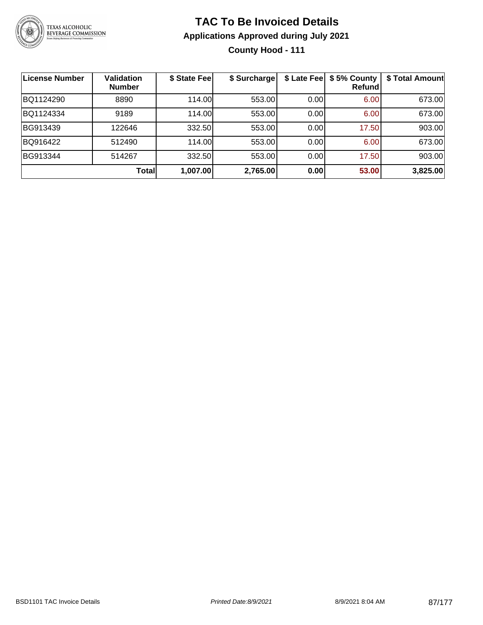

### **TAC To Be Invoiced Details Applications Approved during July 2021 County Hood - 111**

| License Number | <b>Validation</b><br><b>Number</b> | \$ State Fee | \$ Surcharge |      | \$ Late Fee   \$5% County<br><b>Refund</b> | \$ Total Amount |
|----------------|------------------------------------|--------------|--------------|------|--------------------------------------------|-----------------|
| BQ1124290      | 8890                               | 114.00       | 553.00       | 0.00 | 6.00                                       | 673.00          |
| BQ1124334      | 9189                               | 114.00       | 553.00       | 0.00 | 6.00                                       | 673.00          |
| BG913439       | 122646                             | 332.50       | 553.00       | 0.00 | 17.50                                      | 903.00          |
| BQ916422       | 512490                             | 114.00       | 553.00       | 0.00 | 6.00                                       | 673.00          |
| BG913344       | 514267                             | 332.50       | 553.00       | 0.00 | 17.50                                      | 903.00          |
|                | Total                              | 1,007.00     | 2,765.00     | 0.00 | 53.00                                      | 3,825.00        |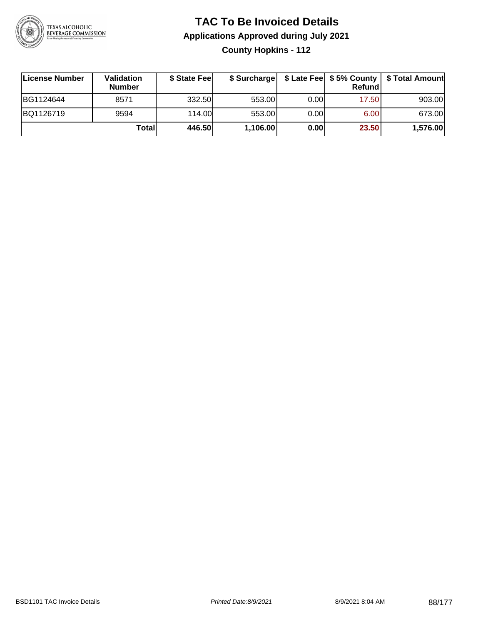

### **TAC To Be Invoiced Details Applications Approved during July 2021 County Hopkins - 112**

| License Number | Validation<br><b>Number</b> | \$ State Fee |          |      | Refundl | \$ Surcharge   \$ Late Fee   \$5% County   \$ Total Amount |
|----------------|-----------------------------|--------------|----------|------|---------|------------------------------------------------------------|
| BG1124644      | 8571                        | 332.50       | 553.00   | 0.00 | 17.50   | 903.00                                                     |
| BQ1126719      | 9594                        | 114.00       | 553.00   | 0.00 | 6.00    | 673.00                                                     |
|                | Totall                      | 446.50       | 1,106.00 | 0.00 | 23.50   | 1,576.00                                                   |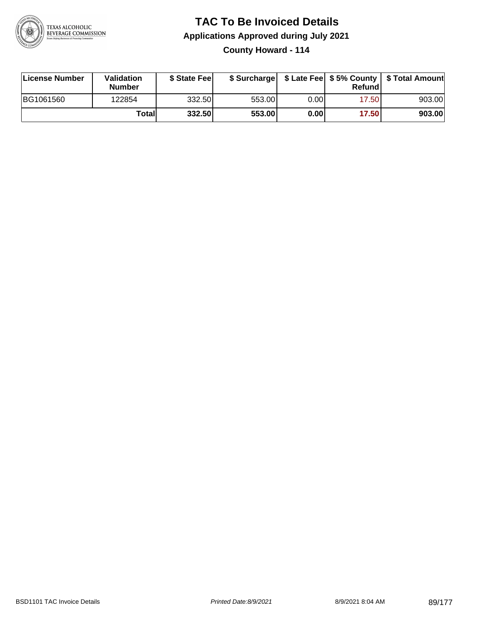

**County Howard - 114**

| License Number | <b>Validation</b><br><b>Number</b> | \$ State Feel |        |      | Refundl | \$ Surcharge   \$ Late Fee   \$5% County   \$ Total Amount |
|----------------|------------------------------------|---------------|--------|------|---------|------------------------------------------------------------|
| BG1061560      | 122854                             | 332.50        | 553.00 | 0.00 | 17.50   | 903.00                                                     |
|                | Totall                             | 332.50        | 553.00 | 0.00 | 17.50   | 903.00                                                     |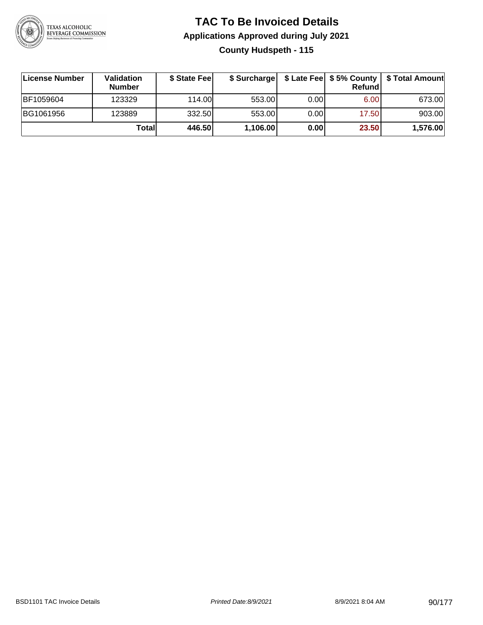

### **TAC To Be Invoiced Details Applications Approved during July 2021 County Hudspeth - 115**

| License Number | <b>Validation</b><br><b>Number</b> | \$ State Feel |          |       | <b>Refund</b> | \$ Surcharge   \$ Late Fee   \$5% County   \$ Total Amount |
|----------------|------------------------------------|---------------|----------|-------|---------------|------------------------------------------------------------|
| BF1059604      | 123329                             | 114.00        | 553.00   | 0.001 | 6.00          | 673.00                                                     |
| BG1061956      | 123889                             | 332.50        | 553.00   | 0.00  | 17.50         | 903.00                                                     |
|                | Totall                             | 446.50        | 1,106.00 | 0.00  | 23.50         | 1,576.00                                                   |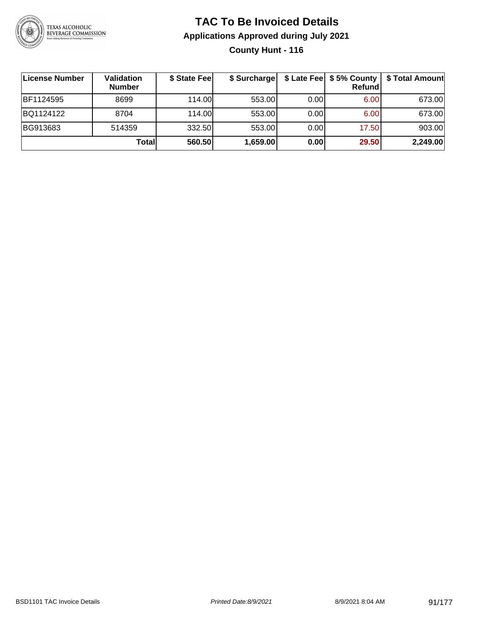

### **TAC To Be Invoiced Details Applications Approved during July 2021 County Hunt - 116**

| License Number   | Validation<br><b>Number</b> | \$ State Fee | \$ Surcharge |      | \$ Late Fee   \$5% County  <br><b>Refund</b> | \$ Total Amount |
|------------------|-----------------------------|--------------|--------------|------|----------------------------------------------|-----------------|
| <b>BF1124595</b> | 8699                        | 114.00L      | 553.00       | 0.00 | 6.00                                         | 673.00          |
| BQ1124122        | 8704                        | 114.00L      | 553.00       | 0.00 | 6.00                                         | 673.00          |
| BG913683         | 514359                      | 332.50       | 553.00       | 0.00 | 17.50                                        | 903.00          |
|                  | Totall                      | 560.50       | 1,659.00     | 0.00 | 29.50                                        | 2,249.00        |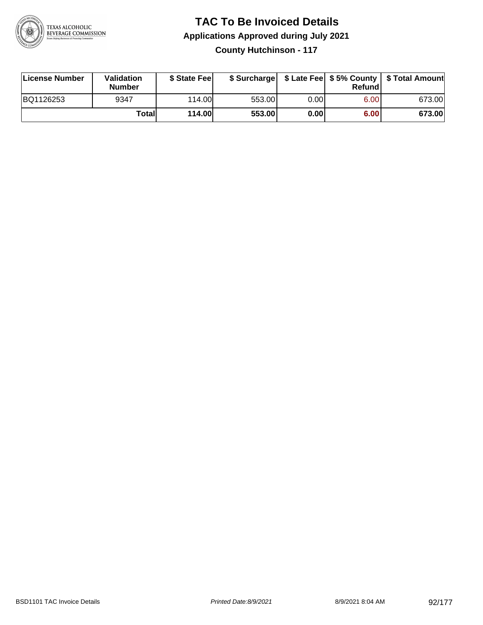

### **TAC To Be Invoiced Details Applications Approved during July 2021 County Hutchinson - 117**

| <b>License Number</b> | <b>Validation</b><br><b>Number</b> | \$ State Feel | \$ Surcharge |      | Refund | \$ Late Fee   \$5% County   \$ Total Amount |
|-----------------------|------------------------------------|---------------|--------------|------|--------|---------------------------------------------|
| BQ1126253             | 9347                               | 114.00        | 553.00       | 0.00 | 6.00   | 673.00                                      |
|                       | Totall                             | <b>114.00</b> | 553.00       | 0.00 | 6.00   | 673.00                                      |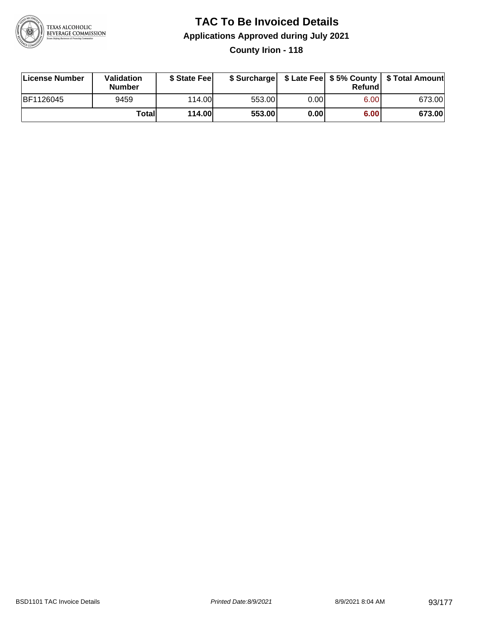

### **TAC To Be Invoiced Details Applications Approved during July 2021 County Irion - 118**

| License Number | Validation<br><b>Number</b> | \$ State Feel  |        |      | Refundl | \$ Surcharge   \$ Late Fee   \$5% County   \$ Total Amount |
|----------------|-----------------------------|----------------|--------|------|---------|------------------------------------------------------------|
| BF1126045      | 9459                        | 114.00L        | 553.00 | 0.00 | 6.00    | 673.00                                                     |
|                | Total                       | <b>114.00L</b> | 553.00 | 0.00 | 6.00    | 673.00                                                     |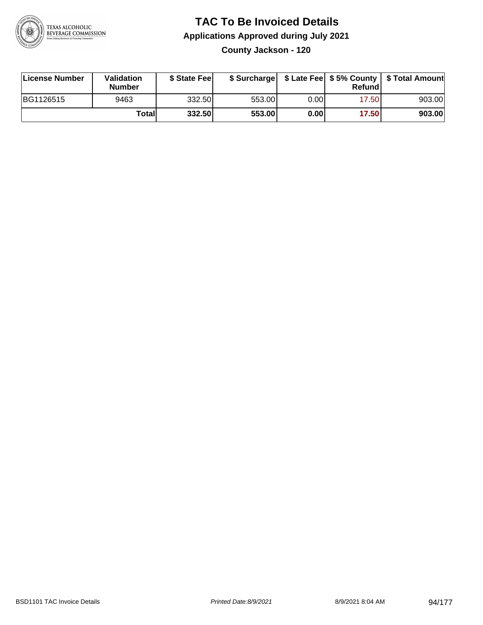

**County Jackson - 120**

| License Number | <b>Validation</b><br><b>Number</b> | \$ State Feel |        |       | Refundl | \$ Surcharge   \$ Late Fee   \$5% County   \$ Total Amount |
|----------------|------------------------------------|---------------|--------|-------|---------|------------------------------------------------------------|
| BG1126515      | 9463                               | 332.50        | 553.00 | 0.00I | 17.50   | 903.00                                                     |
|                | Totall                             | 332.50        | 553.00 | 0.00  | 17.50   | 903.00                                                     |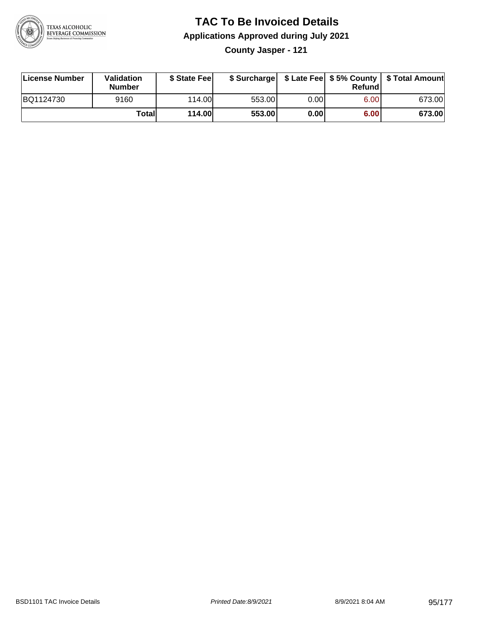

**County Jasper - 121**

| License Number | Validation<br><b>Number</b> | \$ State Feel | \$ Surcharge |             | <b>Refund</b> |        |
|----------------|-----------------------------|---------------|--------------|-------------|---------------|--------|
| BQ1124730      | 9160                        | 114.00        | 553.00       | $0.00\vert$ | 6.00          | 673.00 |
|                | Totall                      | <b>114.00</b> | 553.00       | 0.00        | 6.00          | 673.00 |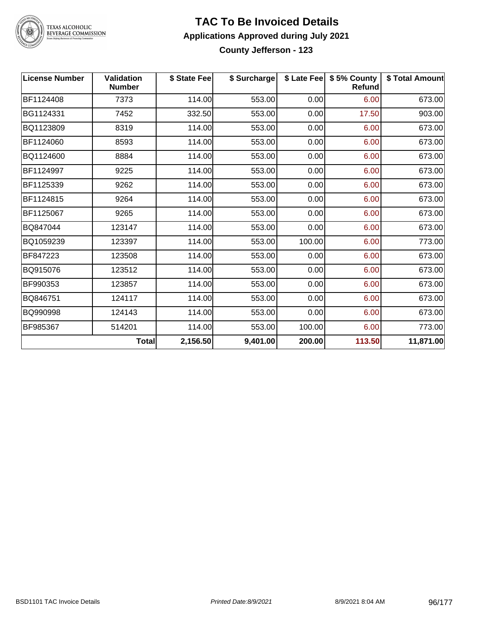

## TEXAS ALCOHOLIC<br>BEVERAGE COMMISSION

#### **TAC To Be Invoiced Details Applications Approved during July 2021 County Jefferson - 123**

| <b>License Number</b> | <b>Validation</b><br><b>Number</b> | \$ State Fee | \$ Surcharge |        | \$ Late Fee   \$5% County<br><b>Refund</b> | \$ Total Amount |
|-----------------------|------------------------------------|--------------|--------------|--------|--------------------------------------------|-----------------|
| BF1124408             | 7373                               | 114.00       | 553.00       | 0.00   | 6.00                                       | 673.00          |
| BG1124331             | 7452                               | 332.50       | 553.00       | 0.00   | 17.50                                      | 903.00          |
| BQ1123809             | 8319                               | 114.00       | 553.00       | 0.00   | 6.00                                       | 673.00          |
| BF1124060             | 8593                               | 114.00       | 553.00       | 0.00   | 6.00                                       | 673.00          |
| BQ1124600             | 8884                               | 114.00       | 553.00       | 0.00   | 6.00                                       | 673.00          |
| BF1124997             | 9225                               | 114.00       | 553.00       | 0.00   | 6.00                                       | 673.00          |
| BF1125339             | 9262                               | 114.00       | 553.00       | 0.00   | 6.00                                       | 673.00          |
| BF1124815             | 9264                               | 114.00       | 553.00       | 0.00   | 6.00                                       | 673.00          |
| BF1125067             | 9265                               | 114.00       | 553.00       | 0.00   | 6.00                                       | 673.00          |
| BQ847044              | 123147                             | 114.00       | 553.00       | 0.00   | 6.00                                       | 673.00          |
| BQ1059239             | 123397                             | 114.00       | 553.00       | 100.00 | 6.00                                       | 773.00          |
| BF847223              | 123508                             | 114.00       | 553.00       | 0.00   | 6.00                                       | 673.00          |
| BQ915076              | 123512                             | 114.00       | 553.00       | 0.00   | 6.00                                       | 673.00          |
| BF990353              | 123857                             | 114.00       | 553.00       | 0.00   | 6.00                                       | 673.00          |
| BQ846751              | 124117                             | 114.00       | 553.00       | 0.00   | 6.00                                       | 673.00          |
| BQ990998              | 124143                             | 114.00       | 553.00       | 0.00   | 6.00                                       | 673.00          |
| BF985367              | 514201                             | 114.00       | 553.00       | 100.00 | 6.00                                       | 773.00          |
|                       | <b>Total</b>                       | 2,156.50     | 9,401.00     | 200.00 | 113.50                                     | 11,871.00       |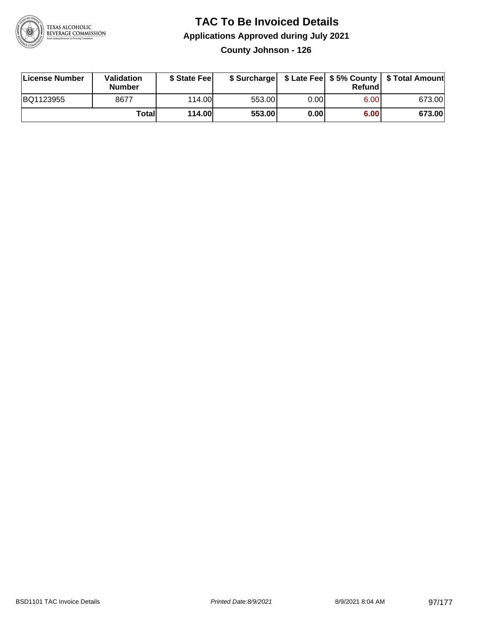

**County Johnson - 126**

| License Number | Validation<br><b>Number</b> | \$ State Feel | \$ Surcharge |       | Refundl | \$ Late Fee   \$5% County   \$ Total Amount |
|----------------|-----------------------------|---------------|--------------|-------|---------|---------------------------------------------|
| BQ1123955      | 8677                        | 114.00        | 553.00       | 0.001 | 6.00    | 673.00                                      |
|                | Totall                      | <b>114.00</b> | 553.00       | 0.00  | 6.00    | 673.00                                      |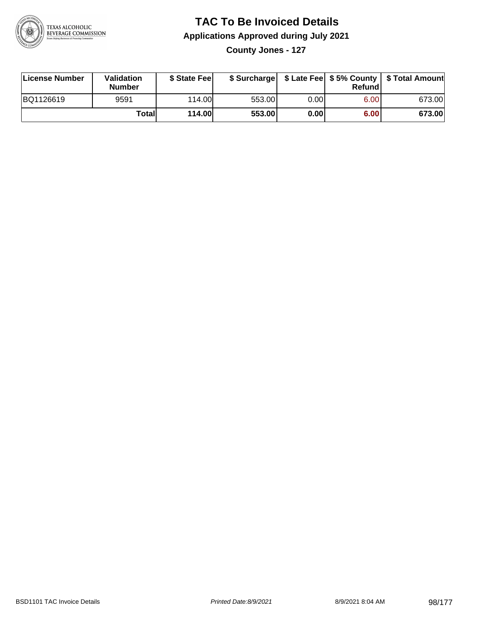

**County Jones - 127**

| License Number | Validation<br><b>Number</b> | \$ State Fee  | \$ Surcharge |      | Refund |        |
|----------------|-----------------------------|---------------|--------------|------|--------|--------|
| BQ1126619      | 9591                        | 114.00        | 553.00       | 0.00 | 6.00   | 673.00 |
|                | Totall                      | <b>114.00</b> | 553.00       | 0.00 | 6.00   | 673.00 |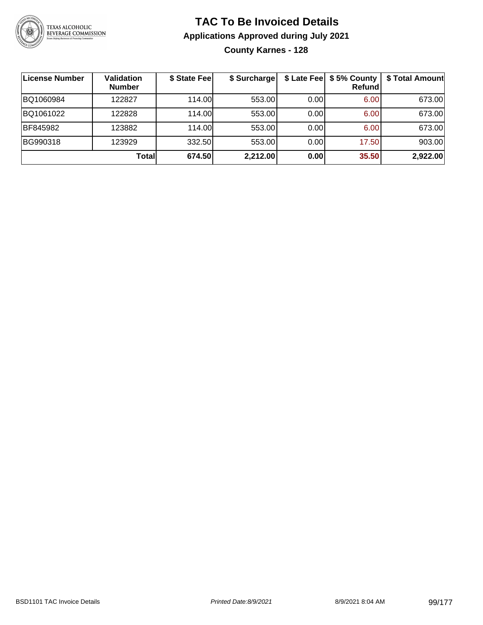

### **TAC To Be Invoiced Details Applications Approved during July 2021 County Karnes - 128**

| License Number | <b>Validation</b><br><b>Number</b> | \$ State Fee | \$ Surcharge |      | \$ Late Fee   \$5% County  <br><b>Refund</b> | \$ Total Amount |
|----------------|------------------------------------|--------------|--------------|------|----------------------------------------------|-----------------|
| BQ1060984      | 122827                             | 114.00       | 553.00       | 0.00 | 6.00                                         | 673.00          |
| BQ1061022      | 122828                             | 114.00L      | 553.00       | 0.00 | 6.00                                         | 673.00          |
| BF845982       | 123882                             | 114.00       | 553.00       | 0.00 | 6.00                                         | 673.00          |
| BG990318       | 123929                             | 332.50       | 553.00       | 0.00 | 17.50                                        | 903.00          |
|                | Totall                             | 674.50       | 2,212.00     | 0.00 | 35.50                                        | 2,922.00        |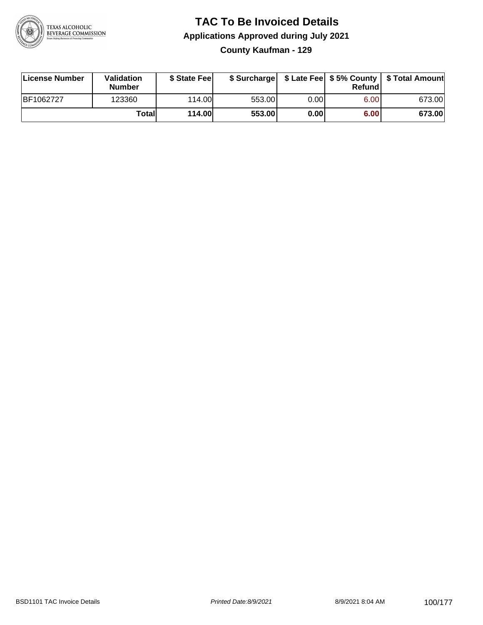

### **TAC To Be Invoiced Details Applications Approved during July 2021 County Kaufman - 129**

| License Number | Validation<br><b>Number</b> | \$ State Fee |        |      | Refundl | \$ Surcharge   \$ Late Fee   \$5% County   \$ Total Amount |
|----------------|-----------------------------|--------------|--------|------|---------|------------------------------------------------------------|
| BF1062727      | 123360                      | 114.00       | 553.00 | 0.00 | 6.00    | 673.00                                                     |
|                | Total                       | 114.00       | 553.00 | 0.00 | 6.00    | 673.00                                                     |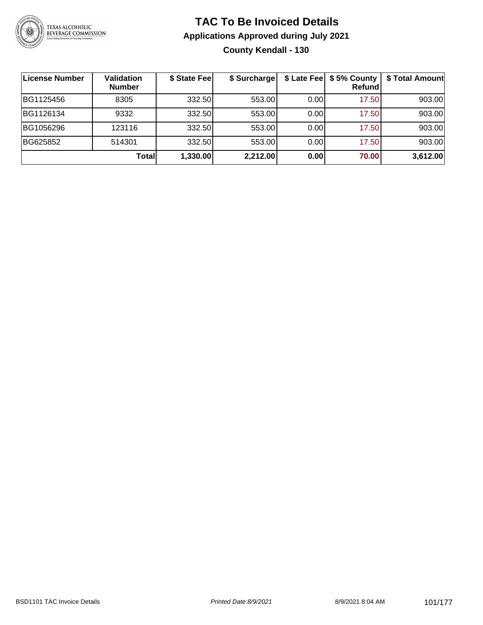

### **TAC To Be Invoiced Details Applications Approved during July 2021 County Kendall - 130**

| License Number | <b>Validation</b><br><b>Number</b> | \$ State Fee | \$ Surcharge |       | \$ Late Fee   \$5% County  <br>Refundl | \$ Total Amount |
|----------------|------------------------------------|--------------|--------------|-------|----------------------------------------|-----------------|
| BG1125456      | 8305                               | 332.50       | 553.00       | 0.001 | 17.50                                  | 903.00          |
| BG1126134      | 9332                               | 332.50       | 553.00       | 0.001 | 17.50                                  | 903.00          |
| BG1056296      | 123116                             | 332.50       | 553.00       | 0.001 | 17.50                                  | 903.00          |
| BG625852       | 514301                             | 332.50       | 553.00       | 0.001 | 17.50                                  | 903.00          |
|                | <b>Total</b>                       | 1,330.00     | 2,212.00     | 0.00  | 70.00                                  | 3,612.00        |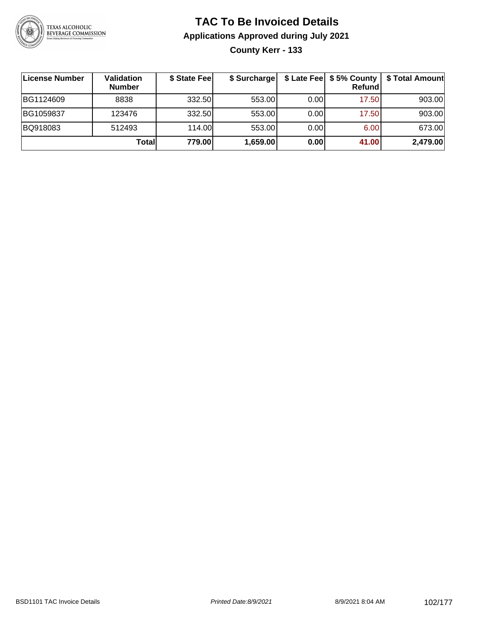

### **TAC To Be Invoiced Details Applications Approved during July 2021 County Kerr - 133**

**License Number Validation Number \$ State Fee \$ Surcharge \$ Late Fee \$ 5% County Refund \$ Total Amount** BG1124609 | 8838 | 332.50| 553.00| 0.00| 17.50| 903.00 BG1059837 | 123476 | 332.50| 553.00| 0.00| 17.50| 903.00 BQ918083 512493 114.00 553.00 0.00 6.00 673.00 **Total 779.00 1,659.00 0.00 41.00 2,479.00**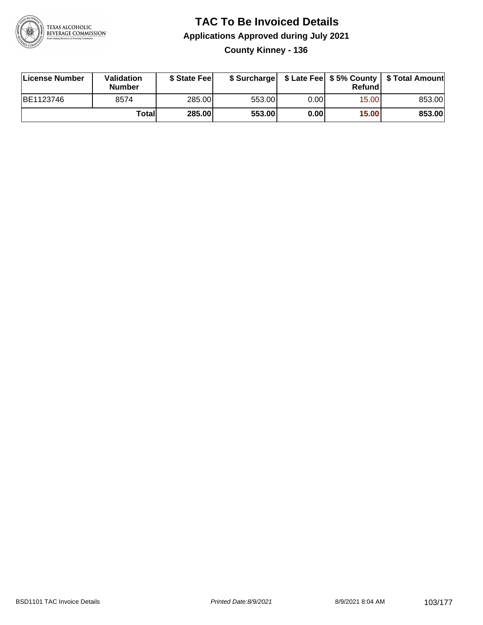

### **TAC To Be Invoiced Details Applications Approved during July 2021 County Kinney - 136**

| License Number | Validation<br>Number | \$ State Fee |        |      | Refundl | \$ Surcharge   \$ Late Fee   \$5% County   \$ Total Amount |
|----------------|----------------------|--------------|--------|------|---------|------------------------------------------------------------|
| BE1123746      | 8574                 | 285.00       | 553.00 | 0.00 | 15.00   | 853.00                                                     |
|                | Totall               | 285.00       | 553.00 | 0.00 | 15.00   | 853.00                                                     |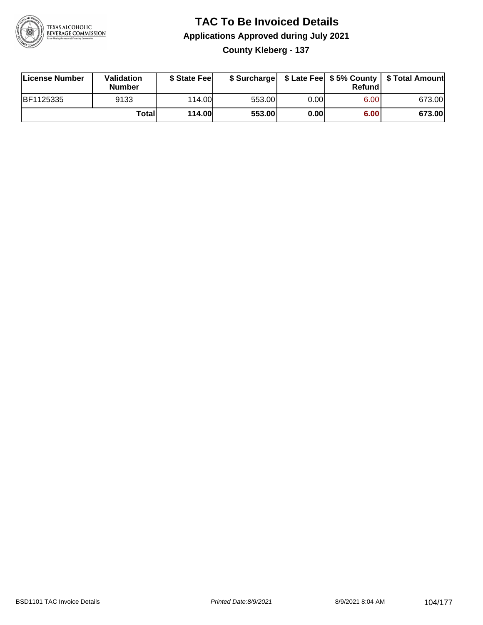

### **TAC To Be Invoiced Details Applications Approved during July 2021 County Kleberg - 137**

| License Number | Validation<br><b>Number</b> | \$ State Fee |        |      | Refund | \$ Surcharge   \$ Late Fee   \$5% County   \$ Total Amount |
|----------------|-----------------------------|--------------|--------|------|--------|------------------------------------------------------------|
| BF1125335      | 9133                        | 114.00L      | 553.00 | 0.00 | 6.00   | 673.00                                                     |
|                | Totall                      | 114.00       | 553.00 | 0.00 | 6.00   | 673.00                                                     |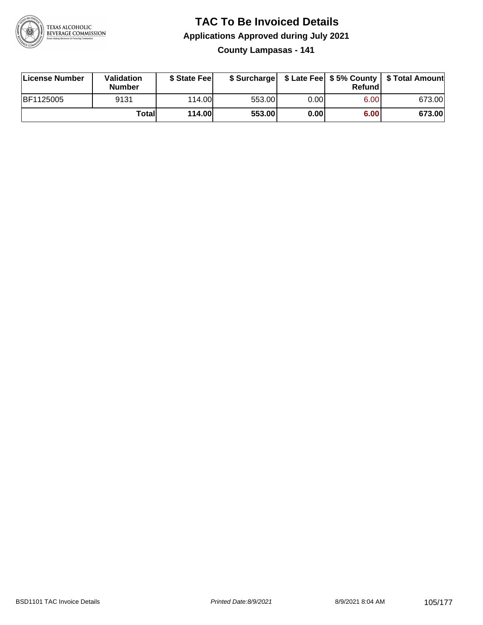

**County Lampasas - 141**

| License Number | Validation<br><b>Number</b> | \$ State Fee |        |      | Refundl | \$ Surcharge   \$ Late Fee   \$5% County   \$ Total Amount |
|----------------|-----------------------------|--------------|--------|------|---------|------------------------------------------------------------|
| BF1125005      | 9131                        | 114.00L      | 553.00 | 0.00 | 6.00    | 673.00                                                     |
|                | Totall                      | 114.00       | 553.00 | 0.00 | 6.00    | 673.00                                                     |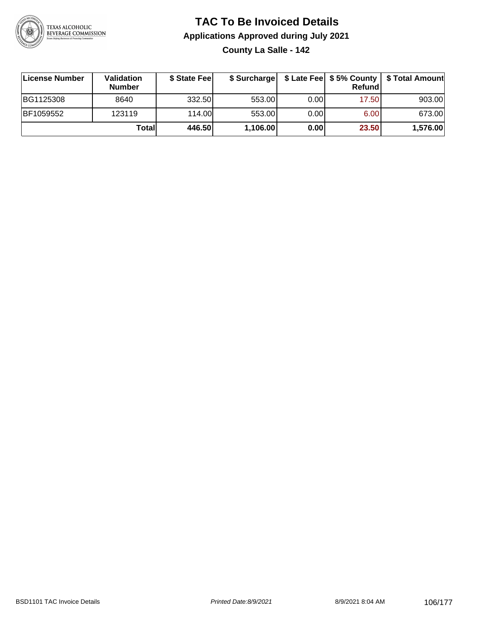

### **TAC To Be Invoiced Details Applications Approved during July 2021 County La Salle - 142**

| License Number | Validation<br><b>Number</b> | \$ State Fee |          |      | Refundl | \$ Surcharge   \$ Late Fee   \$5% County   \$ Total Amount |
|----------------|-----------------------------|--------------|----------|------|---------|------------------------------------------------------------|
| BG1125308      | 8640                        | 332.50       | 553.00   | 0.00 | 17.50   | 903.00                                                     |
| BF1059552      | 123119                      | 114.00       | 553.00   | 0.00 | 6.00    | 673.00                                                     |
|                | Totall                      | 446.50       | 1,106.00 | 0.00 | 23.50   | 1,576.00                                                   |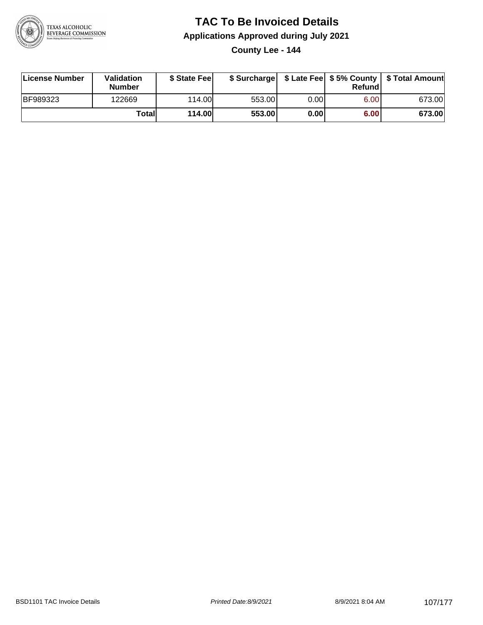

**County Lee - 144**

| License Number  | <b>Validation</b><br><b>Number</b> | \$ State Feel |        |      | Refundl | \$ Surcharge   \$ Late Fee   \$5% County   \$ Total Amount |
|-----------------|------------------------------------|---------------|--------|------|---------|------------------------------------------------------------|
| <b>BF989323</b> | 122669                             | 114.00        | 553.00 | 0.00 | 6.00    | 673.00                                                     |
|                 | Totall                             | <b>114.00</b> | 553.00 | 0.00 | 6.00    | 673.00                                                     |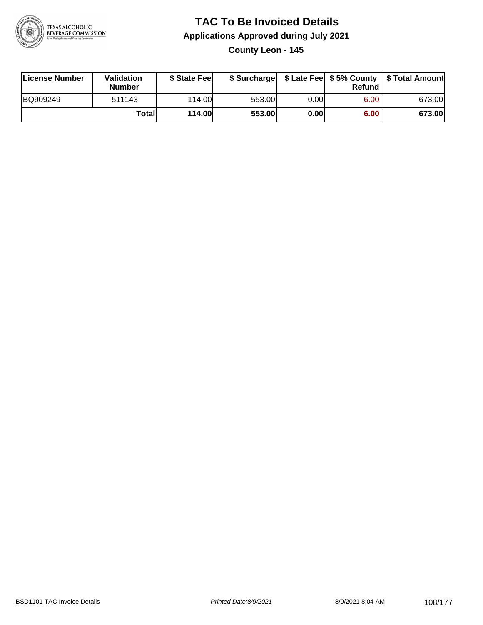

### **TAC To Be Invoiced Details Applications Approved during July 2021 County Leon - 145**

| License Number | Validation<br><b>Number</b> | \$ State Fee |        |      | Refund | \$ Surcharge   \$ Late Fee   \$5% County   \$ Total Amount |
|----------------|-----------------------------|--------------|--------|------|--------|------------------------------------------------------------|
| BQ909249       | 511143                      | 114.00L      | 553.00 | 0.00 | 6.00   | 673.00                                                     |
|                | Totall                      | 114.00       | 553.00 | 0.00 | 6.00   | 673.00                                                     |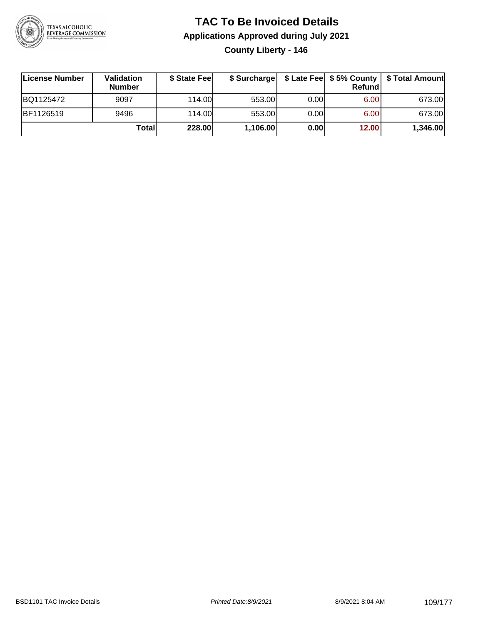

#### **TAC To Be Invoiced Details Applications Approved during July 2021 County Liberty - 146**

| License Number | Validation<br><b>Number</b> | \$ State Fee | \$ Surcharge |      | Refund | \$ Late Fee   \$5% County   \$ Total Amount |
|----------------|-----------------------------|--------------|--------------|------|--------|---------------------------------------------|
| BQ1125472      | 9097                        | 114.00L      | 553.00       | 0.00 | 6.00   | 673.00                                      |
| BF1126519      | 9496                        | 114.00L      | 553.00       | 0.00 | 6.00   | 673.00                                      |
|                | Total                       | 228.00       | 1,106.00     | 0.00 | 12.00  | 1,346.00                                    |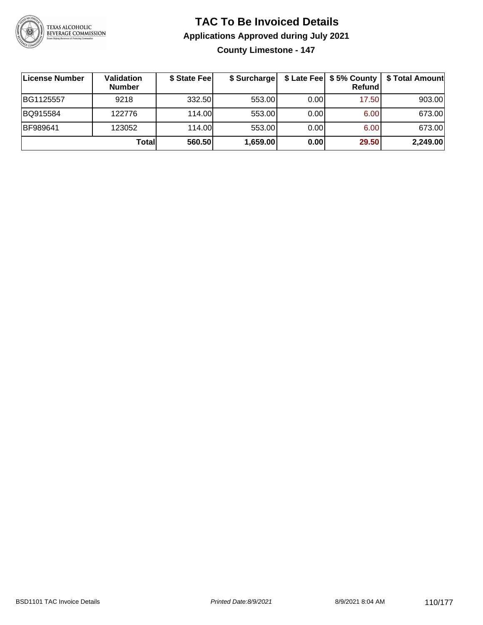

**County Limestone - 147**

| License Number | Validation<br><b>Number</b> | \$ State Fee | \$ Surcharge |       | Refundl | \$ Late Fee   \$5% County   \$ Total Amount |
|----------------|-----------------------------|--------------|--------------|-------|---------|---------------------------------------------|
| BG1125557      | 9218                        | 332.50       | 553.00       | 0.00  | 17.50   | 903.00                                      |
| BQ915584       | 122776                      | 114.00       | 553.00       | 0.00  | 6.00    | 673.00                                      |
| BF989641       | 123052                      | 114.00       | 553.00       | 0.001 | 6.00    | 673.00                                      |
|                | Totall                      | 560.50       | 1,659.00     | 0.00  | 29.50   | 2,249.00                                    |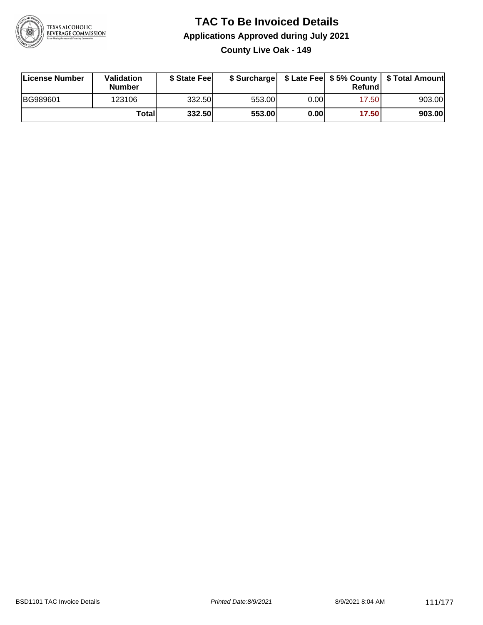

**County Live Oak - 149**

| License Number  | <b>Validation</b><br><b>Number</b> | \$ State Feel |        |      | Refundl | \$ Surcharge   \$ Late Fee   \$5% County   \$ Total Amount |
|-----------------|------------------------------------|---------------|--------|------|---------|------------------------------------------------------------|
| <b>BG989601</b> | 123106                             | 332.50        | 553.00 | 0.00 | 17.50   | 903.00                                                     |
|                 | Totall                             | 332.50        | 553.00 | 0.00 | 17.50   | 903.00                                                     |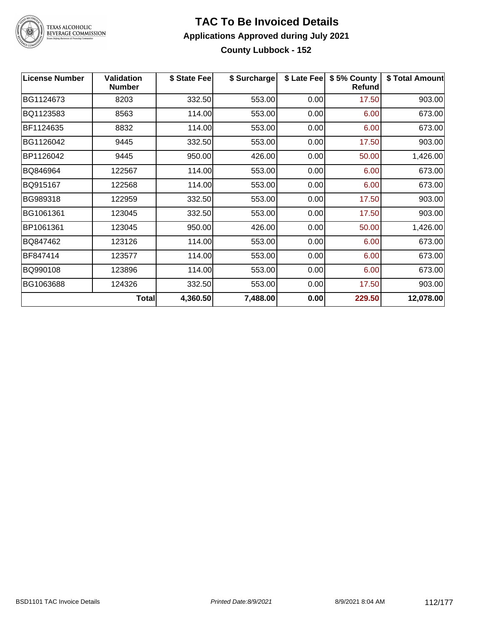

#### **TAC To Be Invoiced Details Applications Approved during July 2021 County Lubbock - 152**

| <b>License Number</b> | <b>Validation</b><br><b>Number</b> | \$ State Fee | \$ Surcharge | \$ Late Fee | \$5% County<br>Refund | \$ Total Amount |
|-----------------------|------------------------------------|--------------|--------------|-------------|-----------------------|-----------------|
| BG1124673             | 8203                               | 332.50       | 553.00       | 0.00        | 17.50                 | 903.00          |
| BQ1123583             | 8563                               | 114.00       | 553.00       | 0.00        | 6.00                  | 673.00          |
| BF1124635             | 8832                               | 114.00       | 553.00       | 0.00        | 6.00                  | 673.00          |
| BG1126042             | 9445                               | 332.50       | 553.00       | 0.00        | 17.50                 | 903.00          |
| BP1126042             | 9445                               | 950.00       | 426.00       | 0.00        | 50.00                 | 1,426.00        |
| BQ846964              | 122567                             | 114.00       | 553.00       | 0.00        | 6.00                  | 673.00          |
| BQ915167              | 122568                             | 114.00       | 553.00       | 0.00        | 6.00                  | 673.00          |
| BG989318              | 122959                             | 332.50       | 553.00       | 0.00        | 17.50                 | 903.00          |
| BG1061361             | 123045                             | 332.50       | 553.00       | 0.00        | 17.50                 | 903.00          |
| BP1061361             | 123045                             | 950.00       | 426.00       | 0.00        | 50.00                 | 1,426.00        |
| BQ847462              | 123126                             | 114.00       | 553.00       | 0.00        | 6.00                  | 673.00          |
| BF847414              | 123577                             | 114.00       | 553.00       | 0.00        | 6.00                  | 673.00          |
| BQ990108              | 123896                             | 114.00       | 553.00       | 0.00        | 6.00                  | 673.00          |
| BG1063688             | 124326                             | 332.50       | 553.00       | 0.00        | 17.50                 | 903.00          |
|                       | <b>Total</b>                       | 4,360.50     | 7,488.00     | 0.00        | 229.50                | 12,078.00       |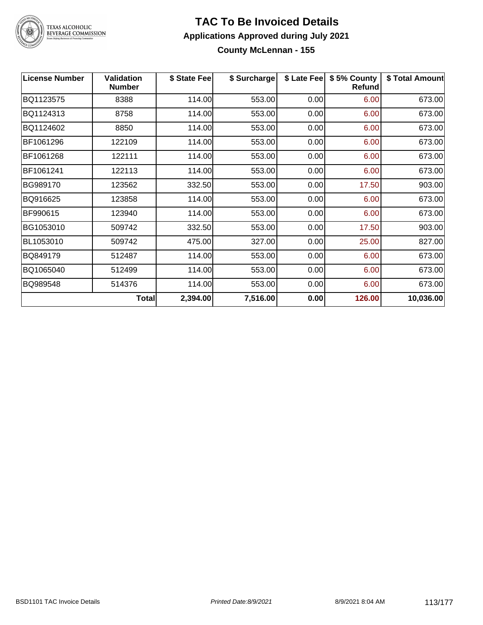

# TEXAS ALCOHOLIC<br>BEVERAGE COMMISSION

#### **TAC To Be Invoiced Details Applications Approved during July 2021 County McLennan - 155**

| <b>License Number</b> | <b>Validation</b><br><b>Number</b> | \$ State Fee | \$ Surcharge | \$ Late Fee | \$5% County<br>Refund | \$ Total Amount |
|-----------------------|------------------------------------|--------------|--------------|-------------|-----------------------|-----------------|
| BQ1123575             | 8388                               | 114.00       | 553.00       | 0.00        | 6.00                  | 673.00          |
| BQ1124313             | 8758                               | 114.00       | 553.00       | 0.00        | 6.00                  | 673.00          |
| BQ1124602             | 8850                               | 114.00       | 553.00       | 0.00        | 6.00                  | 673.00          |
| BF1061296             | 122109                             | 114.00       | 553.00       | 0.00        | 6.00                  | 673.00          |
| BF1061268             | 122111                             | 114.00       | 553.00       | 0.00        | 6.00                  | 673.00          |
| BF1061241             | 122113                             | 114.00       | 553.00       | 0.00        | 6.00                  | 673.00          |
| BG989170              | 123562                             | 332.50       | 553.00       | 0.00        | 17.50                 | 903.00          |
| BQ916625              | 123858                             | 114.00       | 553.00       | 0.00        | 6.00                  | 673.00          |
| BF990615              | 123940                             | 114.00       | 553.00       | 0.00        | 6.00                  | 673.00          |
| BG1053010             | 509742                             | 332.50       | 553.00       | 0.00        | 17.50                 | 903.00          |
| BL1053010             | 509742                             | 475.00       | 327.00       | 0.00        | 25.00                 | 827.00          |
| BQ849179              | 512487                             | 114.00       | 553.00       | 0.00        | 6.00                  | 673.00          |
| BQ1065040             | 512499                             | 114.00       | 553.00       | 0.00        | 6.00                  | 673.00          |
| BQ989548              | 514376                             | 114.00       | 553.00       | 0.00        | 6.00                  | 673.00          |
|                       | Total                              | 2,394.00     | 7,516.00     | 0.00        | 126.00                | 10,036.00       |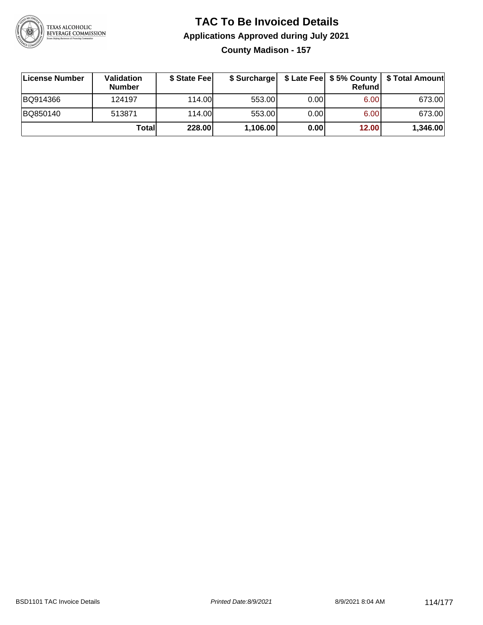

#### **TAC To Be Invoiced Details Applications Approved during July 2021 County Madison - 157**

| License Number | Validation<br><b>Number</b> | \$ State Fee |          |      | Refundl | \$ Surcharge   \$ Late Fee   \$5% County   \$ Total Amount |
|----------------|-----------------------------|--------------|----------|------|---------|------------------------------------------------------------|
| BQ914366       | 124197                      | 114.00L      | 553.00   | 0.00 | 6.00    | 673.00                                                     |
| BQ850140       | 513871                      | 114.00L      | 553.00   | 0.00 | 6.00    | 673.00                                                     |
|                | Total                       | 228.00       | 1,106.00 | 0.00 | 12.00   | 1,346.00                                                   |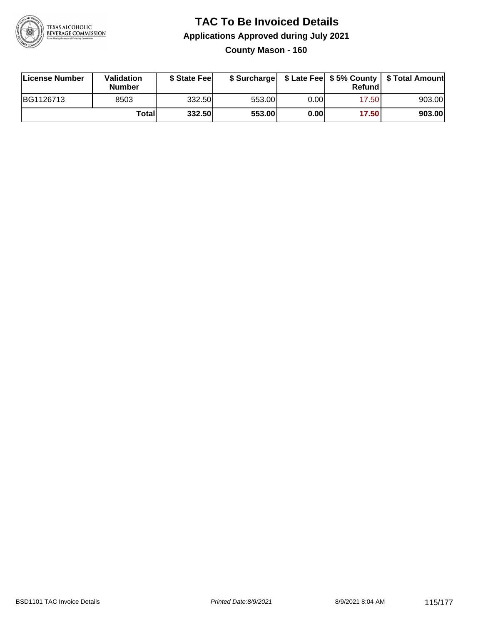

#### **TAC To Be Invoiced Details Applications Approved during July 2021 County Mason - 160**

| License Number | Validation<br><b>Number</b> | \$ State Fee |        |      | Refund | \$ Surcharge   \$ Late Fee   \$5% County   \$ Total Amount |
|----------------|-----------------------------|--------------|--------|------|--------|------------------------------------------------------------|
| BG1126713      | 8503                        | 332.50       | 553.00 | 0.00 | 17.50  | 903.00                                                     |
|                | Total                       | 332.50       | 553.00 | 0.00 | 17.50  | 903.00                                                     |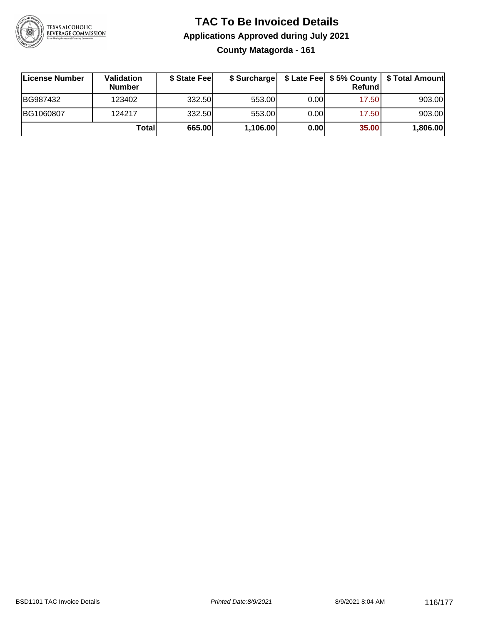

#### **TAC To Be Invoiced Details Applications Approved during July 2021 County Matagorda - 161**

| ∣License Number | Validation<br><b>Number</b> | \$ State Feel | \$ Surcharge |      | Refund | \$ Late Fee   \$5% County   \$ Total Amount |
|-----------------|-----------------------------|---------------|--------------|------|--------|---------------------------------------------|
| BG987432        | 123402                      | 332.50        | 553.00       | 0.00 | 17.50  | 903.00                                      |
| BG1060807       | 124217                      | 332.50        | 553.00       | 0.00 | 17.50  | 903.00                                      |
|                 | Totall                      | 665.00        | 1,106.00     | 0.00 | 35.00  | 1,806.00                                    |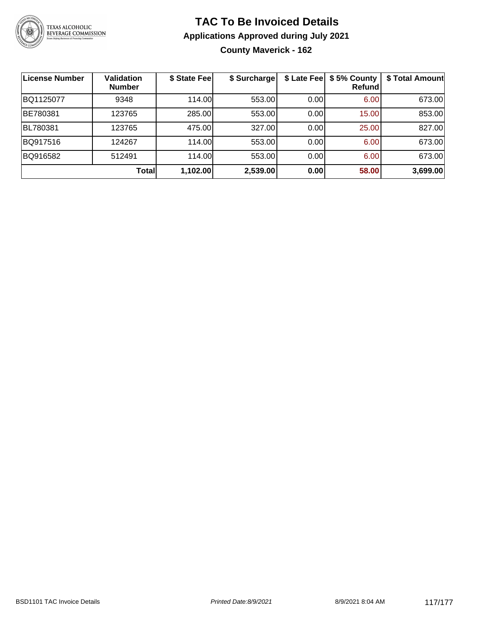

#### **TAC To Be Invoiced Details Applications Approved during July 2021 County Maverick - 162**

| License Number | Validation<br><b>Number</b> | \$ State Fee | \$ Surcharge | \$ Late Fee | \$5% County<br>Refundl | \$ Total Amount |
|----------------|-----------------------------|--------------|--------------|-------------|------------------------|-----------------|
| BQ1125077      | 9348                        | 114.00       | 553.00       | 0.00        | 6.00                   | 673.00          |
| BE780381       | 123765                      | 285.00       | 553.00       | 0.00        | 15.00                  | 853.00          |
| BL780381       | 123765                      | 475.00       | 327.00       | 0.00        | 25.00                  | 827.00          |
| BQ917516       | 124267                      | 114.00       | 553.00       | 0.00        | 6.00                   | 673.00          |
| BQ916582       | 512491                      | 114.00       | 553.00       | 0.00        | 6.00                   | 673.00          |
|                | Total                       | 1,102.00     | 2,539.00     | 0.00        | 58.00                  | 3,699.00        |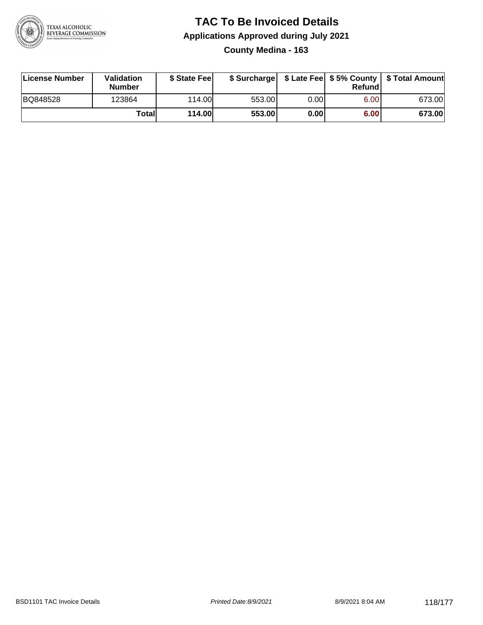

#### **TAC To Be Invoiced Details Applications Approved during July 2021 County Medina - 163**

| License Number | <b>Validation</b><br><b>Number</b> | \$ State Fee  |        |      | Refundl | \$ Surcharge   \$ Late Fee   \$5% County   \$ Total Amount |
|----------------|------------------------------------|---------------|--------|------|---------|------------------------------------------------------------|
| BQ848528       | 123864                             | 114.00        | 553.00 | 0.00 | 6.00    | 673.00                                                     |
|                | Totall                             | <b>114.00</b> | 553.00 | 0.00 | 6.00    | 673.00                                                     |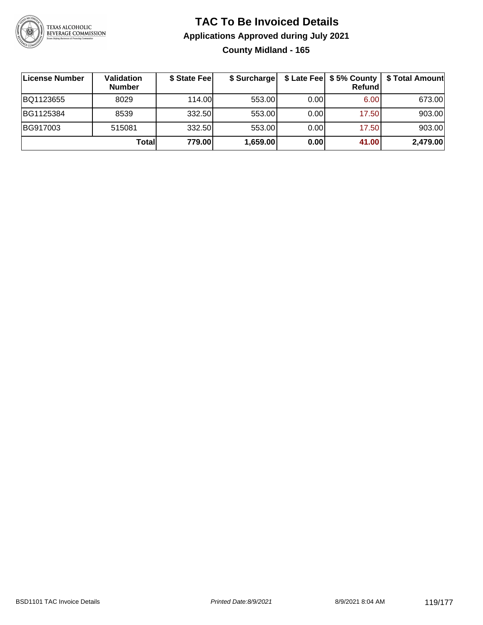

#### **TAC To Be Invoiced Details Applications Approved during July 2021 County Midland - 165**

| License Number | Validation<br><b>Number</b> | \$ State Fee | \$ Surcharge |      | Refundl | \$ Late Fee   \$5% County   \$ Total Amount |
|----------------|-----------------------------|--------------|--------------|------|---------|---------------------------------------------|
| BQ1123655      | 8029                        | 114.00L      | 553.00       | 0.00 | 6.00    | 673.00                                      |
| BG1125384      | 8539                        | 332.50       | 553.00       | 0.00 | 17.50   | 903.00                                      |
| BG917003       | 515081                      | 332.50       | 553.00       | 0.00 | 17.50   | 903.00                                      |
|                | Totall                      | 779.00       | 1,659.00     | 0.00 | 41.00   | 2,479.00                                    |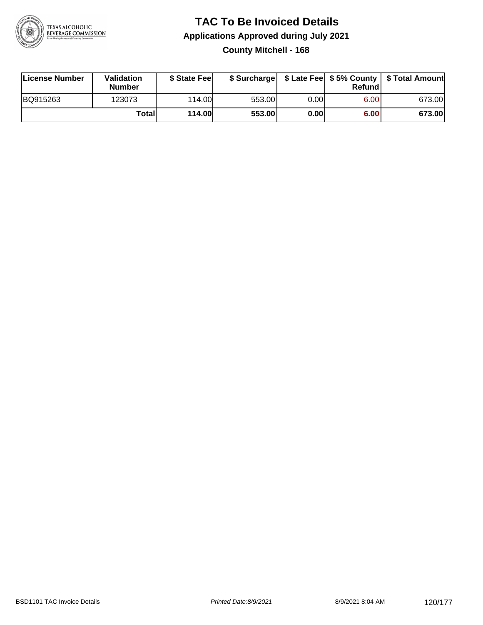

#### **TAC To Be Invoiced Details Applications Approved during July 2021 County Mitchell - 168**

| License Number | Validation<br>Number | \$ State Fee  |        |      | Refundl | \$ Surcharge   \$ Late Fee   \$5% County   \$ Total Amount |
|----------------|----------------------|---------------|--------|------|---------|------------------------------------------------------------|
| BQ915263       | 123073               | 114.00L       | 553.00 | 0.00 | 6.00    | 673.00                                                     |
|                | Totall               | <b>114.00</b> | 553.00 | 0.00 | 6.00    | 673.00                                                     |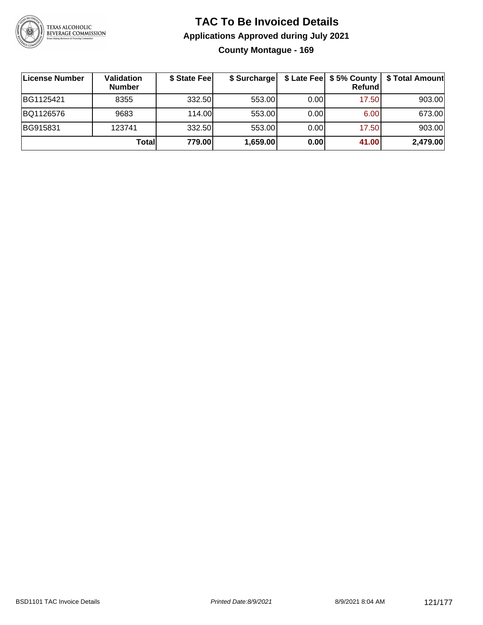

#### **TAC To Be Invoiced Details Applications Approved during July 2021 County Montague - 169**

| ∣License Number | Validation<br><b>Number</b> | \$ State Feel | \$ Surcharge |      | Refund | \$ Late Fee   \$5% County   \$ Total Amount |
|-----------------|-----------------------------|---------------|--------------|------|--------|---------------------------------------------|
| BG1125421       | 8355                        | 332.50        | 553.00       | 0.00 | 17.50  | 903.00                                      |
| BQ1126576       | 9683                        | 114.00L       | 553.00       | 0.00 | 6.00   | 673.00                                      |
| BG915831        | 123741                      | 332.50        | 553.00       | 0.00 | 17.50  | 903.00                                      |
|                 | Total                       | 779.00        | 1,659.00     | 0.00 | 41.00  | 2,479.00                                    |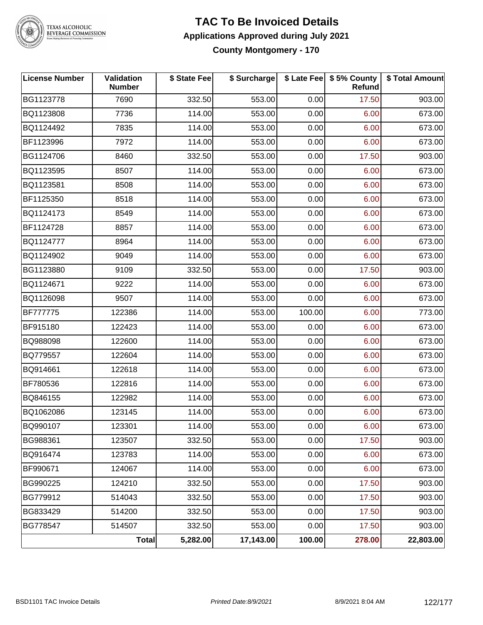

# TEXAS ALCOHOLIC<br>BEVERAGE COMMISSION

#### **TAC To Be Invoiced Details Applications Approved during July 2021 County Montgomery - 170**

| <b>License Number</b> | Validation<br><b>Number</b> | \$ State Fee | \$ Surcharge |        | \$ Late Fee   \$5% County<br>Refund | \$ Total Amount |
|-----------------------|-----------------------------|--------------|--------------|--------|-------------------------------------|-----------------|
| BG1123778             | 7690                        | 332.50       | 553.00       | 0.00   | 17.50                               | 903.00          |
| BQ1123808             | 7736                        | 114.00       | 553.00       | 0.00   | 6.00                                | 673.00          |
| BQ1124492             | 7835                        | 114.00       | 553.00       | 0.00   | 6.00                                | 673.00          |
| BF1123996             | 7972                        | 114.00       | 553.00       | 0.00   | 6.00                                | 673.00          |
| BG1124706             | 8460                        | 332.50       | 553.00       | 0.00   | 17.50                               | 903.00          |
| BQ1123595             | 8507                        | 114.00       | 553.00       | 0.00   | 6.00                                | 673.00          |
| BQ1123581             | 8508                        | 114.00       | 553.00       | 0.00   | 6.00                                | 673.00          |
| BF1125350             | 8518                        | 114.00       | 553.00       | 0.00   | 6.00                                | 673.00          |
| BQ1124173             | 8549                        | 114.00       | 553.00       | 0.00   | 6.00                                | 673.00          |
| BF1124728             | 8857                        | 114.00       | 553.00       | 0.00   | 6.00                                | 673.00          |
| BQ1124777             | 8964                        | 114.00       | 553.00       | 0.00   | 6.00                                | 673.00          |
| BQ1124902             | 9049                        | 114.00       | 553.00       | 0.00   | 6.00                                | 673.00          |
| BG1123880             | 9109                        | 332.50       | 553.00       | 0.00   | 17.50                               | 903.00          |
| BQ1124671             | 9222                        | 114.00       | 553.00       | 0.00   | 6.00                                | 673.00          |
| BQ1126098             | 9507                        | 114.00       | 553.00       | 0.00   | 6.00                                | 673.00          |
| <b>BF777775</b>       | 122386                      | 114.00       | 553.00       | 100.00 | 6.00                                | 773.00          |
| BF915180              | 122423                      | 114.00       | 553.00       | 0.00   | 6.00                                | 673.00          |
| BQ988098              | 122600                      | 114.00       | 553.00       | 0.00   | 6.00                                | 673.00          |
| BQ779557              | 122604                      | 114.00       | 553.00       | 0.00   | 6.00                                | 673.00          |
| BQ914661              | 122618                      | 114.00       | 553.00       | 0.00   | 6.00                                | 673.00          |
| BF780536              | 122816                      | 114.00       | 553.00       | 0.00   | 6.00                                | 673.00          |
| BQ846155              | 122982                      | 114.00       | 553.00       | 0.00   | 6.00                                | 673.00          |
| BQ1062086             | 123145                      | 114.00       | 553.00       | 0.00   | 6.00                                | 673.00          |
| BQ990107              | 123301                      | 114.00       | 553.00       | 0.00   | 6.00                                | 673.00          |
| BG988361              | 123507                      | 332.50       | 553.00       | 0.00   | 17.50                               | 903.00          |
| BQ916474              | 123783                      | 114.00       | 553.00       | 0.00   | 6.00                                | 673.00          |
| BF990671              | 124067                      | 114.00       | 553.00       | 0.00   | 6.00                                | 673.00          |
| BG990225              | 124210                      | 332.50       | 553.00       | 0.00   | 17.50                               | 903.00          |
| BG779912              | 514043                      | 332.50       | 553.00       | 0.00   | 17.50                               | 903.00          |
| BG833429              | 514200                      | 332.50       | 553.00       | 0.00   | 17.50                               | 903.00          |
| BG778547              | 514507                      | 332.50       | 553.00       | 0.00   | 17.50                               | 903.00          |
|                       | <b>Total</b>                | 5,282.00     | 17,143.00    | 100.00 | 278.00                              | 22,803.00       |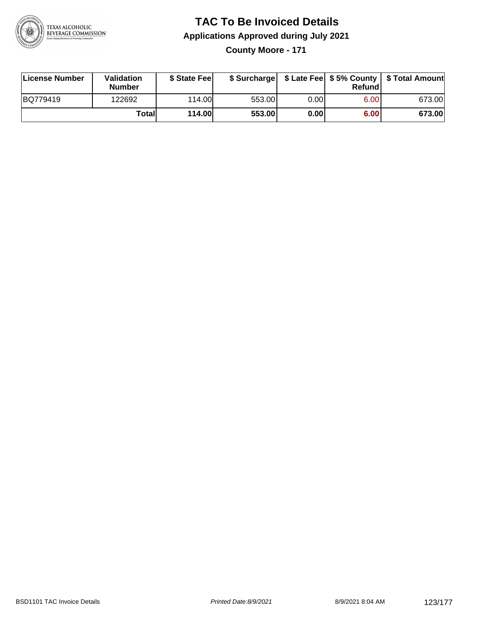

**County Moore - 171**

| License Number | Validation<br>Number | \$ State Fee  |        |      | Refund | \$ Surcharge   \$ Late Fee   \$5% County   \$ Total Amount |
|----------------|----------------------|---------------|--------|------|--------|------------------------------------------------------------|
| BQ779419       | 122692               | 114.00L       | 553.00 | 0.00 | 6.00   | 673.00                                                     |
|                | Totall               | <b>114.00</b> | 553.00 | 0.00 | 6.00   | 673.00                                                     |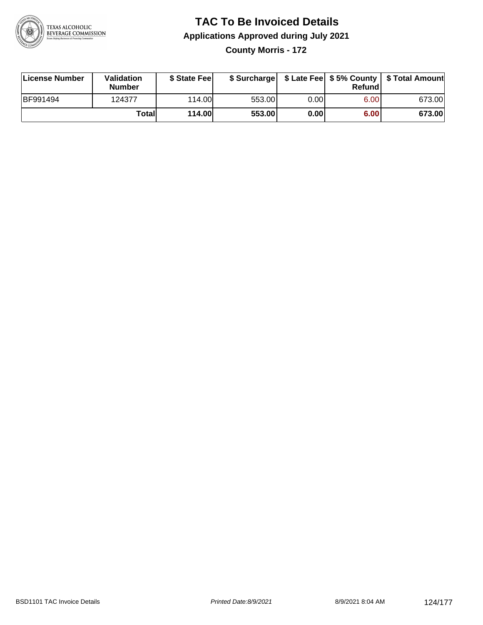

#### **TAC To Be Invoiced Details Applications Approved during July 2021 County Morris - 172**

| License Number   | Validation<br><b>Number</b> | \$ State Fee  |        |      | Refund | \$ Surcharge   \$ Late Fee   \$5% County   \$ Total Amount |
|------------------|-----------------------------|---------------|--------|------|--------|------------------------------------------------------------|
| <b>IBF991494</b> | 124377                      | 114.00L       | 553.00 | 0.00 | 6.00   | 673.00                                                     |
|                  | Totall                      | <b>114.00</b> | 553.00 | 0.00 | 6.00   | 673.00                                                     |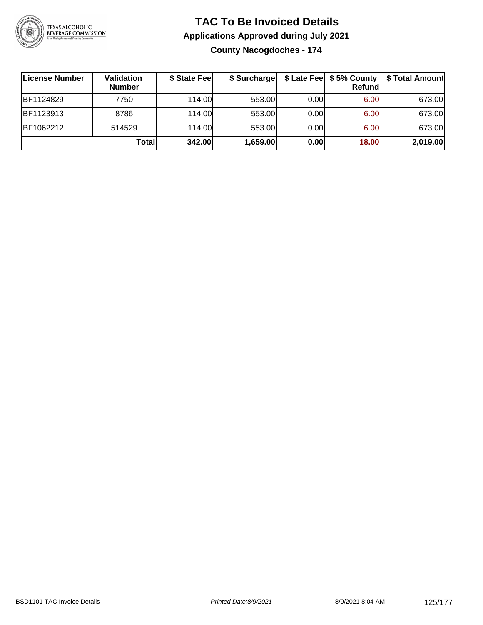

**County Nacogdoches - 174**

| <b>License Number</b> | Validation<br><b>Number</b> | \$ State Fee | \$ Surcharge |       | \$ Late Fee   \$5% County<br><b>Refund</b> | <b>\$ Total Amount</b> |
|-----------------------|-----------------------------|--------------|--------------|-------|--------------------------------------------|------------------------|
| BF1124829             | 7750                        | 114.00L      | 553.00       | 0.001 | 6.00                                       | 673.00                 |
| <b>BF1123913</b>      | 8786                        | 114.00       | 553.00       | 0.00  | 6.00                                       | 673.00                 |
| BF1062212             | 514529                      | 114.00       | 553.00       | 0.00  | 6.00                                       | 673.00                 |
|                       | Total                       | 342.00       | 1,659.00     | 0.00  | 18.00                                      | 2,019.00               |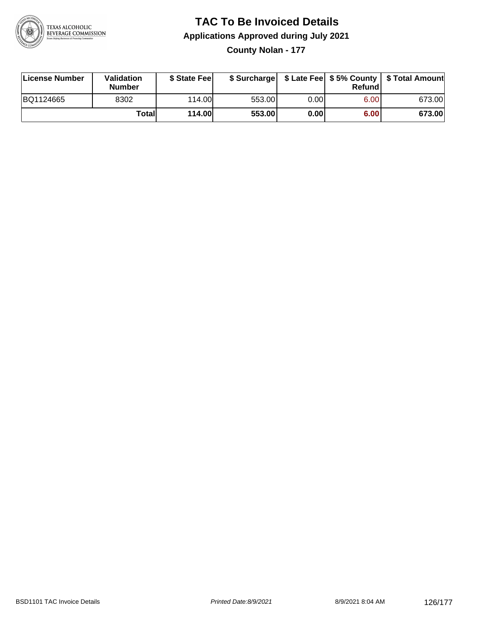

**County Nolan - 177**

| License Number | Validation<br><b>Number</b> | \$ State Fee  | \$ Surcharge |      | Refundl | \$ Late Fee   \$5% County   \$ Total Amount |
|----------------|-----------------------------|---------------|--------------|------|---------|---------------------------------------------|
| BQ1124665      | 8302                        | 114.00        | 553.00       | 0.00 | 6.00    | 673.00                                      |
|                | Totall                      | <b>114.00</b> | 553.00       | 0.00 | 6.00    | 673.00                                      |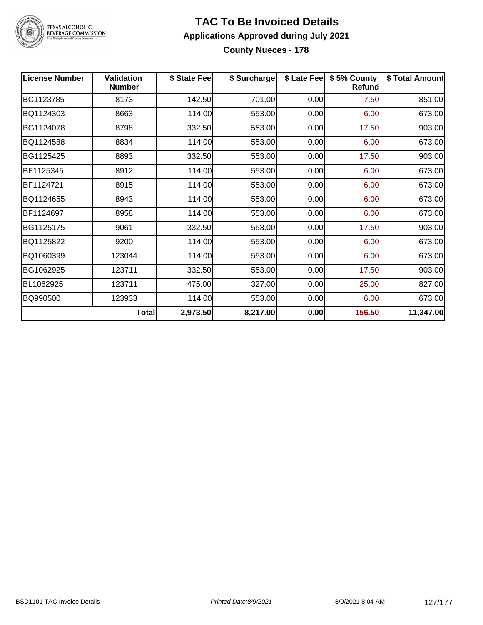

#### **TAC To Be Invoiced Details Applications Approved during July 2021 County Nueces - 178**

| <b>License Number</b> | <b>Validation</b><br><b>Number</b> | \$ State Fee | \$ Surcharge | \$ Late Fee | \$5% County<br>Refund | \$ Total Amount |
|-----------------------|------------------------------------|--------------|--------------|-------------|-----------------------|-----------------|
| BC1123785             | 8173                               | 142.50       | 701.00       | 0.00        | 7.50                  | 851.00          |
| BQ1124303             | 8663                               | 114.00       | 553.00       | 0.00        | 6.00                  | 673.00          |
| BG1124078             | 8798                               | 332.50       | 553.00       | 0.00        | 17.50                 | 903.00          |
| BQ1124588             | 8834                               | 114.00       | 553.00       | 0.00        | 6.00                  | 673.00          |
| BG1125425             | 8893                               | 332.50       | 553.00       | 0.00        | 17.50                 | 903.00          |
| BF1125345             | 8912                               | 114.00       | 553.00       | 0.00        | 6.00                  | 673.00          |
| BF1124721             | 8915                               | 114.00       | 553.00       | 0.00        | 6.00                  | 673.00          |
| BQ1124655             | 8943                               | 114.00       | 553.00       | 0.00        | 6.00                  | 673.00          |
| BF1124697             | 8958                               | 114.00       | 553.00       | 0.00        | 6.00                  | 673.00          |
| BG1125175             | 9061                               | 332.50       | 553.00       | 0.00        | 17.50                 | 903.00          |
| BQ1125822             | 9200                               | 114.00       | 553.00       | 0.00        | 6.00                  | 673.00          |
| BQ1060399             | 123044                             | 114.00       | 553.00       | 0.00        | 6.00                  | 673.00          |
| BG1062925             | 123711                             | 332.50       | 553.00       | 0.00        | 17.50                 | 903.00          |
| BL1062925             | 123711                             | 475.00       | 327.00       | 0.00        | 25.00                 | 827.00          |
| BQ990500              | 123933                             | 114.00       | 553.00       | 0.00        | 6.00                  | 673.00          |
|                       | <b>Total</b>                       | 2,973.50     | 8,217.00     | 0.00        | 156.50                | 11,347.00       |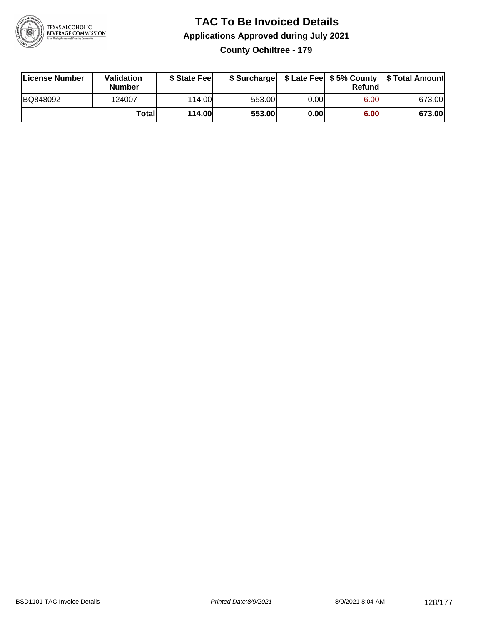

#### **TAC To Be Invoiced Details Applications Approved during July 2021 County Ochiltree - 179**

| License Number | Validation<br>Number | \$ State Fee  |        |      | Refundl | \$ Surcharge   \$ Late Fee   \$5% County   \$ Total Amount |
|----------------|----------------------|---------------|--------|------|---------|------------------------------------------------------------|
| BQ848092       | 124007               | 114.00        | 553.00 | 0.00 | 6.00    | 673.00                                                     |
|                | Totall               | <b>114.00</b> | 553.00 | 0.00 | 6.00    | 673.00                                                     |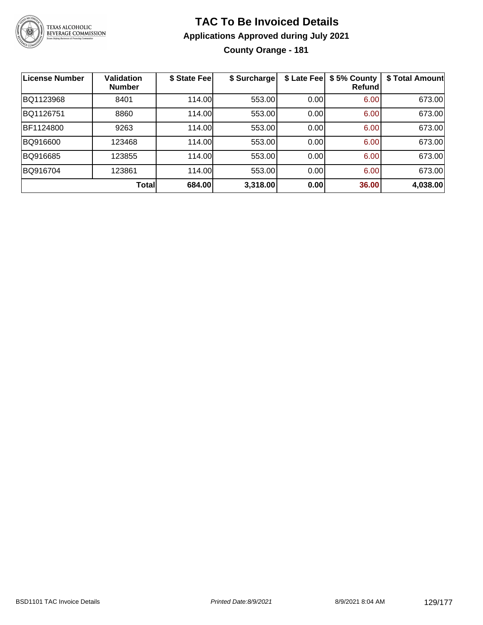

#### **TAC To Be Invoiced Details Applications Approved during July 2021 County Orange - 181**

| <b>License Number</b> | Validation<br><b>Number</b> | \$ State Fee | \$ Surcharge | \$ Late Fee | \$5% County<br>Refundl | \$ Total Amount |
|-----------------------|-----------------------------|--------------|--------------|-------------|------------------------|-----------------|
| BQ1123968             | 8401                        | 114.00       | 553.00       | 0.00        | 6.00                   | 673.00          |
| BQ1126751             | 8860                        | 114.00       | 553.00       | 0.00        | 6.00                   | 673.00          |
| BF1124800             | 9263                        | 114.00       | 553.00       | 0.00        | 6.00                   | 673.00          |
| BQ916600              | 123468                      | 114.00       | 553.00       | 0.00        | 6.00                   | 673.00          |
| BQ916685              | 123855                      | 114.00       | 553.00       | 0.00        | 6.00                   | 673.00          |
| BQ916704              | 123861                      | 114.00       | 553.00       | 0.00        | 6.00                   | 673.00          |
|                       | <b>Total</b>                | 684.00       | 3,318.00     | 0.00        | 36.00                  | 4,038.00        |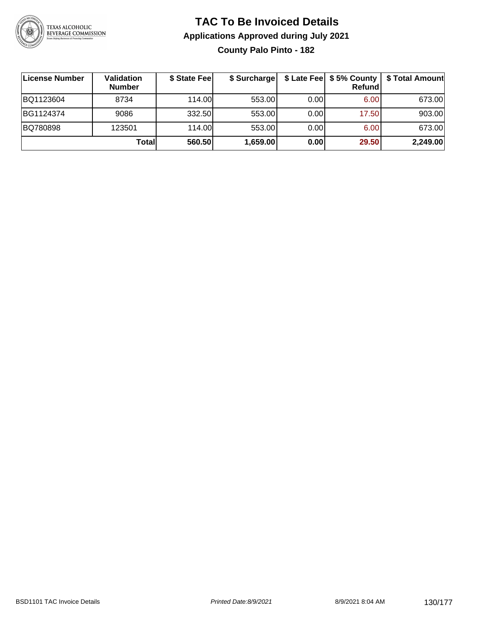

#### **TAC To Be Invoiced Details Applications Approved during July 2021 County Palo Pinto - 182**

| <b>∣License Number</b> | Validation<br><b>Number</b> | \$ State Fee | \$ Surcharge |      | Refundl | \$ Late Fee   \$5% County   \$ Total Amount |
|------------------------|-----------------------------|--------------|--------------|------|---------|---------------------------------------------|
| BQ1123604              | 8734                        | 114.00L      | 553.00       | 0.00 | 6.00    | 673.00                                      |
| BG1124374              | 9086                        | 332.50       | 553.00       | 0.00 | 17.50   | 903.00                                      |
| BQ780898               | 123501                      | 114.00       | 553.00       | 0.00 | 6.00    | 673.00                                      |
|                        | Totall                      | 560.50       | 1,659.00     | 0.00 | 29.50   | 2,249.00                                    |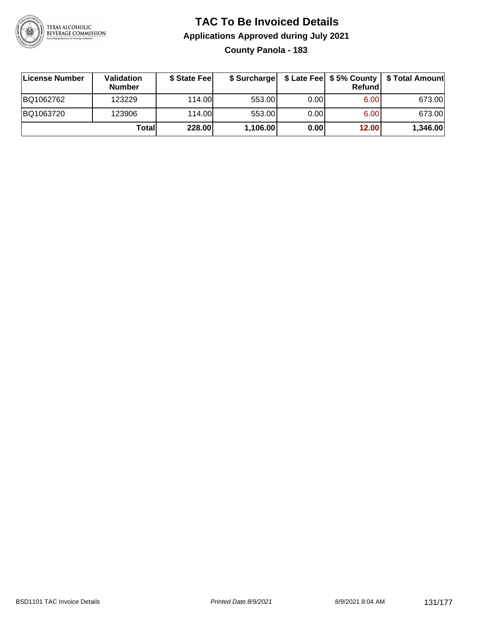

#### **TAC To Be Invoiced Details Applications Approved during July 2021 County Panola - 183**

| License Number | <b>Validation</b><br><b>Number</b> | \$ State Feel |          |       | Refundl | \$ Surcharge   \$ Late Fee   \$5% County   \$ Total Amount |
|----------------|------------------------------------|---------------|----------|-------|---------|------------------------------------------------------------|
| BQ1062762      | 123229                             | 114.00        | 553.00   | 0.001 | 6.00    | 673.00                                                     |
| BQ1063720      | 123906                             | 114.00        | 553.00   | 0.00  | 6.00    | 673.00                                                     |
|                | Totall                             | 228.00        | 1,106.00 | 0.00  | 12.00   | 1,346.00                                                   |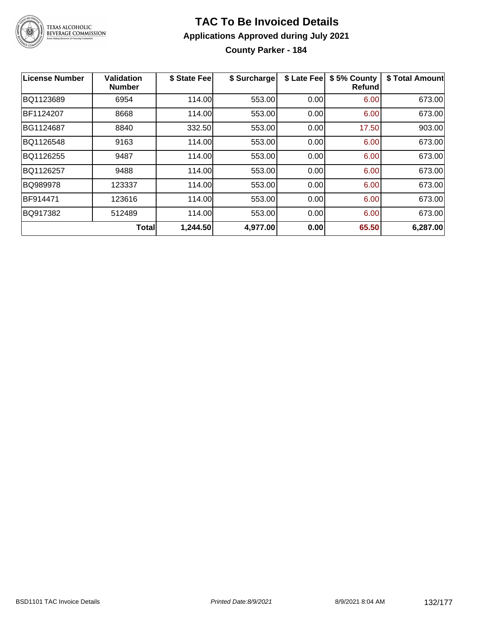

**County Parker - 184**

| <b>License Number</b> | <b>Validation</b><br><b>Number</b> | \$ State Fee | \$ Surcharge | \$ Late Fee | \$5% County<br>Refundl | \$ Total Amount |
|-----------------------|------------------------------------|--------------|--------------|-------------|------------------------|-----------------|
| BQ1123689             | 6954                               | 114.00       | 553.00       | 0.00        | 6.00                   | 673.00          |
| BF1124207             | 8668                               | 114.00       | 553.00       | 0.00        | 6.00                   | 673.00          |
| BG1124687             | 8840                               | 332.50       | 553.00       | 0.00        | 17.50                  | 903.00          |
| BQ1126548             | 9163                               | 114.00       | 553.00       | 0.00        | 6.00                   | 673.00          |
| BQ1126255             | 9487                               | 114.00       | 553.00       | 0.00        | 6.00                   | 673.00          |
| BQ1126257             | 9488                               | 114.00       | 553.00       | 0.00        | 6.00                   | 673.00          |
| BQ989978              | 123337                             | 114.00       | 553.00       | 0.00        | 6.00                   | 673.00          |
| BF914471              | 123616                             | 114.00       | 553.00       | 0.00        | 6.00                   | 673.00          |
| BQ917382              | 512489                             | 114.00       | 553.00       | 0.00        | 6.00                   | 673.00          |
|                       | <b>Total</b>                       | 1,244.50     | 4,977.00     | 0.00        | 65.50                  | 6,287.00        |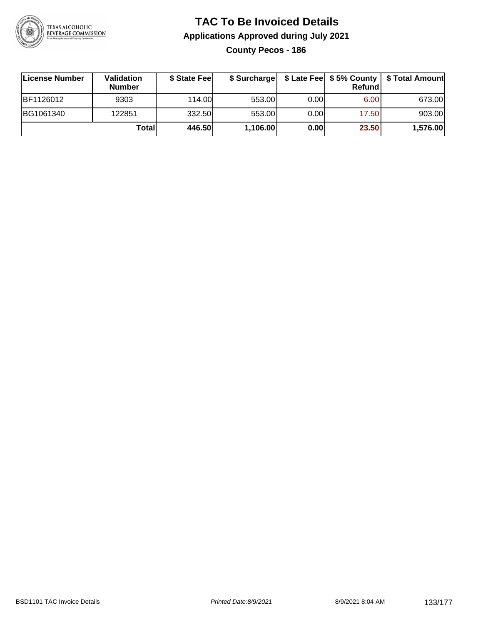

**County Pecos - 186**

| ∣License Number | Validation<br><b>Number</b> | \$ State Fee |          |      | Refundl | \$ Surcharge   \$ Late Fee   \$5% County   \$ Total Amount |
|-----------------|-----------------------------|--------------|----------|------|---------|------------------------------------------------------------|
| BF1126012       | 9303                        | 114.00       | 553.00   | 0.00 | 6.00    | 673.00                                                     |
| BG1061340       | 122851                      | 332.50       | 553.00   | 0.00 | 17.50   | 903.00                                                     |
|                 | Totall                      | 446.50       | 1,106.00 | 0.00 | 23.50   | 1,576.00                                                   |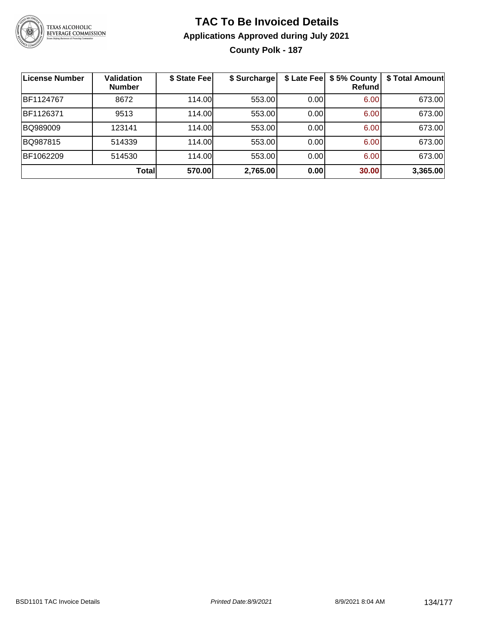

#### **TAC To Be Invoiced Details Applications Approved during July 2021 County Polk - 187**

| License Number | <b>Validation</b><br><b>Number</b> | \$ State Fee | \$ Surcharge | \$ Late Fee | \$5% County<br><b>Refund</b> | \$ Total Amount |
|----------------|------------------------------------|--------------|--------------|-------------|------------------------------|-----------------|
| BF1124767      | 8672                               | 114.00       | 553.00       | 0.00        | 6.00                         | 673.00          |
| BF1126371      | 9513                               | 114.00       | 553.00       | 0.00        | 6.00                         | 673.00          |
| BQ989009       | 123141                             | 114.00       | 553.00       | 0.00        | 6.00                         | 673.00          |
| BQ987815       | 514339                             | 114.00       | 553.00       | 0.00        | 6.00                         | 673.00          |
| BF1062209      | 514530                             | 114.00       | 553.00       | 0.00        | 6.00                         | 673.00          |
|                | <b>Total</b>                       | 570.00       | 2,765.00     | 0.00        | 30.00                        | 3,365.00        |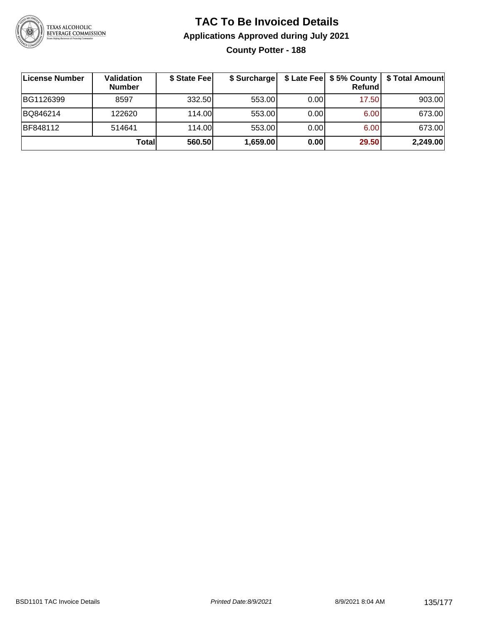

**County Potter - 188**

| License Number | Validation<br><b>Number</b> | \$ State Fee | \$ Surcharge |       | Refundl | \$ Late Fee   \$5% County   \$ Total Amount |
|----------------|-----------------------------|--------------|--------------|-------|---------|---------------------------------------------|
| BG1126399      | 8597                        | 332.50       | 553.00       | 0.001 | 17.50   | 903.00                                      |
| BQ846214       | 122620                      | 114.00       | 553.00       | 0.00  | 6.00    | 673.00                                      |
| BF848112       | 514641                      | 114.00       | 553.00       | 0.001 | 6.00    | 673.00                                      |
|                | Totall                      | 560.50       | 1,659.00     | 0.00  | 29.50   | 2,249.00                                    |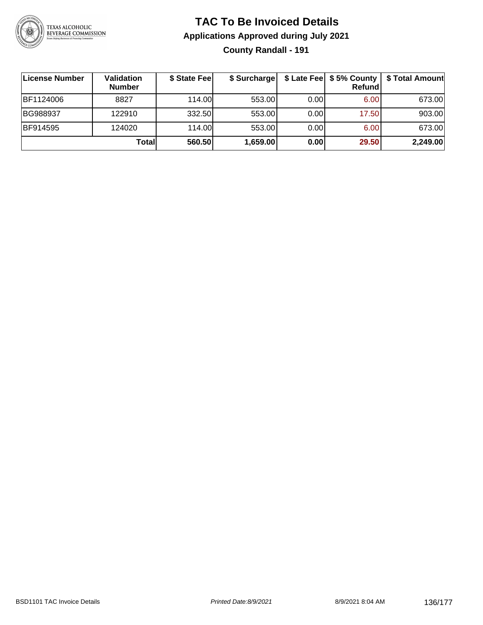

#### **TAC To Be Invoiced Details Applications Approved during July 2021 County Randall - 191**

| ∣License Number | Validation<br><b>Number</b> | \$ State Fee | \$ Surcharge |      | $$$ Late Fee $$5%$ County<br>Refundl | \$ Total Amount |
|-----------------|-----------------------------|--------------|--------------|------|--------------------------------------|-----------------|
| BF1124006       | 8827                        | 114.00L      | 553.00       | 0.00 | 6.00                                 | 673.00          |
| BG988937        | 122910                      | 332.50       | 553.00       | 0.00 | 17.50                                | 903.00          |
| <b>BF914595</b> | 124020                      | 114.00       | 553.00       | 0.00 | 6.00                                 | 673.00          |
|                 | Totall                      | 560.50       | 1,659.00     | 0.00 | 29.50                                | 2,249.00        |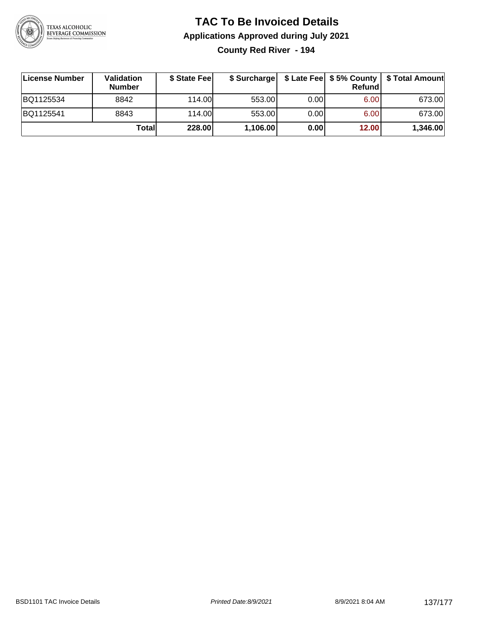

**County Red River - 194**

| License Number | Validation<br><b>Number</b> | \$ State Fee | \$ Surcharge |       | Refundl | \$ Late Fee   \$5% County   \$ Total Amount |
|----------------|-----------------------------|--------------|--------------|-------|---------|---------------------------------------------|
| BQ1125534      | 8842                        | 114.00       | 553.00       | 0.00  | 6.00    | 673.00                                      |
| BQ1125541      | 8843                        | 114.00L      | 553.00       | 0.001 | 6.00    | 673.00                                      |
|                | Totall                      | 228.00       | 1,106.00     | 0.00  | 12.00   | 1,346.00                                    |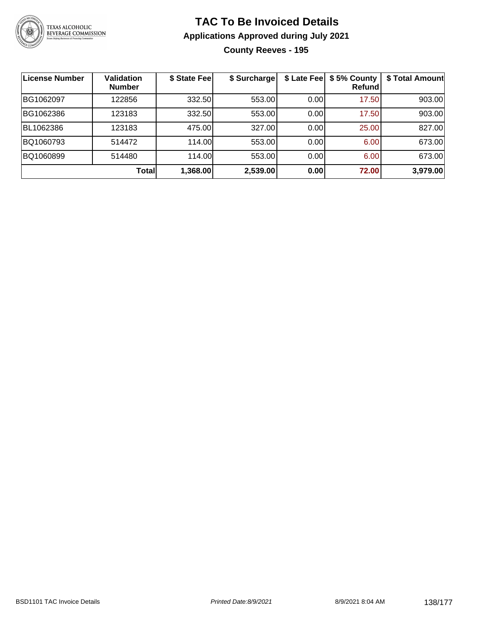

#### **TAC To Be Invoiced Details Applications Approved during July 2021 County Reeves - 195**

| License Number | <b>Validation</b><br><b>Number</b> | \$ State Feel | \$ Surcharge | \$ Late Fee | \$5% County<br>Refund | \$ Total Amount |
|----------------|------------------------------------|---------------|--------------|-------------|-----------------------|-----------------|
| BG1062097      | 122856                             | 332.50        | 553.00       | 0.00        | 17.50                 | 903.00          |
| BG1062386      | 123183                             | 332.50        | 553.00       | 0.00        | 17.50                 | 903.00          |
| BL1062386      | 123183                             | 475.00        | 327.00       | 0.00        | 25.00                 | 827.00          |
| BQ1060793      | 514472                             | 114.00        | 553.00       | 0.00        | 6.00                  | 673.00          |
| BQ1060899      | 514480                             | 114.00        | 553.00       | 0.00        | 6.00                  | 673.00          |
|                | Total                              | 1,368.00      | 2,539.00     | 0.00        | 72.00                 | 3,979.00        |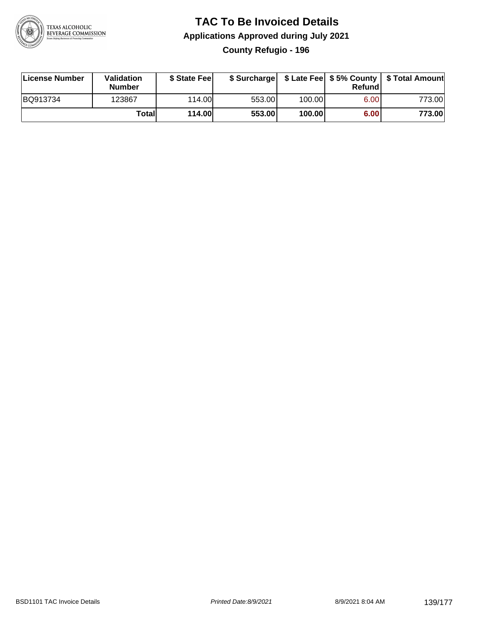

#### **TAC To Be Invoiced Details Applications Approved during July 2021 County Refugio - 196**

| License Number | Validation<br>Number | \$ State Fee  |        |        | Refundl | \$ Surcharge   \$ Late Fee   \$5% County   \$ Total Amount |
|----------------|----------------------|---------------|--------|--------|---------|------------------------------------------------------------|
| BQ913734       | 123867               | 114.00L       | 553.00 | 100.00 | 6.00    | 773.00                                                     |
|                | Totall               | <b>114.00</b> | 553.00 | 100.00 | 6.00    | 773.00                                                     |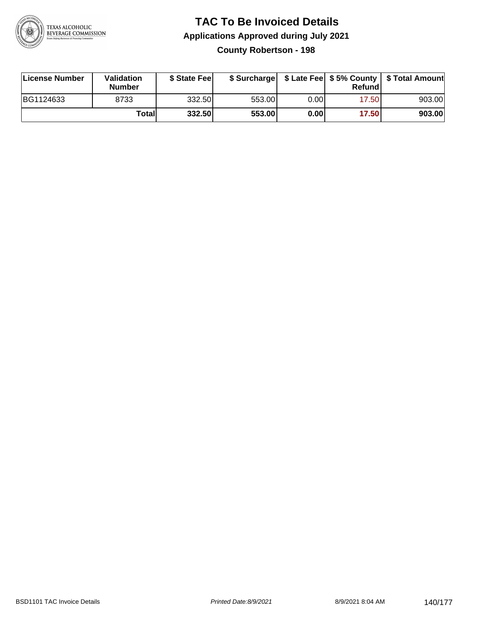

#### **TAC To Be Invoiced Details Applications Approved during July 2021 County Robertson - 198**

| License Number | <b>Validation</b><br><b>Number</b> | \$ State Feel |        |      | Refund | \$ Surcharge   \$ Late Fee   \$5% County   \$ Total Amount |
|----------------|------------------------------------|---------------|--------|------|--------|------------------------------------------------------------|
| BG1124633      | 8733                               | 332.50        | 553.00 | 0.00 | 17.50  | 903.00                                                     |
|                | Totall                             | 332.50        | 553.00 | 0.00 | 17.50  | 903.00                                                     |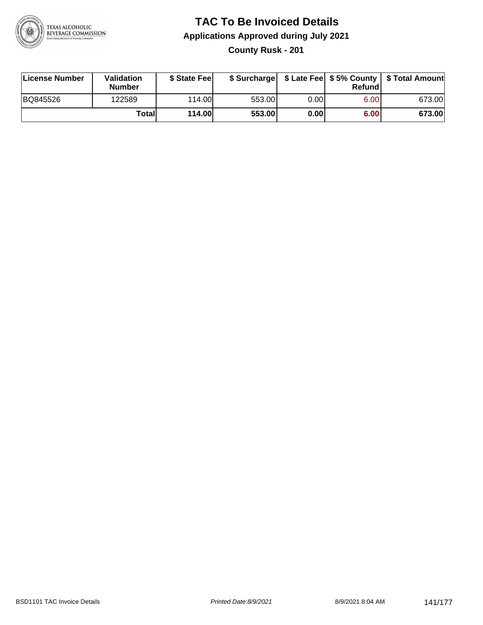

**County Rusk - 201**

| License Number | <b>Validation</b><br><b>Number</b> | \$ State Feel |        |      | Refundl | \$ Surcharge   \$ Late Fee   \$5% County   \$ Total Amount |
|----------------|------------------------------------|---------------|--------|------|---------|------------------------------------------------------------|
| BQ845526       | 122589                             | 114.00        | 553.00 | 0.00 | 6.00    | 673.00                                                     |
|                | Totall                             | <b>114.00</b> | 553.00 | 0.00 | 6.00    | 673.00                                                     |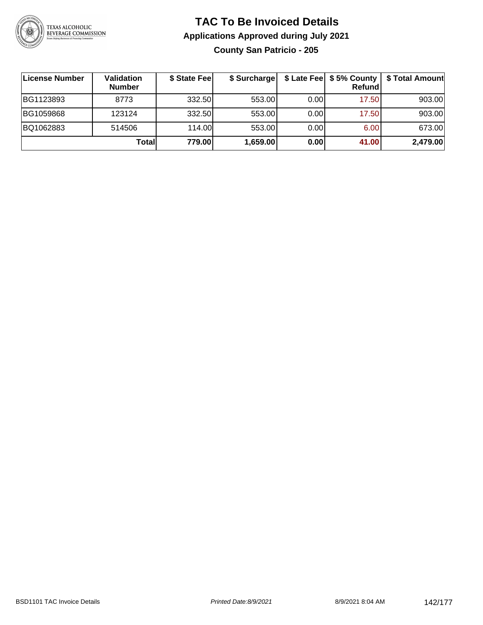

#### **TAC To Be Invoiced Details Applications Approved during July 2021 County San Patricio - 205**

| License Number | Validation<br><b>Number</b> | \$ State Feel | \$ Surcharge |      | Refund | \$ Late Fee   \$5% County   \$ Total Amount |
|----------------|-----------------------------|---------------|--------------|------|--------|---------------------------------------------|
| BG1123893      | 8773                        | 332.50        | 553.00       | 0.00 | 17.50  | 903.00                                      |
| BG1059868      | 123124                      | 332.50        | 553.00       | 0.00 | 17.50  | 903.00                                      |
| BQ1062883      | 514506                      | 114.00        | 553.00       | 0.00 | 6.00   | 673.00                                      |
|                | Totall                      | 779.00        | 1,659.00     | 0.00 | 41.00  | 2,479.00                                    |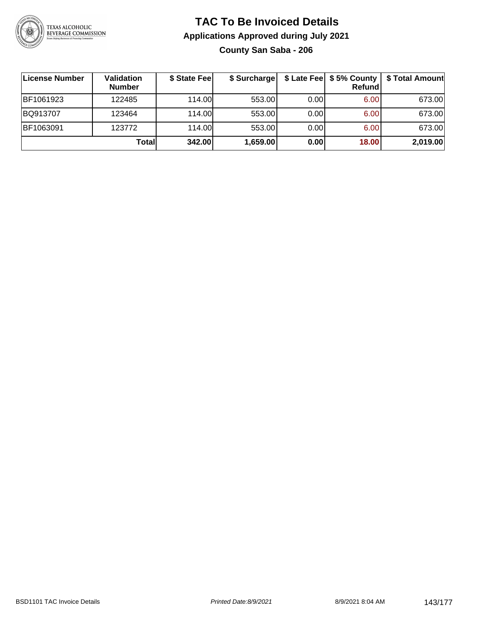

#### **TAC To Be Invoiced Details Applications Approved during July 2021 County San Saba - 206**

| ∣License Number | Validation<br><b>Number</b> | \$ State Feel | \$ Surcharge |      | Refund | \$ Late Fee   \$5% County   \$ Total Amount |
|-----------------|-----------------------------|---------------|--------------|------|--------|---------------------------------------------|
| BF1061923       | 122485                      | 114.00L       | 553.00       | 0.00 | 6.00   | 673.00                                      |
| BQ913707        | 123464                      | 114.00L       | 553.00       | 0.00 | 6.00   | 673.00                                      |
| BF1063091       | 123772                      | 114.00L       | 553.00       | 0.00 | 6.00   | 673.00                                      |
|                 | Total                       | 342.00        | 1,659.00     | 0.00 | 18.00  | 2,019.00                                    |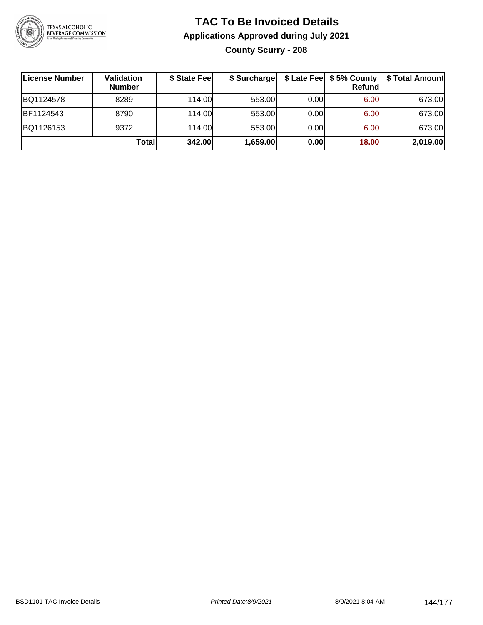

#### **TAC To Be Invoiced Details Applications Approved during July 2021 County Scurry - 208**

| License Number | Validation<br><b>Number</b> | \$ State Fee | \$ Surcharge |      | <b>Refund</b> | \$ Late Fee   \$5% County   \$ Total Amount |
|----------------|-----------------------------|--------------|--------------|------|---------------|---------------------------------------------|
| BQ1124578      | 8289                        | 114.00L      | 553.00       | 0.00 | 6.00          | 673.00                                      |
| BF1124543      | 8790                        | 114.00L      | 553.00       | 0.00 | 6.00          | 673.00                                      |
| BQ1126153      | 9372                        | 114.00       | 553.00       | 0.00 | 6.00          | 673.00                                      |
|                | Totall                      | 342.00       | 1,659.00     | 0.00 | 18.00         | 2,019.00                                    |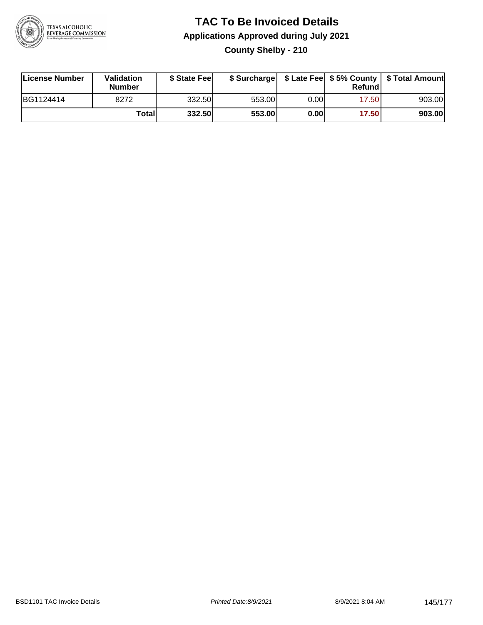

#### **TAC To Be Invoiced Details Applications Approved during July 2021 County Shelby - 210**

| License Number | Validation<br><b>Number</b> | \$ State Feel |        |       | Refundl | \$ Surcharge   \$ Late Fee   \$5% County   \$ Total Amount |
|----------------|-----------------------------|---------------|--------|-------|---------|------------------------------------------------------------|
| BG1124414      | 8272                        | 332.50        | 553.00 | 0.00  | 17.50   | 903.00                                                     |
|                | Totall                      | 332.50        | 553.00 | 0.001 | 17.50   | 903.00                                                     |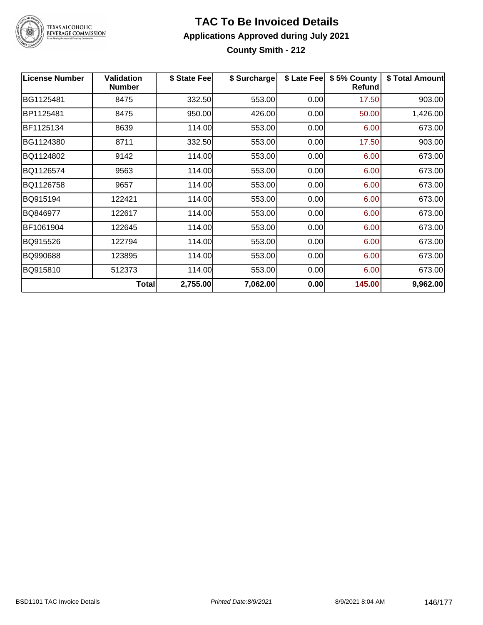

### **TAC To Be Invoiced Details Applications Approved during July 2021**

**County Smith - 212**

| <b>License Number</b> | <b>Validation</b><br><b>Number</b> | \$ State Fee | \$ Surcharge | \$ Late Fee | \$5% County<br>Refund | \$ Total Amount |
|-----------------------|------------------------------------|--------------|--------------|-------------|-----------------------|-----------------|
| BG1125481             | 8475                               | 332.50       | 553.00       | 0.00        | 17.50                 | 903.00          |
| BP1125481             | 8475                               | 950.00       | 426.00       | 0.00        | 50.00                 | 1,426.00        |
| BF1125134             | 8639                               | 114.00       | 553.00       | 0.00        | 6.00                  | 673.00          |
| BG1124380             | 8711                               | 332.50       | 553.00       | 0.00        | 17.50                 | 903.00          |
| BQ1124802             | 9142                               | 114.00       | 553.00       | 0.00        | 6.00                  | 673.00          |
| BQ1126574             | 9563                               | 114.00       | 553.00       | 0.00        | 6.00                  | 673.00          |
| BQ1126758             | 9657                               | 114.00       | 553.00       | 0.00        | 6.00                  | 673.00          |
| BQ915194              | 122421                             | 114.00       | 553.00       | 0.00        | 6.00                  | 673.00          |
| BQ846977              | 122617                             | 114.00       | 553.00       | 0.00        | 6.00                  | 673.00          |
| BF1061904             | 122645                             | 114.00       | 553.00       | 0.00        | 6.00                  | 673.00          |
| BQ915526              | 122794                             | 114.00       | 553.00       | 0.00        | 6.00                  | 673.00          |
| BQ990688              | 123895                             | 114.00       | 553.00       | 0.00        | 6.00                  | 673.00          |
| BQ915810              | 512373                             | 114.00       | 553.00       | 0.00        | 6.00                  | 673.00          |
|                       | Total                              | 2,755.00     | 7,062.00     | 0.00        | 145.00                | 9,962.00        |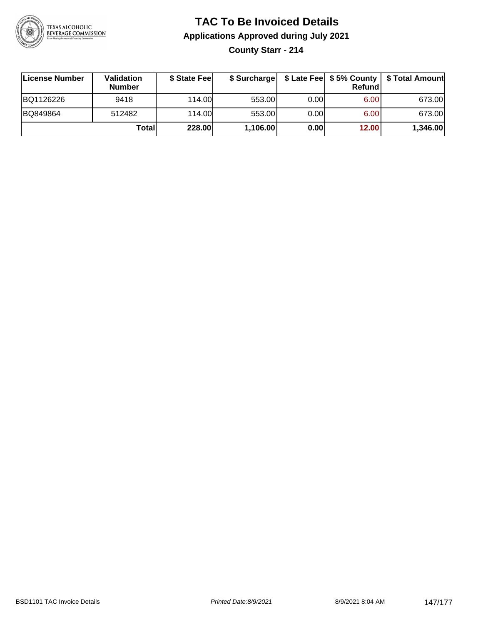

# **TAC To Be Invoiced Details Applications Approved during July 2021**

**County Starr - 214**

| ∣License Number | Validation<br><b>Number</b> | \$ State Feel |          |       | Refundl | \$ Surcharge   \$ Late Fee   \$5% County   \$ Total Amount |
|-----------------|-----------------------------|---------------|----------|-------|---------|------------------------------------------------------------|
| BQ1126226       | 9418                        | 114.00L       | 553.00   | 0.001 | 6.00    | 673.00                                                     |
| BQ849864        | 512482                      | 114.00        | 553.00   | 0.00  | 6.00    | 673.00                                                     |
|                 | Totall                      | 228.00        | 1,106.00 | 0.00  | 12.00   | 1,346.00                                                   |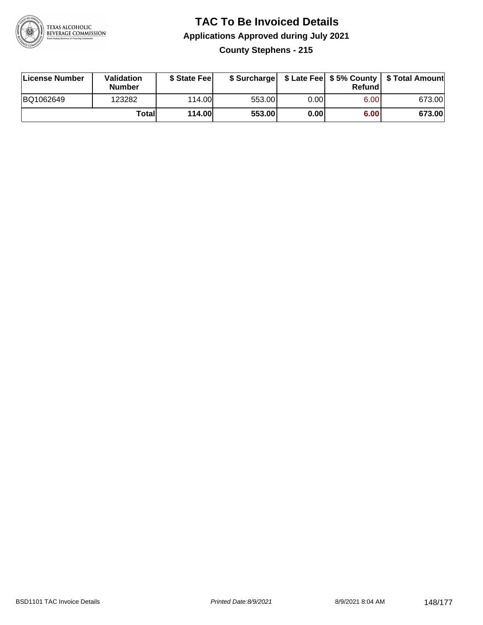

#### **TAC To Be Invoiced Details Applications Approved during July 2021 County Stephens - 215**

| License Number | Validation<br>Number | \$ State Fee |        |      | Refund | \$ Surcharge   \$ Late Fee   \$5% County   \$ Total Amount |
|----------------|----------------------|--------------|--------|------|--------|------------------------------------------------------------|
| BQ1062649      | 123282               | 114.00       | 553.00 | 0.00 | 6.00   | 673.00                                                     |
|                | Totall               | 114.00       | 553.00 | 0.00 | 6.00   | 673.00                                                     |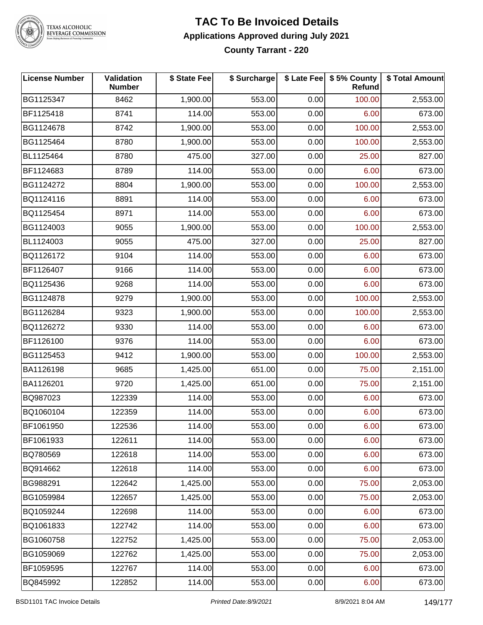

#### **TAC To Be Invoiced Details Applications Approved during July 2021 County Tarrant - 220**

| <b>License Number</b> | Validation<br><b>Number</b> | \$ State Fee | \$ Surcharge |      | \$ Late Fee   \$5% County<br><b>Refund</b> | \$ Total Amount |
|-----------------------|-----------------------------|--------------|--------------|------|--------------------------------------------|-----------------|
| BG1125347             | 8462                        | 1,900.00     | 553.00       | 0.00 | 100.00                                     | 2,553.00        |
| BF1125418             | 8741                        | 114.00       | 553.00       | 0.00 | 6.00                                       | 673.00          |
| BG1124678             | 8742                        | 1,900.00     | 553.00       | 0.00 | 100.00                                     | 2,553.00        |
| BG1125464             | 8780                        | 1,900.00     | 553.00       | 0.00 | 100.00                                     | 2,553.00        |
| BL1125464             | 8780                        | 475.00       | 327.00       | 0.00 | 25.00                                      | 827.00          |
| BF1124683             | 8789                        | 114.00       | 553.00       | 0.00 | 6.00                                       | 673.00          |
| BG1124272             | 8804                        | 1,900.00     | 553.00       | 0.00 | 100.00                                     | 2,553.00        |
| BQ1124116             | 8891                        | 114.00       | 553.00       | 0.00 | 6.00                                       | 673.00          |
| BQ1125454             | 8971                        | 114.00       | 553.00       | 0.00 | 6.00                                       | 673.00          |
| BG1124003             | 9055                        | 1,900.00     | 553.00       | 0.00 | 100.00                                     | 2,553.00        |
| BL1124003             | 9055                        | 475.00       | 327.00       | 0.00 | 25.00                                      | 827.00          |
| BQ1126172             | 9104                        | 114.00       | 553.00       | 0.00 | 6.00                                       | 673.00          |
| BF1126407             | 9166                        | 114.00       | 553.00       | 0.00 | 6.00                                       | 673.00          |
| BQ1125436             | 9268                        | 114.00       | 553.00       | 0.00 | 6.00                                       | 673.00          |
| BG1124878             | 9279                        | 1,900.00     | 553.00       | 0.00 | 100.00                                     | 2,553.00        |
| BG1126284             | 9323                        | 1,900.00     | 553.00       | 0.00 | 100.00                                     | 2,553.00        |
| BQ1126272             | 9330                        | 114.00       | 553.00       | 0.00 | 6.00                                       | 673.00          |
| BF1126100             | 9376                        | 114.00       | 553.00       | 0.00 | 6.00                                       | 673.00          |
| BG1125453             | 9412                        | 1,900.00     | 553.00       | 0.00 | 100.00                                     | 2,553.00        |
| BA1126198             | 9685                        | 1,425.00     | 651.00       | 0.00 | 75.00                                      | 2,151.00        |
| BA1126201             | 9720                        | 1,425.00     | 651.00       | 0.00 | 75.00                                      | 2,151.00        |
| BQ987023              | 122339                      | 114.00       | 553.00       | 0.00 | 6.00                                       | 673.00          |
| BQ1060104             | 122359                      | 114.00       | 553.00       | 0.00 | 6.00                                       | 673.00          |
| BF1061950             | 122536                      | 114.00       | 553.00       | 0.00 | 6.00                                       | 673.00          |
| BF1061933             | 122611                      | 114.00       | 553.00       | 0.00 | 6.00                                       | 673.00          |
| BQ780569              | 122618                      | 114.00       | 553.00       | 0.00 | 6.00                                       | 673.00          |
| BQ914662              | 122618                      | 114.00       | 553.00       | 0.00 | 6.00                                       | 673.00          |
| BG988291              | 122642                      | 1,425.00     | 553.00       | 0.00 | 75.00                                      | 2,053.00        |
| BG1059984             | 122657                      | 1,425.00     | 553.00       | 0.00 | 75.00                                      | 2,053.00        |
| BQ1059244             | 122698                      | 114.00       | 553.00       | 0.00 | 6.00                                       | 673.00          |
| BQ1061833             | 122742                      | 114.00       | 553.00       | 0.00 | 6.00                                       | 673.00          |
| BG1060758             | 122752                      | 1,425.00     | 553.00       | 0.00 | 75.00                                      | 2,053.00        |
| BG1059069             | 122762                      | 1,425.00     | 553.00       | 0.00 | 75.00                                      | 2,053.00        |
| BF1059595             | 122767                      | 114.00       | 553.00       | 0.00 | 6.00                                       | 673.00          |
| BQ845992              | 122852                      | 114.00       | 553.00       | 0.00 | 6.00                                       | 673.00          |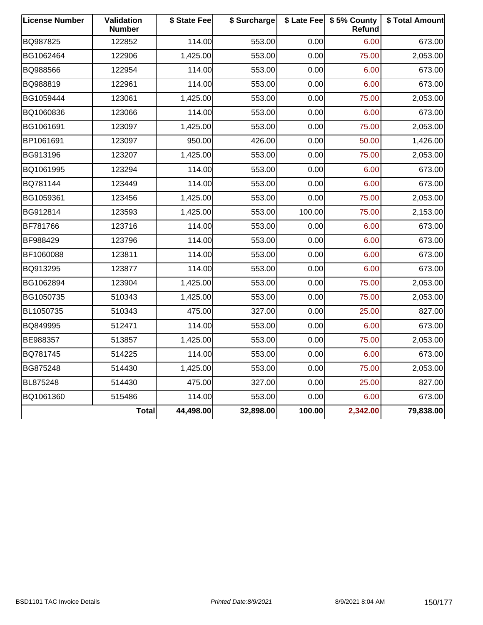| <b>License Number</b> | Validation<br><b>Number</b> | \$ State Fee | \$ Surcharge |        | \$ Late Fee   \$5% County<br>Refund | \$ Total Amount |
|-----------------------|-----------------------------|--------------|--------------|--------|-------------------------------------|-----------------|
| BQ987825              | 122852                      | 114.00       | 553.00       | 0.00   | 6.00                                | 673.00          |
| BG1062464             | 122906                      | 1,425.00     | 553.00       | 0.00   | 75.00                               | 2,053.00        |
| BQ988566              | 122954                      | 114.00       | 553.00       | 0.00   | 6.00                                | 673.00          |
| BQ988819              | 122961                      | 114.00       | 553.00       | 0.00   | 6.00                                | 673.00          |
| BG1059444             | 123061                      | 1,425.00     | 553.00       | 0.00   | 75.00                               | 2,053.00        |
| BQ1060836             | 123066                      | 114.00       | 553.00       | 0.00   | 6.00                                | 673.00          |
| BG1061691             | 123097                      | 1,425.00     | 553.00       | 0.00   | 75.00                               | 2,053.00        |
| BP1061691             | 123097                      | 950.00       | 426.00       | 0.00   | 50.00                               | 1,426.00        |
| BG913196              | 123207                      | 1,425.00     | 553.00       | 0.00   | 75.00                               | 2,053.00        |
| BQ1061995             | 123294                      | 114.00       | 553.00       | 0.00   | 6.00                                | 673.00          |
| BQ781144              | 123449                      | 114.00       | 553.00       | 0.00   | 6.00                                | 673.00          |
| BG1059361             | 123456                      | 1,425.00     | 553.00       | 0.00   | 75.00                               | 2,053.00        |
| BG912814              | 123593                      | 1,425.00     | 553.00       | 100.00 | 75.00                               | 2,153.00        |
| BF781766              | 123716                      | 114.00       | 553.00       | 0.00   | 6.00                                | 673.00          |
| BF988429              | 123796                      | 114.00       | 553.00       | 0.00   | 6.00                                | 673.00          |
| BF1060088             | 123811                      | 114.00       | 553.00       | 0.00   | 6.00                                | 673.00          |
| BQ913295              | 123877                      | 114.00       | 553.00       | 0.00   | 6.00                                | 673.00          |
| BG1062894             | 123904                      | 1,425.00     | 553.00       | 0.00   | 75.00                               | 2,053.00        |
| BG1050735             | 510343                      | 1,425.00     | 553.00       | 0.00   | 75.00                               | 2,053.00        |
| BL1050735             | 510343                      | 475.00       | 327.00       | 0.00   | 25.00                               | 827.00          |
| BQ849995              | 512471                      | 114.00       | 553.00       | 0.00   | 6.00                                | 673.00          |
| BE988357              | 513857                      | 1,425.00     | 553.00       | 0.00   | 75.00                               | 2,053.00        |
| BQ781745              | 514225                      | 114.00       | 553.00       | 0.00   | 6.00                                | 673.00          |
| BG875248              | 514430                      | 1,425.00     | 553.00       | 0.00   | 75.00                               | 2,053.00        |
| BL875248              | 514430                      | 475.00       | 327.00       | 0.00   | 25.00                               | 827.00          |
| BQ1061360             | 515486                      | 114.00       | 553.00       | 0.00   | 6.00                                | 673.00          |
|                       | <b>Total</b>                | 44,498.00    | 32,898.00    | 100.00 | 2,342.00                            | 79,838.00       |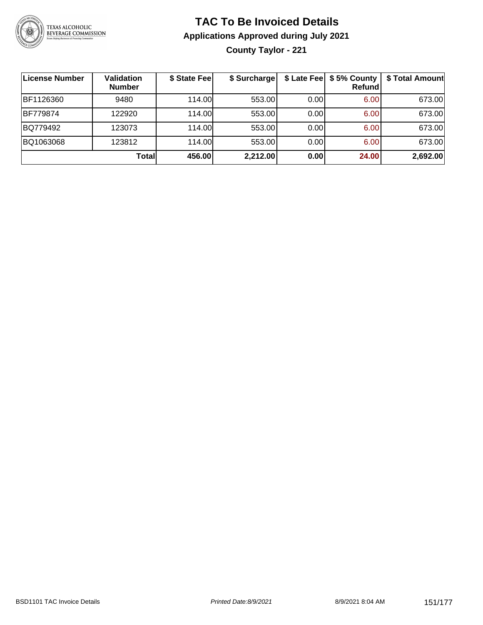

# **TAC To Be Invoiced Details Applications Approved during July 2021**

**County Taylor - 221**

| License Number  | <b>Validation</b><br><b>Number</b> | \$ State Fee | \$ Surcharge |      | \$ Late Fee   \$5% County  <br><b>Refund</b> | \$ Total Amount |
|-----------------|------------------------------------|--------------|--------------|------|----------------------------------------------|-----------------|
| BF1126360       | 9480                               | 114.00L      | 553.00       | 0.00 | 6.00                                         | 673.00          |
| <b>BF779874</b> | 122920                             | 114.00L      | 553.00       | 0.00 | 6.00                                         | 673.00          |
| BQ779492        | 123073                             | 114.00L      | 553.00       | 0.00 | 6.00                                         | 673.00          |
| BQ1063068       | 123812                             | 114.00       | 553.00       | 0.00 | 6.00                                         | 673.00          |
|                 | Totall                             | 456.00       | 2,212.00     | 0.00 | 24.00                                        | 2,692.00        |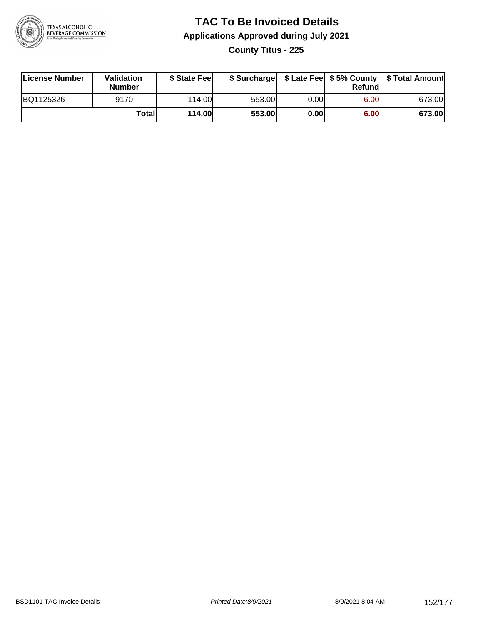

#### **TAC To Be Invoiced Details Applications Approved during July 2021 County Titus - 225**

| License Number | Validation<br><b>Number</b> | \$ State Fee  |        |      | Refund | \$ Surcharge   \$ Late Fee   \$5% County   \$ Total Amount |
|----------------|-----------------------------|---------------|--------|------|--------|------------------------------------------------------------|
| BQ1125326      | 9170                        | 114.00        | 553.00 | 0.00 | 6.00   | 673.00                                                     |
|                | Totall                      | <b>114.00</b> | 553.00 | 0.00 | 6.00   | 673.00                                                     |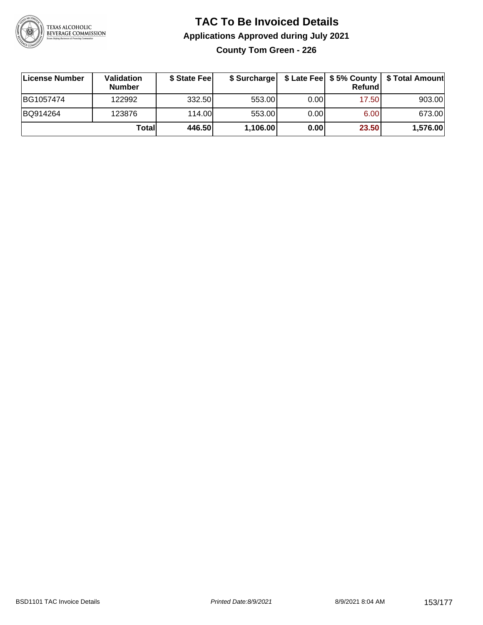

#### **TAC To Be Invoiced Details Applications Approved during July 2021 County Tom Green - 226**

| License Number | <b>Validation</b><br><b>Number</b> | \$ State Fee |          |       | Refundl | \$ Surcharge   \$ Late Fee   \$5% County   \$ Total Amount |
|----------------|------------------------------------|--------------|----------|-------|---------|------------------------------------------------------------|
| BG1057474      | 122992                             | 332.50       | 553.00   | 0.001 | 17.50   | 903.00                                                     |
| BQ914264       | 123876                             | 114.00       | 553.00   | 0.00  | 6.00    | 673.00                                                     |
|                | Totall                             | 446.50       | 1,106.00 | 0.00  | 23.50   | 1,576.00                                                   |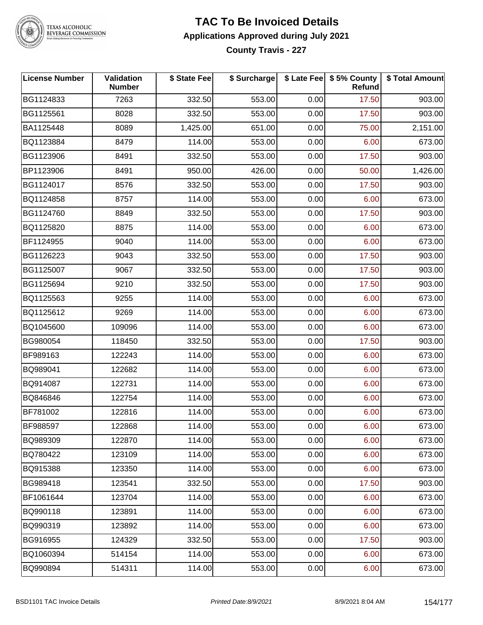

# TEXAS ALCOHOLIC<br>BEVERAGE COMMISSION

### **TAC To Be Invoiced Details Applications Approved during July 2021**

**County Travis - 227**

| <b>License Number</b> | Validation<br><b>Number</b> | \$ State Fee | \$ Surcharge |      | \$ Late Fee   \$5% County<br>Refund | \$ Total Amount |
|-----------------------|-----------------------------|--------------|--------------|------|-------------------------------------|-----------------|
| BG1124833             | 7263                        | 332.50       | 553.00       | 0.00 | 17.50                               | 903.00          |
| BG1125561             | 8028                        | 332.50       | 553.00       | 0.00 | 17.50                               | 903.00          |
| BA1125448             | 8089                        | 1,425.00     | 651.00       | 0.00 | 75.00                               | 2,151.00        |
| BQ1123884             | 8479                        | 114.00       | 553.00       | 0.00 | 6.00                                | 673.00          |
| BG1123906             | 8491                        | 332.50       | 553.00       | 0.00 | 17.50                               | 903.00          |
| BP1123906             | 8491                        | 950.00       | 426.00       | 0.00 | 50.00                               | 1,426.00        |
| BG1124017             | 8576                        | 332.50       | 553.00       | 0.00 | 17.50                               | 903.00          |
| BQ1124858             | 8757                        | 114.00       | 553.00       | 0.00 | 6.00                                | 673.00          |
| BG1124760             | 8849                        | 332.50       | 553.00       | 0.00 | 17.50                               | 903.00          |
| BQ1125820             | 8875                        | 114.00       | 553.00       | 0.00 | 6.00                                | 673.00          |
| BF1124955             | 9040                        | 114.00       | 553.00       | 0.00 | 6.00                                | 673.00          |
| BG1126223             | 9043                        | 332.50       | 553.00       | 0.00 | 17.50                               | 903.00          |
| BG1125007             | 9067                        | 332.50       | 553.00       | 0.00 | 17.50                               | 903.00          |
| BG1125694             | 9210                        | 332.50       | 553.00       | 0.00 | 17.50                               | 903.00          |
| BQ1125563             | 9255                        | 114.00       | 553.00       | 0.00 | 6.00                                | 673.00          |
| BQ1125612             | 9269                        | 114.00       | 553.00       | 0.00 | 6.00                                | 673.00          |
| BQ1045600             | 109096                      | 114.00       | 553.00       | 0.00 | 6.00                                | 673.00          |
| BG980054              | 118450                      | 332.50       | 553.00       | 0.00 | 17.50                               | 903.00          |
| BF989163              | 122243                      | 114.00       | 553.00       | 0.00 | 6.00                                | 673.00          |
| BQ989041              | 122682                      | 114.00       | 553.00       | 0.00 | 6.00                                | 673.00          |
| BQ914087              | 122731                      | 114.00       | 553.00       | 0.00 | 6.00                                | 673.00          |
| BQ846846              | 122754                      | 114.00       | 553.00       | 0.00 | 6.00                                | 673.00          |
| BF781002              | 122816                      | 114.00       | 553.00       | 0.00 | 6.00                                | 673.00          |
| BF988597              | 122868                      | 114.00       | 553.00       | 0.00 | 6.00                                | 673.00          |
| BQ989309              | 122870                      | 114.00       | 553.00       | 0.00 | 6.00                                | 673.00          |
| BQ780422              | 123109                      | 114.00       | 553.00       | 0.00 | 6.00                                | 673.00          |
| BQ915388              | 123350                      | 114.00       | 553.00       | 0.00 | 6.00                                | 673.00          |
| BG989418              | 123541                      | 332.50       | 553.00       | 0.00 | 17.50                               | 903.00          |
| BF1061644             | 123704                      | 114.00       | 553.00       | 0.00 | 6.00                                | 673.00          |
| BQ990118              | 123891                      | 114.00       | 553.00       | 0.00 | 6.00                                | 673.00          |
| BQ990319              | 123892                      | 114.00       | 553.00       | 0.00 | 6.00                                | 673.00          |
| BG916955              | 124329                      | 332.50       | 553.00       | 0.00 | 17.50                               | 903.00          |
| BQ1060394             | 514154                      | 114.00       | 553.00       | 0.00 | 6.00                                | 673.00          |
| BQ990894              | 514311                      | 114.00       | 553.00       | 0.00 | 6.00                                | 673.00          |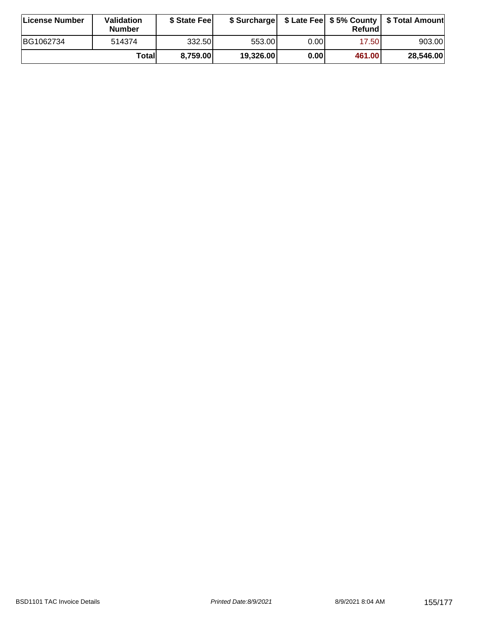| License Number | <b>Validation</b><br><b>Number</b> | \$ State Fee |           |       | Refundl | \$ Surcharge   \$ Late Fee   \$5% County   \$ Total Amount |
|----------------|------------------------------------|--------------|-----------|-------|---------|------------------------------------------------------------|
| BG1062734      | 514374                             | 332.50       | 553.00    | 0.00I | 17.50   | 903.00                                                     |
|                | Totall                             | 8,759.00     | 19,326.00 | 0.00  | 461.00  | 28,546.00                                                  |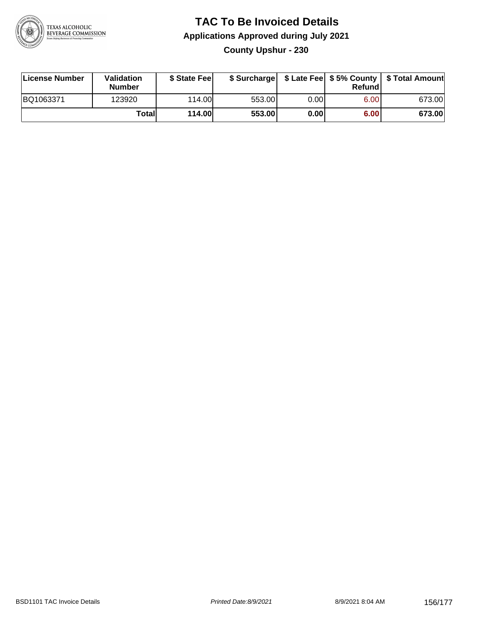

#### **TAC To Be Invoiced Details Applications Approved during July 2021 County Upshur - 230**

| License Number | Validation<br><b>Number</b> | \$ State Fee  | \$ Surcharge |      | Refundl | \$ Late Fee   \$5% County   \$ Total Amount |
|----------------|-----------------------------|---------------|--------------|------|---------|---------------------------------------------|
| BQ1063371      | 123920                      | 114.00        | 553.00       | 0.00 | 6.00    | 673.00                                      |
|                | Totall                      | <b>114.00</b> | 553.00       | 0.00 | 6.00    | 673.00                                      |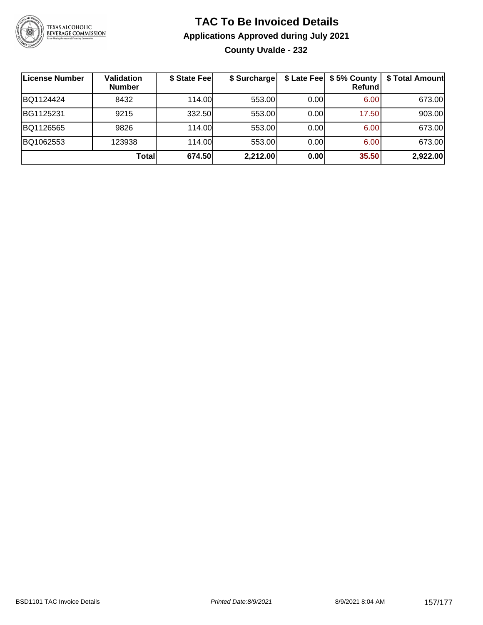

#### **TAC To Be Invoiced Details Applications Approved during July 2021 County Uvalde - 232**

| <b>License Number</b> | Validation<br><b>Number</b> | \$ State Fee | \$ Surcharge |      | \$ Late Fee   \$5% County<br><b>Refund</b> | \$ Total Amount |
|-----------------------|-----------------------------|--------------|--------------|------|--------------------------------------------|-----------------|
| BQ1124424             | 8432                        | 114.00L      | 553.00       | 0.00 | 6.00                                       | 673.00          |
| BG1125231             | 9215                        | 332.50       | 553.00       | 0.00 | 17.50                                      | 903.00          |
| BQ1126565             | 9826                        | 114.00       | 553.00       | 0.00 | 6.00                                       | 673.00          |
| BQ1062553             | 123938                      | 114.00L      | 553.00       | 0.00 | 6.00                                       | 673.00          |
|                       | Totall                      | 674.50       | 2,212.00     | 0.00 | 35.50                                      | 2,922.00        |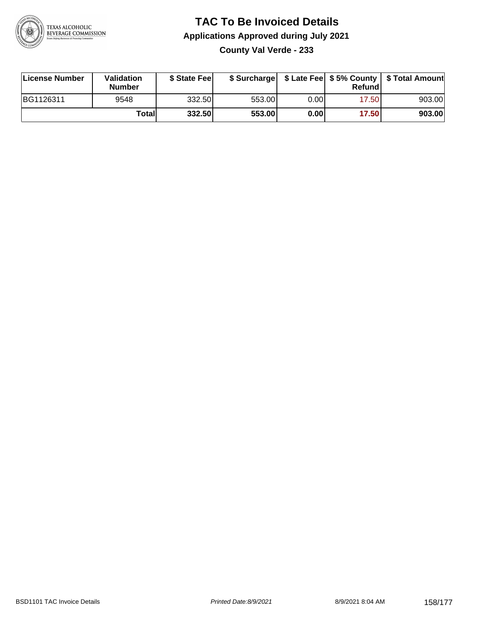

#### **TAC To Be Invoiced Details Applications Approved during July 2021 County Val Verde - 233**

| License Number | Validation<br><b>Number</b> | \$ State Feel |        |      | Refund | \$ Surcharge   \$ Late Fee   \$5% County   \$ Total Amount |
|----------------|-----------------------------|---------------|--------|------|--------|------------------------------------------------------------|
| BG1126311      | 9548                        | 332.50        | 553.00 | 0.00 | 17.50  | 903.00                                                     |
|                | Totall                      | 332.50        | 553.00 | 0.00 | 17.50  | 903.00                                                     |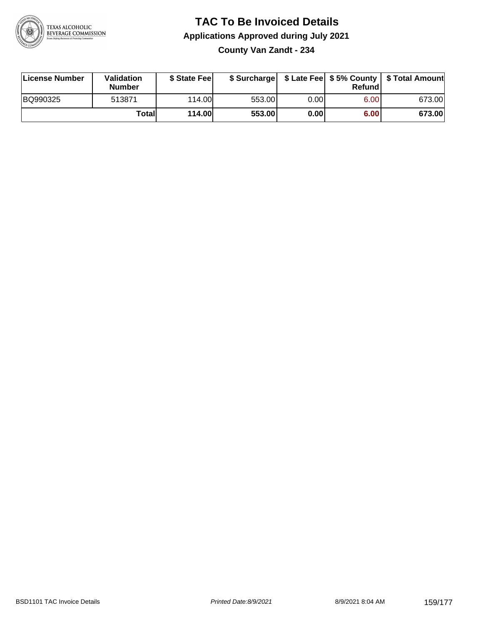

#### **TAC To Be Invoiced Details Applications Approved during July 2021 County Van Zandt - 234**

| License Number | Validation<br><b>Number</b> | \$ State Fee  |        |      | Refund | \$ Surcharge   \$ Late Fee   \$5% County   \$ Total Amount |
|----------------|-----------------------------|---------------|--------|------|--------|------------------------------------------------------------|
| BQ990325       | 513871                      | 114.00L       | 553.00 | 0.00 | 6.00   | 673.00                                                     |
|                | Totall                      | <b>114.00</b> | 553.00 | 0.00 | 6.00   | 673.00                                                     |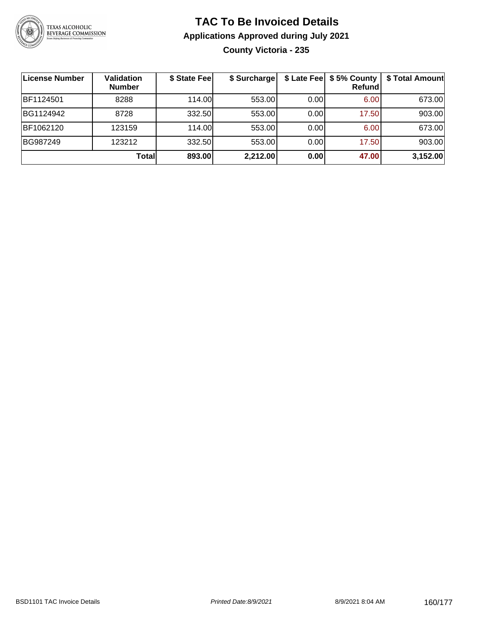

#### **TAC To Be Invoiced Details Applications Approved during July 2021 County Victoria - 235**

| License Number | Validation<br><b>Number</b> | \$ State Fee | \$ Surcharge |      | \$ Late Fee   \$5% County<br><b>Refund</b> | \$ Total Amount |
|----------------|-----------------------------|--------------|--------------|------|--------------------------------------------|-----------------|
| BF1124501      | 8288                        | 114.00       | 553.00       | 0.00 | 6.00                                       | 673.00          |
| BG1124942      | 8728                        | 332.50       | 553.00       | 0.00 | 17.50                                      | 903.00          |
| BF1062120      | 123159                      | 114.00       | 553.00       | 0.00 | 6.00                                       | 673.00          |
| BG987249       | 123212                      | 332.50       | 553.00       | 0.00 | 17.50                                      | 903.00          |
|                | Totall                      | 893.00       | 2,212.00     | 0.00 | 47.00                                      | 3,152.00        |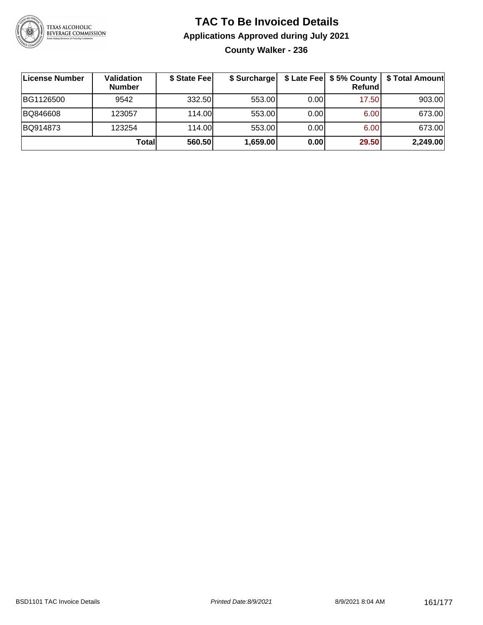

#### **TAC To Be Invoiced Details Applications Approved during July 2021 County Walker - 236**

| License Number | <b>Validation</b><br><b>Number</b> | \$ State Fee | \$ Surcharge |       | Refund | \$ Late Fee   \$5% County   \$ Total Amount |
|----------------|------------------------------------|--------------|--------------|-------|--------|---------------------------------------------|
| BG1126500      | 9542                               | 332.50       | 553.00       | 0.001 | 17.50  | 903.00                                      |
| BQ846608       | 123057                             | 114.00L      | 553.00       | 0.001 | 6.00   | 673.00                                      |
| BQ914873       | 123254                             | 114.00L      | 553.00       | 0.001 | 6.00   | 673.00                                      |
|                | Totall                             | 560.50       | 1,659.00     | 0.00  | 29.50  | 2,249.00                                    |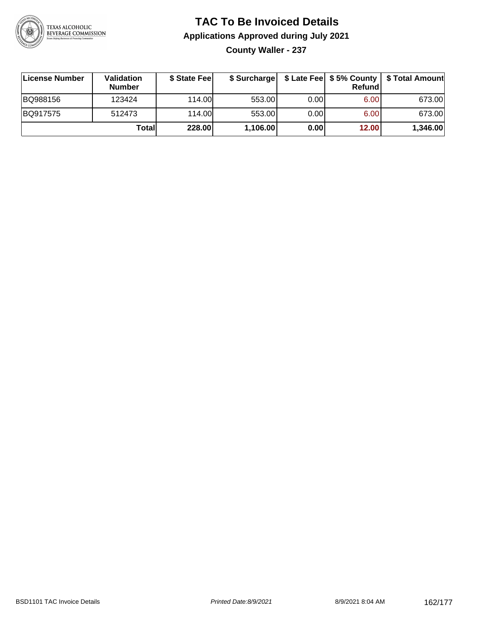

## **TAC To Be Invoiced Details Applications Approved during July 2021**

**County Waller - 237**

| License Number | <b>Validation</b><br><b>Number</b> | \$ State Fee | \$ Surcharge |       | Refundl | \$ Late Fee   \$5% County   \$ Total Amount |
|----------------|------------------------------------|--------------|--------------|-------|---------|---------------------------------------------|
| BQ988156       | 123424                             | 114.00       | 553.00       | 0.001 | 6.00    | 673.00                                      |
| BQ917575       | 512473                             | 114.00       | 553.00       | 0.001 | 6.00    | 673.00                                      |
|                | Totall                             | 228.00       | 1,106.00     | 0.00  | 12.00   | 1,346.00                                    |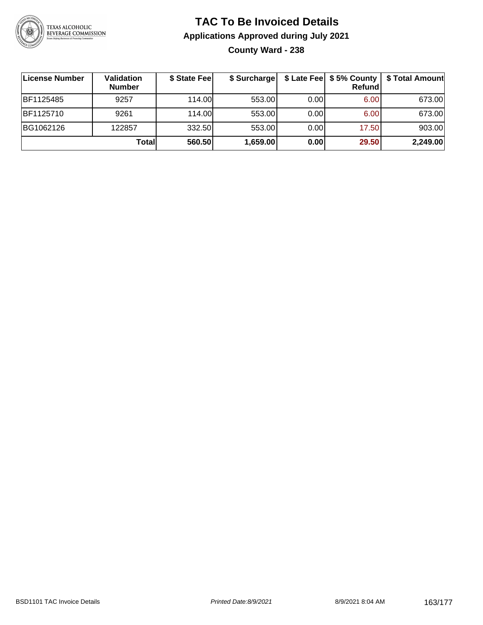

#### **TAC To Be Invoiced Details Applications Approved during July 2021 County Ward - 238**

| License Number | Validation<br><b>Number</b> | \$ State Fee | \$ Surcharge |      | \$ Late Fee   \$5% County  <br>Refund | \$ Total Amount |
|----------------|-----------------------------|--------------|--------------|------|---------------------------------------|-----------------|
| BF1125485      | 9257                        | 114.00       | 553.00       | 0.00 | 6.00                                  | 673.00          |
| BF1125710      | 9261                        | 114.00       | 553.00       | 0.00 | 6.00                                  | 673.00          |
| BG1062126      | 122857                      | 332.50       | 553.00       | 0.00 | 17.50                                 | 903.00          |
|                | Totall                      | 560.50       | 1,659.00     | 0.00 | 29.50                                 | 2,249.00        |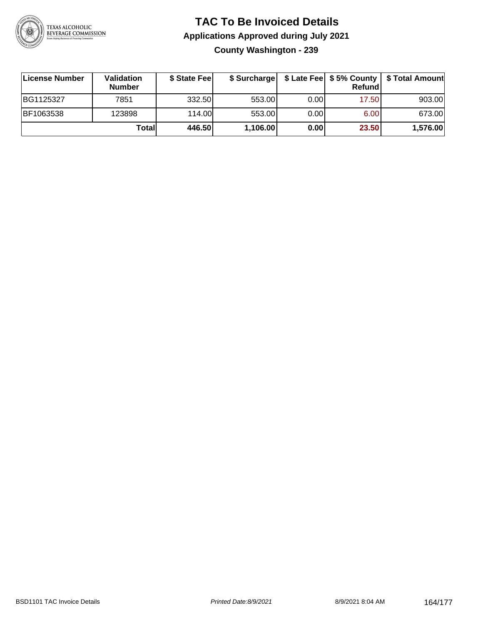

#### **TAC To Be Invoiced Details Applications Approved during July 2021 County Washington - 239**

| License Number | <b>Validation</b><br><b>Number</b> | \$ State Fee |          |       | Refundl | \$ Surcharge   \$ Late Fee   \$5% County   \$ Total Amount |
|----------------|------------------------------------|--------------|----------|-------|---------|------------------------------------------------------------|
| BG1125327      | 7851                               | 332.50       | 553.00   | 0.001 | 17.50   | 903.00                                                     |
| BF1063538      | 123898                             | 114.00       | 553.00   | 0.00  | 6.00    | 673.00                                                     |
|                | Totall                             | 446.50       | 1,106.00 | 0.00  | 23.50   | 1,576.00                                                   |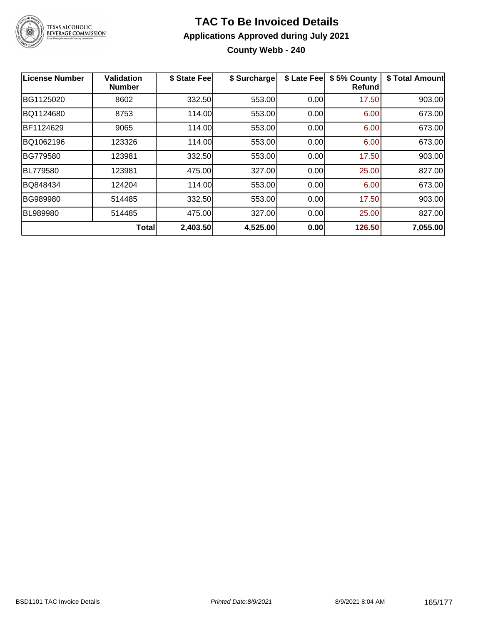

#### **TAC To Be Invoiced Details Applications Approved during July 2021 County Webb - 240**

| License Number  | <b>Validation</b><br><b>Number</b> | \$ State Fee | \$ Surcharge | \$ Late Fee | \$5% County<br>Refund | \$ Total Amount |
|-----------------|------------------------------------|--------------|--------------|-------------|-----------------------|-----------------|
| BG1125020       | 8602                               | 332.50       | 553.00       | 0.00        | 17.50                 | 903.00          |
| BQ1124680       | 8753                               | 114.00       | 553.00       | 0.00        | 6.00                  | 673.00          |
| BF1124629       | 9065                               | 114.00       | 553.00       | 0.00        | 6.00                  | 673.00          |
| BQ1062196       | 123326                             | 114.00       | 553.00       | 0.00        | 6.00                  | 673.00          |
| BG779580        | 123981                             | 332.50       | 553.00       | 0.00        | 17.50                 | 903.00          |
| <b>BL779580</b> | 123981                             | 475.00       | 327.00       | 0.00        | 25.00                 | 827.00          |
| BQ848434        | 124204                             | 114.00       | 553.00       | 0.00        | 6.00                  | 673.00          |
| <b>BG989980</b> | 514485                             | 332.50       | 553.00       | 0.00        | 17.50                 | 903.00          |
| <b>BL989980</b> | 514485                             | 475.00       | 327.00       | 0.00        | 25.00                 | 827.00          |
|                 | <b>Total</b>                       | 2,403.50     | 4,525.00     | 0.00        | 126.50                | 7,055.00        |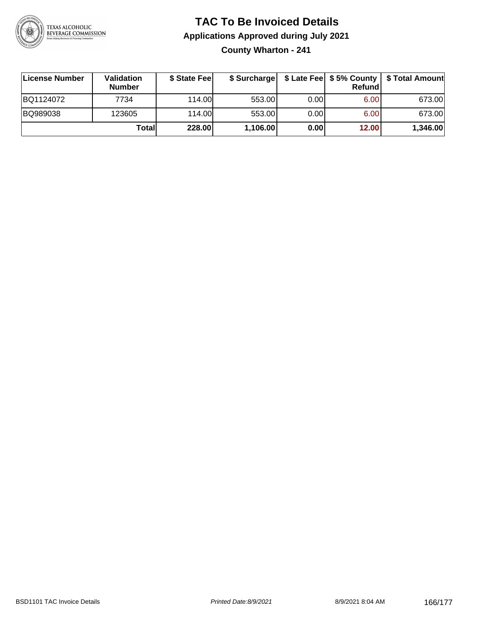

#### **TAC To Be Invoiced Details Applications Approved during July 2021 County Wharton - 241**

| License Number | Validation<br><b>Number</b> | \$ State Feel | \$ Surcharge |      | Refund |          |
|----------------|-----------------------------|---------------|--------------|------|--------|----------|
| BQ1124072      | 7734                        | 114.00        | 553.00       | 0.00 | 6.00   | 673.00   |
| BQ989038       | 123605                      | 114.00        | 553.00       | 0.00 | 6.00   | 673.00   |
|                | Totall                      | 228.00        | 1,106.00     | 0.00 | 12.00  | 1,346.00 |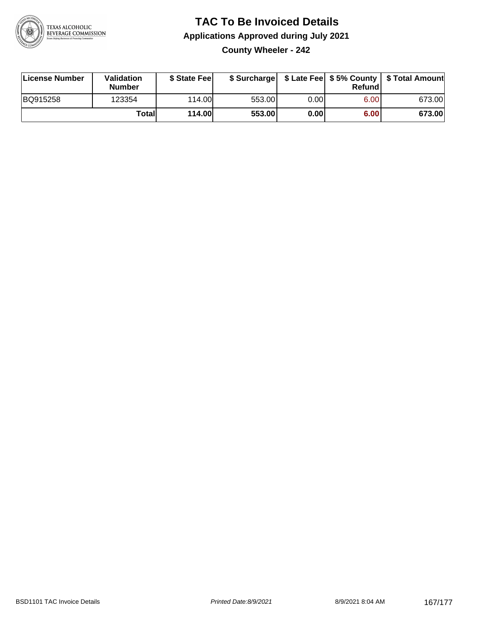

#### **TAC To Be Invoiced Details Applications Approved during July 2021 County Wheeler - 242**

| ∣License Number | Validation<br><b>Number</b> | \$ State Fee  |        |      | Refund | \$ Surcharge   \$ Late Fee   \$5% County   \$ Total Amount |
|-----------------|-----------------------------|---------------|--------|------|--------|------------------------------------------------------------|
| BQ915258        | 123354                      | 114.00L       | 553.00 | 0.00 | 6.00   | 673.00                                                     |
|                 | Total                       | <b>114.00</b> | 553.00 | 0.00 | 6.00   | 673.00                                                     |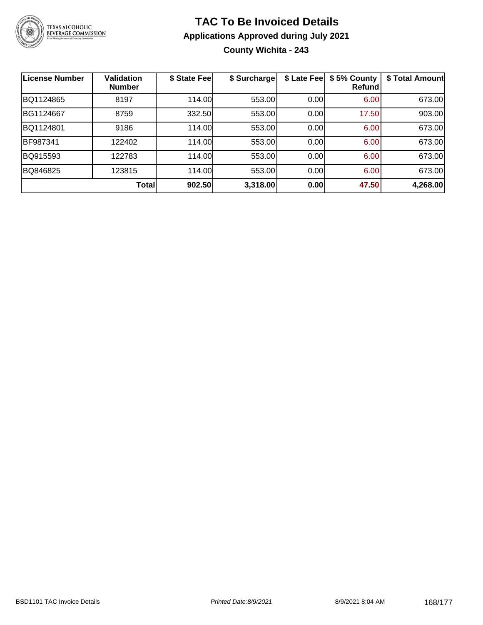

#### **TAC To Be Invoiced Details Applications Approved during July 2021 County Wichita - 243**

| <b>License Number</b> | <b>Validation</b><br><b>Number</b> | \$ State Fee | \$ Surcharge | \$ Late Fee | \$5% County<br>Refund | \$ Total Amount |
|-----------------------|------------------------------------|--------------|--------------|-------------|-----------------------|-----------------|
| BQ1124865             | 8197                               | 114.00       | 553.00       | 0.00        | 6.00                  | 673.00          |
| BG1124667             | 8759                               | 332.50       | 553.00       | 0.00        | 17.50                 | 903.00          |
| BQ1124801             | 9186                               | 114.00       | 553.00       | 0.00        | 6.00                  | 673.00          |
| BF987341              | 122402                             | 114.00       | 553.00       | 0.00        | 6.00                  | 673.00          |
| BQ915593              | 122783                             | 114.00       | 553.00       | 0.00        | 6.00                  | 673.00          |
| BQ846825              | 123815                             | 114.00       | 553.00       | 0.00        | 6.00                  | 673.00          |
|                       | <b>Total</b>                       | 902.50       | 3,318.00     | 0.00        | 47.50                 | 4,268.00        |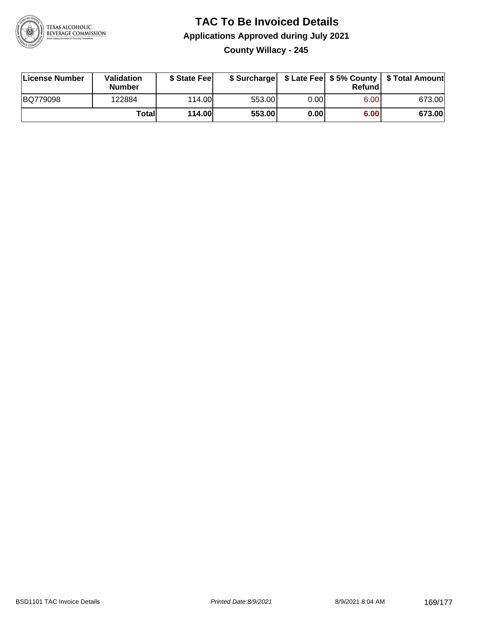

#### **TAC To Be Invoiced Details Applications Approved during July 2021 County Willacy - 245**

| License Number | Validation<br><b>Number</b> | \$ State Feel |        |       | Refundl | \$ Surcharge   \$ Late Fee   \$5% County   \$ Total Amount |
|----------------|-----------------------------|---------------|--------|-------|---------|------------------------------------------------------------|
| BQ779098       | 122884                      | 114.00        | 553.00 | 0.00  | 6.00    | 673.00                                                     |
|                | <b>Total</b>                | <b>114.00</b> | 553.00 | 0.001 | 6.00    | 673.00                                                     |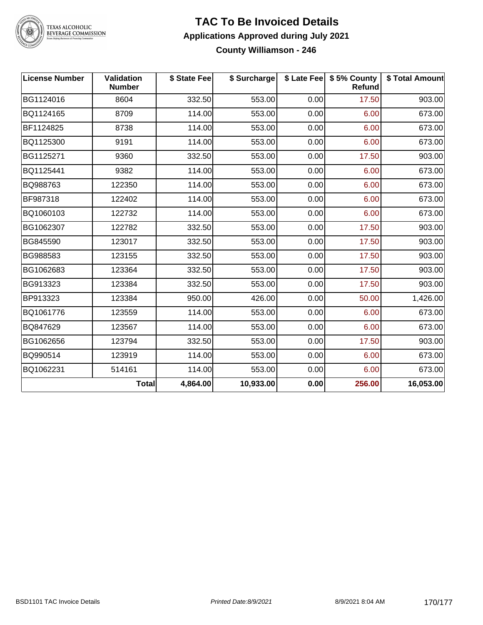

#### **TAC To Be Invoiced Details Applications Approved during July 2021 County Williamson - 246**

| <b>License Number</b> | Validation<br><b>Number</b> | \$ State Fee | \$ Surcharge |      | \$ Late Fee   \$5% County<br>Refund | \$ Total Amount |
|-----------------------|-----------------------------|--------------|--------------|------|-------------------------------------|-----------------|
| BG1124016             | 8604                        | 332.50       | 553.00       | 0.00 | 17.50                               | 903.00          |
| BQ1124165             | 8709                        | 114.00       | 553.00       | 0.00 | 6.00                                | 673.00          |
| BF1124825             | 8738                        | 114.00       | 553.00       | 0.00 | 6.00                                | 673.00          |
| BQ1125300             | 9191                        | 114.00       | 553.00       | 0.00 | 6.00                                | 673.00          |
| BG1125271             | 9360                        | 332.50       | 553.00       | 0.00 | 17.50                               | 903.00          |
| BQ1125441             | 9382                        | 114.00       | 553.00       | 0.00 | 6.00                                | 673.00          |
| BQ988763              | 122350                      | 114.00       | 553.00       | 0.00 | 6.00                                | 673.00          |
| BF987318              | 122402                      | 114.00       | 553.00       | 0.00 | 6.00                                | 673.00          |
| BQ1060103             | 122732                      | 114.00       | 553.00       | 0.00 | 6.00                                | 673.00          |
| BG1062307             | 122782                      | 332.50       | 553.00       | 0.00 | 17.50                               | 903.00          |
| BG845590              | 123017                      | 332.50       | 553.00       | 0.00 | 17.50                               | 903.00          |
| BG988583              | 123155                      | 332.50       | 553.00       | 0.00 | 17.50                               | 903.00          |
| BG1062683             | 123364                      | 332.50       | 553.00       | 0.00 | 17.50                               | 903.00          |
| BG913323              | 123384                      | 332.50       | 553.00       | 0.00 | 17.50                               | 903.00          |
| BP913323              | 123384                      | 950.00       | 426.00       | 0.00 | 50.00                               | 1,426.00        |
| BQ1061776             | 123559                      | 114.00       | 553.00       | 0.00 | 6.00                                | 673.00          |
| BQ847629              | 123567                      | 114.00       | 553.00       | 0.00 | 6.00                                | 673.00          |
| BG1062656             | 123794                      | 332.50       | 553.00       | 0.00 | 17.50                               | 903.00          |
| BQ990514              | 123919                      | 114.00       | 553.00       | 0.00 | 6.00                                | 673.00          |
| BQ1062231             | 514161                      | 114.00       | 553.00       | 0.00 | 6.00                                | 673.00          |
|                       | <b>Total</b>                | 4,864.00     | 10,933.00    | 0.00 | 256.00                              | 16,053.00       |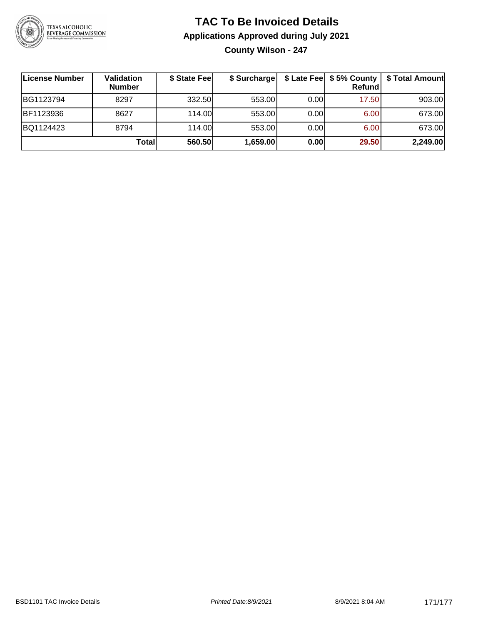

#### **TAC To Be Invoiced Details Applications Approved during July 2021 County Wilson - 247**

| License Number | Validation<br><b>Number</b> | \$ State Fee | \$ Surcharge |      | <b>Refund</b> | \$ Late Fee   \$5% County   \$ Total Amount |
|----------------|-----------------------------|--------------|--------------|------|---------------|---------------------------------------------|
| BG1123794      | 8297                        | 332.50       | 553.00       | 0.00 | 17.50         | 903.00                                      |
| BF1123936      | 8627                        | 114.00L      | 553.00       | 0.00 | 6.00          | 673.00                                      |
| BQ1124423      | 8794                        | 114.00L      | 553.00       | 0.00 | 6.00          | 673.00                                      |
|                | Totall                      | 560.50       | 1,659.00     | 0.00 | 29.50         | 2,249.00                                    |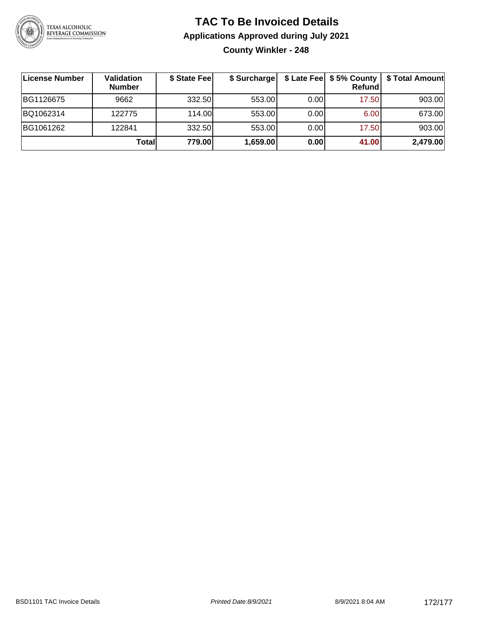

#### **TAC To Be Invoiced Details Applications Approved during July 2021 County Winkler - 248**

| ∣License Number | <b>Validation</b><br><b>Number</b> | \$ State Fee | \$ Surcharge |      | \$ Late Fee   \$5% County<br>Refundl | \$ Total Amount |
|-----------------|------------------------------------|--------------|--------------|------|--------------------------------------|-----------------|
| BG1126675       | 9662                               | 332.50       | 553.00       | 0.00 | 17.50                                | 903.00          |
| BQ1062314       | 122775                             | 114.00       | 553.00       | 0.00 | 6.00                                 | 673.00          |
| BG1061262       | 122841                             | 332.50       | 553.00       | 0.00 | 17.50                                | 903.00          |
|                 | Totall                             | 779.00       | 1,659.00     | 0.00 | 41.00                                | 2,479.00        |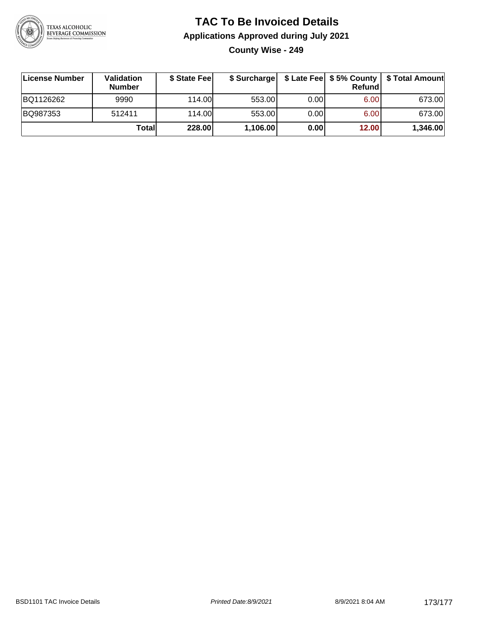

#### **TAC To Be Invoiced Details Applications Approved during July 2021 County Wise - 249**

| License Number | Validation<br><b>Number</b> | \$ State Feel | \$ Surcharge |      | Refund | \$ Late Fee   \$5% County   \$ Total Amount |
|----------------|-----------------------------|---------------|--------------|------|--------|---------------------------------------------|
| BQ1126262      | 9990                        | 114.00        | 553.00       | 0.00 | 6.00   | 673.00                                      |
| BQ987353       | 512411                      | 114.00        | 553.00       | 0.00 | 6.00   | 673.00                                      |
|                | Totall                      | 228.00        | 1,106.00     | 0.00 | 12.00  | 1,346.00                                    |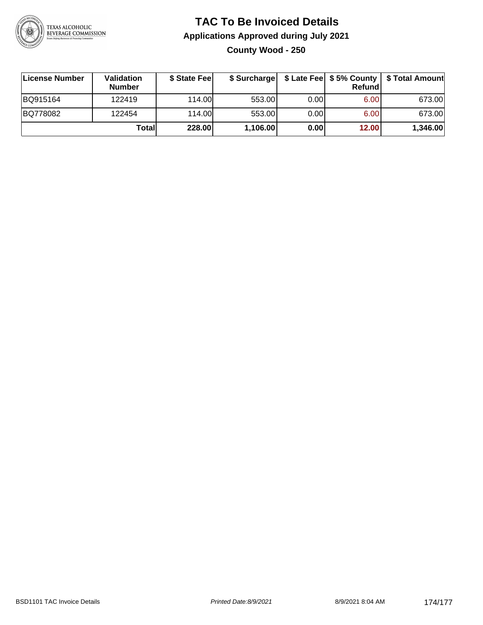

#### **TAC To Be Invoiced Details Applications Approved during July 2021 County Wood - 250**

| License Number | <b>Validation</b><br><b>Number</b> | \$ State Feel |          |       | Refundl | \$ Surcharge   \$ Late Fee   \$5% County   \$ Total Amount |
|----------------|------------------------------------|---------------|----------|-------|---------|------------------------------------------------------------|
| BQ915164       | 122419                             | 114.00        | 553.00   | 0.001 | 6.00    | 673.00                                                     |
| BQ778082       | 122454                             | 114.00        | 553.00   | 0.00  | 6.00    | 673.00                                                     |
|                | Total                              | 228.00        | 1,106.00 | 0.00  | 12.00   | 1,346.00                                                   |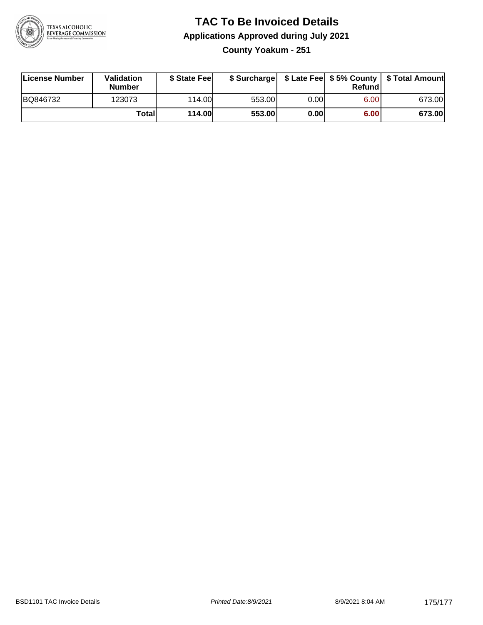

## **TAC To Be Invoiced Details Applications Approved during July 2021**

**County Yoakum - 251**

| License Number | <b>Validation</b><br><b>Number</b> | \$ State Feel |        |      | Refundl | \$ Surcharge   \$ Late Fee   \$5% County   \$ Total Amount |
|----------------|------------------------------------|---------------|--------|------|---------|------------------------------------------------------------|
| BQ846732       | 123073                             | 114.00L       | 553.00 | 0.00 | 6.00    | 673.00                                                     |
|                | Totall                             | <b>114.00</b> | 553.00 | 0.00 | 6.00    | 673.00                                                     |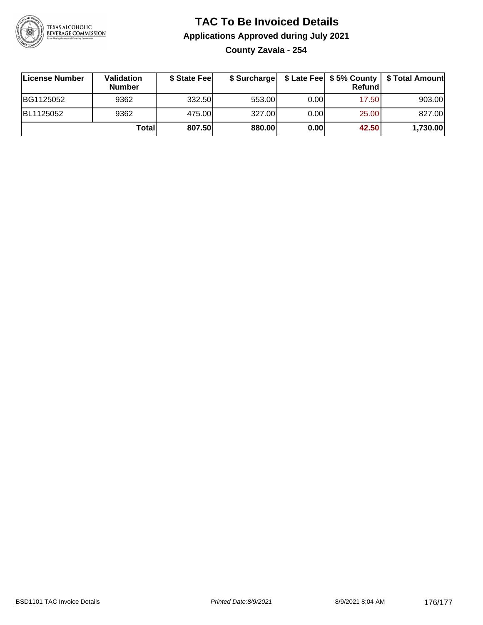

#### **TAC To Be Invoiced Details Applications Approved during July 2021 County Zavala - 254**

**License Number Validation Number \$ State Fee \$ Surcharge \$ Late Fee \$ 5% County Refund \$ Total Amount** BG1125052 9362 332.50 553.00 0.00 17.50 903.00 BL1125052 9362 475.00 327.00 0.00 25.00 827.00 **Total 807.50 880.00 0.00 42.50 1,730.00**